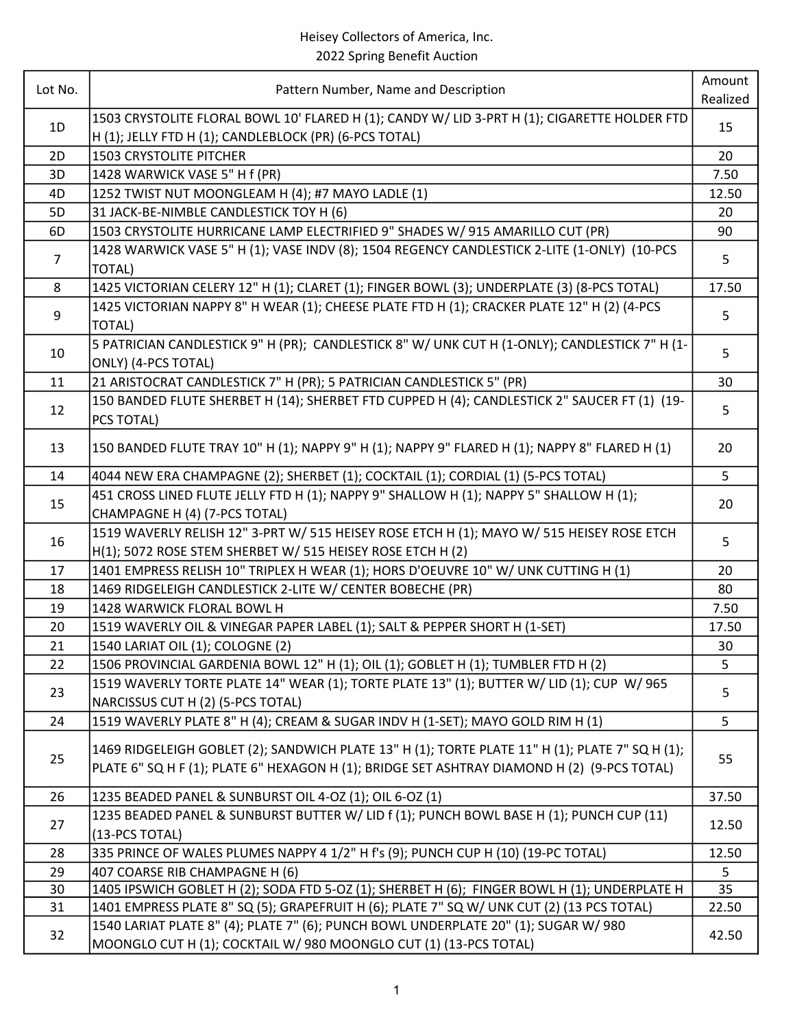| Lot No.  | Pattern Number, Name and Description                                                                                           | Amount     |
|----------|--------------------------------------------------------------------------------------------------------------------------------|------------|
|          |                                                                                                                                | Realized   |
|          | 1503 CRYSTOLITE FLORAL BOWL 10' FLARED H (1); CANDY W/ LID 3-PRT H (1); CIGARETTE HOLDER FTD                                   |            |
| 1D       | H (1); JELLY FTD H (1); CANDLEBLOCK (PR) (6-PCS TOTAL)                                                                         | 15         |
| 2D       | <b>1503 CRYSTOLITE PITCHER</b>                                                                                                 | 20         |
| 3D       | 1428 WARWICK VASE 5" H f (PR)                                                                                                  | 7.50       |
| 4D       | 1252 TWIST NUT MOONGLEAM H (4); #7 MAYO LADLE (1)                                                                              | 12.50      |
| 5D       | 31 JACK-BE-NIMBLE CANDLESTICK TOY H (6)                                                                                        | 20         |
| 6D       | 1503 CRYSTOLITE HURRICANE LAMP ELECTRIFIED 9" SHADES W/ 915 AMARILLO CUT (PR)                                                  | 90         |
|          | 1428 WARWICK VASE 5" H (1); VASE INDV (8); 1504 REGENCY CANDLESTICK 2-LITE (1-ONLY) (10-PCS                                    |            |
| 7        | TOTAL)                                                                                                                         | 5          |
| 8        | 1425 VICTORIAN CELERY 12" H (1); CLARET (1); FINGER BOWL (3); UNDERPLATE (3) (8-PCS TOTAL)                                     | 17.50      |
|          | 1425 VICTORIAN NAPPY 8" H WEAR (1); CHEESE PLATE FTD H (1); CRACKER PLATE 12" H (2) (4-PCS                                     |            |
| 9        | <b>TOTAL)</b>                                                                                                                  | 5          |
|          | 5 PATRICIAN CANDLESTICK 9" H (PR); CANDLESTICK 8" W/ UNK CUT H (1-ONLY); CANDLESTICK 7" H (1-                                  |            |
| 10       | ONLY) (4-PCS TOTAL)                                                                                                            | 5          |
| 11       | 21 ARISTOCRAT CANDLESTICK 7" H (PR); 5 PATRICIAN CANDLESTICK 5" (PR)                                                           | 30         |
|          | 150 BANDED FLUTE SHERBET H (14); SHERBET FTD CUPPED H (4); CANDLESTICK 2" SAUCER FT (1) (19-                                   |            |
| 12       | PCS TOTAL)                                                                                                                     | 5          |
|          |                                                                                                                                |            |
| 13       | 150 BANDED FLUTE TRAY 10" H (1); NAPPY 9" H (1); NAPPY 9" FLARED H (1); NAPPY 8" FLARED H (1)                                  | 20         |
| 14       | 4044 NEW ERA CHAMPAGNE (2); SHERBET (1); COCKTAIL (1); CORDIAL (1) (5-PCS TOTAL)                                               | 5          |
|          | 451 CROSS LINED FLUTE JELLY FTD H (1); NAPPY 9" SHALLOW H (1); NAPPY 5" SHALLOW H (1);                                         |            |
| 15       | CHAMPAGNE H (4) (7-PCS TOTAL)                                                                                                  | 20         |
|          | 1519 WAVERLY RELISH 12" 3-PRT W/ 515 HEISEY ROSE ETCH H (1); MAYO W/ 515 HEISEY ROSE ETCH                                      |            |
| 16       | H(1); 5072 ROSE STEM SHERBET W/ 515 HEISEY ROSE ETCH H (2)                                                                     | 5          |
| 17       | 1401 EMPRESS RELISH 10" TRIPLEX H WEAR (1); HORS D'OEUVRE 10" W/ UNK CUTTING H (1)                                             | 20         |
| 18       | 1469 RIDGELEIGH CANDLESTICK 2-LITE W/ CENTER BOBECHE (PR)                                                                      | 80         |
| 19       | 1428 WARWICK FLORAL BOWL H                                                                                                     | 7.50       |
| 20       | 1519 WAVERLY OIL & VINEGAR PAPER LABEL (1); SALT & PEPPER SHORT H (1-SET)                                                      | 17.50      |
| 21       | 1540 LARIAT OIL (1); COLOGNE (2)                                                                                               | 30         |
| 22       | 1506 PROVINCIAL GARDENIA BOWL 12" H (1); OIL (1); GOBLET H (1); TUMBLER FTD H (2)                                              | 5          |
|          | 1519 WAVERLY TORTE PLATE 14" WEAR (1); TORTE PLATE 13" (1); BUTTER W/ LID (1); CUP W/ 965                                      |            |
| 23       | NARCISSUS CUT H (2) (5-PCS TOTAL)                                                                                              | 5          |
| 24       | 1519 WAVERLY PLATE 8" H (4); CREAM & SUGAR INDV H (1-SET); MAYO GOLD RIM H (1)                                                 | 5          |
|          |                                                                                                                                |            |
| 25       | 1469 RIDGELEIGH GOBLET (2); SANDWICH PLATE 13" H (1); TORTE PLATE 11" H (1); PLATE 7" SQ H (1);                                | 55         |
|          | PLATE 6" SQ H F (1); PLATE 6" HEXAGON H (1); BRIDGE SET ASHTRAY DIAMOND H (2) (9-PCS TOTAL)                                    |            |
| 26       | 1235 BEADED PANEL & SUNBURST OIL 4-OZ (1); OIL 6-OZ (1)                                                                        | 37.50      |
|          | 1235 BEADED PANEL & SUNBURST BUTTER W/ LID f (1); PUNCH BOWL BASE H (1); PUNCH CUP (11)                                        |            |
| 27       | (13-PCS TOTAL)                                                                                                                 | 12.50      |
|          |                                                                                                                                |            |
| 28       | 335 PRINCE OF WALES PLUMES NAPPY 4 1/2" H f's (9); PUNCH CUP H (10) (19-PC TOTAL)                                              | 12.50<br>5 |
| 29<br>30 | 407 COARSE RIB CHAMPAGNE H (6)<br>1405 IPSWICH GOBLET H (2); SODA FTD 5-OZ (1); SHERBET H (6); FINGER BOWL H (1); UNDERPLATE H | 35         |
| 31       | 1401 EMPRESS PLATE 8" SQ (5); GRAPEFRUIT H (6); PLATE 7" SQ W/ UNK CUT (2) (13 PCS TOTAL)                                      | 22.50      |
|          | 1540 LARIAT PLATE 8" (4); PLATE 7" (6); PUNCH BOWL UNDERPLATE 20" (1); SUGAR W/ 980                                            |            |
| 32       | MOONGLO CUT H (1); COCKTAIL W/ 980 MOONGLO CUT (1) (13-PCS TOTAL)                                                              | 42.50      |
|          |                                                                                                                                |            |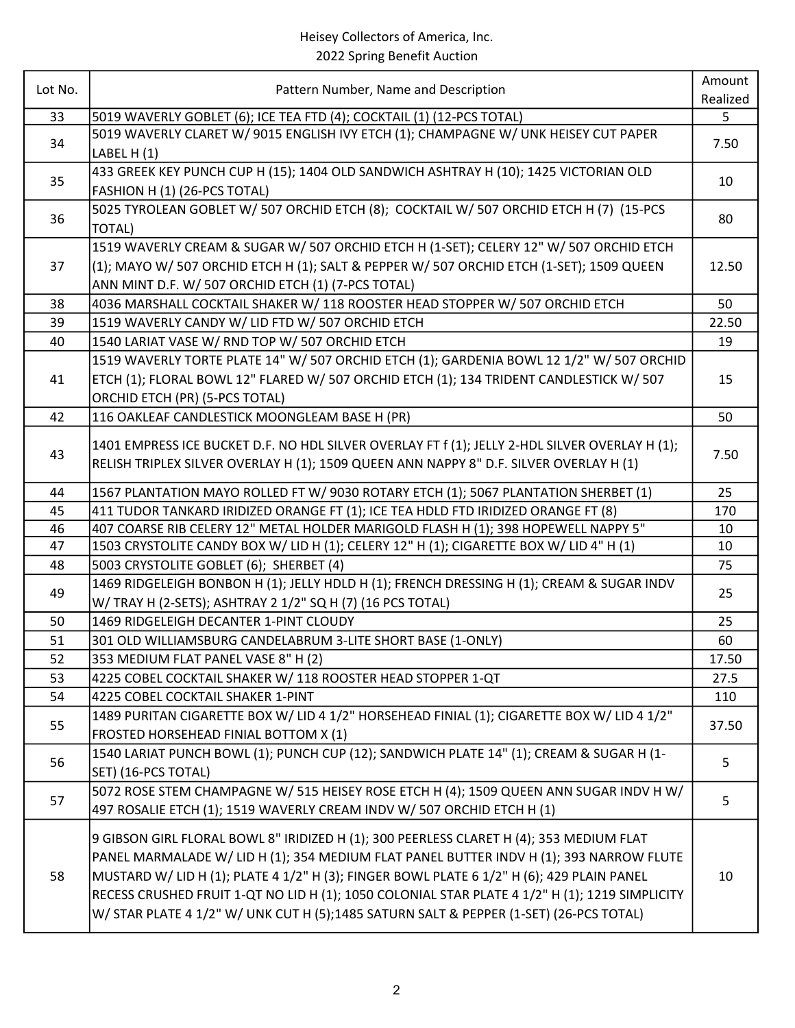| Lot No. | Pattern Number, Name and Description                                                           | Amount<br>Realized |
|---------|------------------------------------------------------------------------------------------------|--------------------|
| 33      | 5019 WAVERLY GOBLET (6); ICE TEA FTD (4); COCKTAIL (1) (12-PCS TOTAL)                          | 5                  |
|         | 5019 WAVERLY CLARET W/9015 ENGLISH IVY ETCH (1); CHAMPAGNE W/ UNK HEISEY CUT PAPER             |                    |
| 34      | LABEL $H(1)$                                                                                   | 7.50               |
|         | 433 GREEK KEY PUNCH CUP H (15); 1404 OLD SANDWICH ASHTRAY H (10); 1425 VICTORIAN OLD           |                    |
| 35      | FASHION H (1) (26-PCS TOTAL)                                                                   | 10                 |
|         | 5025 TYROLEAN GOBLET W/507 ORCHID ETCH (8); COCKTAIL W/507 ORCHID ETCH H (7) (15-PCS           |                    |
| 36      | <b>TOTAL)</b>                                                                                  | 80                 |
|         | 1519 WAVERLY CREAM & SUGAR W/ 507 ORCHID ETCH H (1-SET); CELERY 12" W/ 507 ORCHID ETCH         |                    |
| 37      | (1); MAYO W/ 507 ORCHID ETCH H (1); SALT & PEPPER W/ 507 ORCHID ETCH (1-SET); 1509 QUEEN       | 12.50              |
|         | ANN MINT D.F. W/ 507 ORCHID ETCH (1) (7-PCS TOTAL)                                             |                    |
| 38      | 4036 MARSHALL COCKTAIL SHAKER W/ 118 ROOSTER HEAD STOPPER W/ 507 ORCHID ETCH                   | 50                 |
| 39      | 1519 WAVERLY CANDY W/ LID FTD W/ 507 ORCHID ETCH                                               | 22.50              |
| 40      | 1540 LARIAT VASE W/ RND TOP W/ 507 ORCHID ETCH                                                 | 19                 |
|         | 1519 WAVERLY TORTE PLATE 14" W/ 507 ORCHID ETCH (1); GARDENIA BOWL 12 1/2" W/ 507 ORCHID       |                    |
| 41      | ETCH (1); FLORAL BOWL 12" FLARED W/ 507 ORCHID ETCH (1); 134 TRIDENT CANDLESTICK W/ 507        | 15                 |
|         | ORCHID ETCH (PR) (5-PCS TOTAL)                                                                 |                    |
| 42      | 116 OAKLEAF CANDLESTICK MOONGLEAM BASE H (PR)                                                  | 50                 |
|         |                                                                                                |                    |
| 43      | 1401 EMPRESS ICE BUCKET D.F. NO HDL SILVER OVERLAY FT f (1); JELLY 2-HDL SILVER OVERLAY H (1); | 7.50               |
|         | RELISH TRIPLEX SILVER OVERLAY H (1); 1509 QUEEN ANN NAPPY 8" D.F. SILVER OVERLAY H (1)         |                    |
| 44      | 1567 PLANTATION MAYO ROLLED FT W/ 9030 ROTARY ETCH (1); 5067 PLANTATION SHERBET (1)            | 25                 |
| 45      | 411 TUDOR TANKARD IRIDIZED ORANGE FT (1); ICE TEA HDLD FTD IRIDIZED ORANGE FT (8)              | 170                |
| 46      | 407 COARSE RIB CELERY 12" METAL HOLDER MARIGOLD FLASH H (1); 398 HOPEWELL NAPPY 5"             | 10                 |
| 47      | 1503 CRYSTOLITE CANDY BOX W/ LID H (1); CELERY 12" H (1); CIGARETTE BOX W/ LID 4" H (1)        | 10                 |
| 48      | 5003 CRYSTOLITE GOBLET (6); SHERBET (4)                                                        | 75                 |
| 49      | 1469 RIDGELEIGH BONBON H (1); JELLY HDLD H (1); FRENCH DRESSING H (1); CREAM & SUGAR INDV      | 25                 |
|         | W/ TRAY H (2-SETS); ASHTRAY 2 1/2" SQ H (7) (16 PCS TOTAL)                                     |                    |
| 50      | 1469 RIDGELEIGH DECANTER 1-PINT CLOUDY                                                         | 25                 |
| 51      | 301 OLD WILLIAMSBURG CANDELABRUM 3-LITE SHORT BASE (1-ONLY)                                    | 60                 |
| 52      | 353 MEDIUM FLAT PANEL VASE 8" H (2)                                                            | 17.50              |
| 53      | 4225 COBEL COCKTAIL SHAKER W/ 118 ROOSTER HEAD STOPPER 1-QT                                    | 27.5               |
| 54      | 4225 COBEL COCKTAIL SHAKER 1-PINT                                                              | 110                |
| 55      | 1489 PURITAN CIGARETTE BOX W/ LID 4 1/2" HORSEHEAD FINIAL (1); CIGARETTE BOX W/ LID 4 1/2"     | 37.50              |
|         | FROSTED HORSEHEAD FINIAL BOTTOM X (1)                                                          |                    |
| 56      | 1540 LARIAT PUNCH BOWL (1); PUNCH CUP (12); SANDWICH PLATE 14" (1); CREAM & SUGAR H (1-        | 5                  |
|         | SET) (16-PCS TOTAL)                                                                            |                    |
| 57      | 5072 ROSE STEM CHAMPAGNE W/ 515 HEISEY ROSE ETCH H (4); 1509 QUEEN ANN SUGAR INDV H W/         | 5                  |
|         | 497 ROSALIE ETCH (1); 1519 WAVERLY CREAM INDV W/ 507 ORCHID ETCH H (1)                         |                    |
|         | 9 GIBSON GIRL FLORAL BOWL 8" IRIDIZED H (1); 300 PEERLESS CLARET H (4); 353 MEDIUM FLAT        |                    |
| 58      | PANEL MARMALADE W/ LID H (1); 354 MEDIUM FLAT PANEL BUTTER INDV H (1); 393 NARROW FLUTE        |                    |
|         | MUSTARD W/ LID H (1); PLATE 4 1/2" H (3); FINGER BOWL PLATE 6 1/2" H (6); 429 PLAIN PANEL      | 10                 |
|         | RECESS CRUSHED FRUIT 1-QT NO LID H (1); 1050 COLONIAL STAR PLATE 4 1/2" H (1); 1219 SIMPLICITY |                    |
|         | W/ STAR PLATE 4 1/2" W/ UNK CUT H (5);1485 SATURN SALT & PEPPER (1-SET) (26-PCS TOTAL)         |                    |
|         |                                                                                                |                    |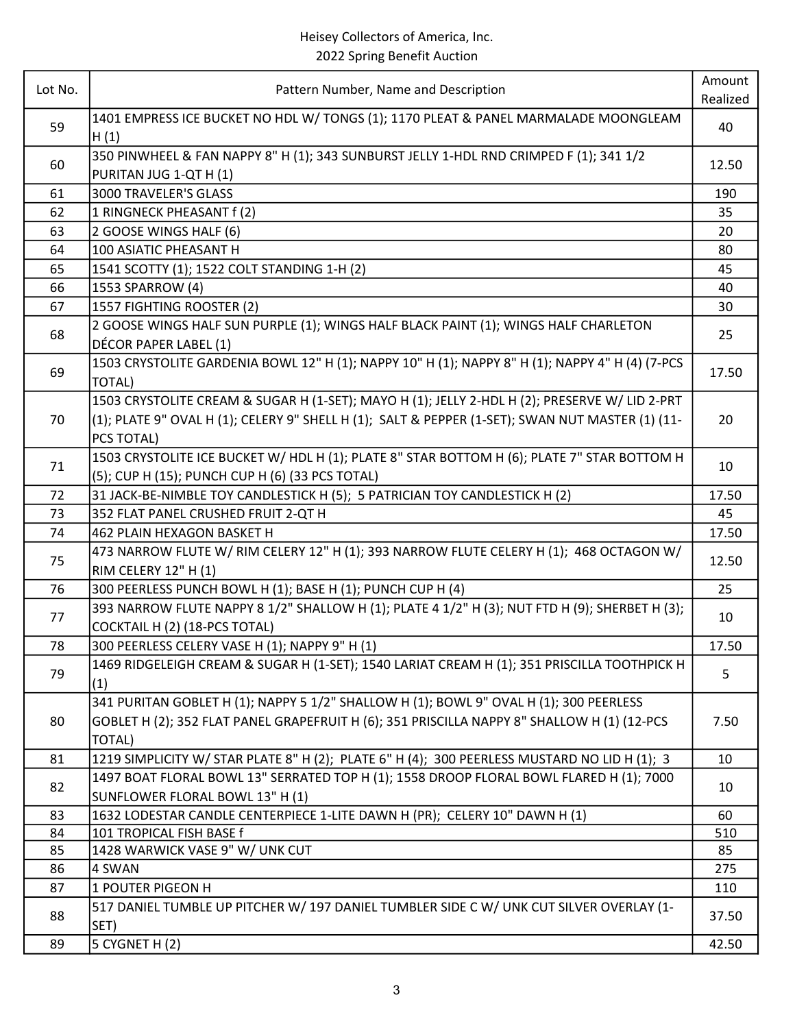|         |                                                                                                              | Amount   |
|---------|--------------------------------------------------------------------------------------------------------------|----------|
| Lot No. | Pattern Number, Name and Description                                                                         | Realized |
| 59      | 1401 EMPRESS ICE BUCKET NO HDL W/ TONGS (1); 1170 PLEAT & PANEL MARMALADE MOONGLEAM<br>H(1)                  | 40       |
| 60      | 350 PINWHEEL & FAN NAPPY 8" H (1); 343 SUNBURST JELLY 1-HDL RND CRIMPED F (1); 341 1/2                       | 12.50    |
|         | PURITAN JUG 1-QT H (1)                                                                                       |          |
| 61      | 3000 TRAVELER'S GLASS                                                                                        | 190      |
| 62      | 1 RINGNECK PHEASANT f (2)                                                                                    | 35       |
| 63      | 2 GOOSE WINGS HALF (6)                                                                                       | 20       |
| 64      | 100 ASIATIC PHEASANT H                                                                                       | 80       |
| 65      | 1541 SCOTTY (1); 1522 COLT STANDING 1-H (2)                                                                  | 45       |
| 66      | 1553 SPARROW (4)                                                                                             | 40       |
| 67      | 1557 FIGHTING ROOSTER (2)                                                                                    | 30       |
| 68      | 2 GOOSE WINGS HALF SUN PURPLE (1); WINGS HALF BLACK PAINT (1); WINGS HALF CHARLETON<br>DÉCOR PAPER LABEL (1) | 25       |
|         | 1503 CRYSTOLITE GARDENIA BOWL 12" H (1); NAPPY 10" H (1); NAPPY 8" H (1); NAPPY 4" H (4) (7-PCS              |          |
| 69      | TOTAL)                                                                                                       | 17.50    |
|         | 1503 CRYSTOLITE CREAM & SUGAR H (1-SET); MAYO H (1); JELLY 2-HDL H (2); PRESERVE W/ LID 2-PRT                |          |
| 70      | (1); PLATE 9" OVAL H (1); CELERY 9" SHELL H (1); SALT & PEPPER (1-SET); SWAN NUT MASTER (1) (11-             | 20       |
|         | PCS TOTAL)                                                                                                   |          |
|         | 1503 CRYSTOLITE ICE BUCKET W/ HDL H (1); PLATE 8" STAR BOTTOM H (6); PLATE 7" STAR BOTTOM H                  |          |
| 71      | (5); CUP H (15); PUNCH CUP H (6) (33 PCS TOTAL)                                                              | 10       |
| 72      | 31 JACK-BE-NIMBLE TOY CANDLESTICK H (5); 5 PATRICIAN TOY CANDLESTICK H (2)                                   | 17.50    |
| 73      | 352 FLAT PANEL CRUSHED FRUIT 2-QT H                                                                          | 45       |
| 74      | 462 PLAIN HEXAGON BASKET H                                                                                   | 17.50    |
|         | 473 NARROW FLUTE W/ RIM CELERY 12" H (1); 393 NARROW FLUTE CELERY H (1); 468 OCTAGON W/                      |          |
| 75      | RIM CELERY 12" H (1)                                                                                         | 12.50    |
| 76      | 300 PEERLESS PUNCH BOWL H (1); BASE H (1); PUNCH CUP H (4)                                                   | 25       |
|         | 393 NARROW FLUTE NAPPY 8 1/2" SHALLOW H (1); PLATE 4 1/2" H (3); NUT FTD H (9); SHERBET H (3);               |          |
| 77      | COCKTAIL H (2) (18-PCS TOTAL)                                                                                | 10       |
| 78      | 300 PEERLESS CELERY VASE H (1); NAPPY 9" H (1)                                                               | 17.50    |
| 79      | 1469 RIDGELEIGH CREAM & SUGAR H (1-SET); 1540 LARIAT CREAM H (1); 351 PRISCILLA TOOTHPICK H<br>(1)           | 5        |
|         | 341 PURITAN GOBLET H (1); NAPPY 5 1/2" SHALLOW H (1); BOWL 9" OVAL H (1); 300 PEERLESS                       |          |
| 80      | GOBLET H (2); 352 FLAT PANEL GRAPEFRUIT H (6); 351 PRISCILLA NAPPY 8" SHALLOW H (1) (12-PCS                  | 7.50     |
|         | <b>TOTAL)</b>                                                                                                |          |
| 81      | 1219 SIMPLICITY W/ STAR PLATE 8" H (2); PLATE 6" H (4); 300 PEERLESS MUSTARD NO LID H (1); 3                 | 10       |
|         | 1497 BOAT FLORAL BOWL 13" SERRATED TOP H (1); 1558 DROOP FLORAL BOWL FLARED H (1); 7000                      |          |
| 82      | SUNFLOWER FLORAL BOWL 13" H (1)                                                                              | 10       |
| 83      | 1632 LODESTAR CANDLE CENTERPIECE 1-LITE DAWN H (PR); CELERY 10" DAWN H (1)                                   | 60       |
| 84      | 101 TROPICAL FISH BASE f                                                                                     | 510      |
| 85      | 1428 WARWICK VASE 9" W/ UNK CUT                                                                              | 85       |
| 86      | 4 SWAN                                                                                                       | 275      |
| 87      | 1 POUTER PIGEON H                                                                                            | 110      |
| 88      | 517 DANIEL TUMBLE UP PITCHER W/197 DANIEL TUMBLER SIDE C W/ UNK CUT SILVER OVERLAY (1-<br>SET)               | 37.50    |
| 89      | 5 CYGNET H (2)                                                                                               | 42.50    |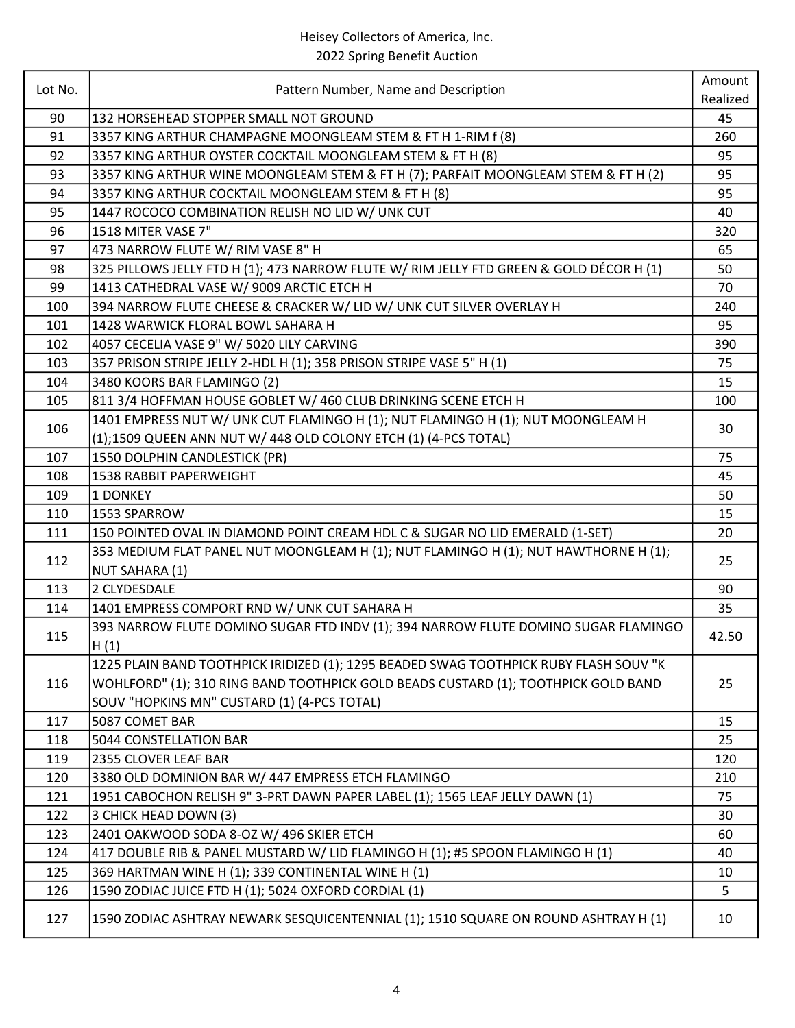| Lot No. | Pattern Number, Name and Description                                                    | Amount   |
|---------|-----------------------------------------------------------------------------------------|----------|
|         |                                                                                         | Realized |
| 90      | 132 HORSEHEAD STOPPER SMALL NOT GROUND                                                  | 45       |
| 91      | 3357 KING ARTHUR CHAMPAGNE MOONGLEAM STEM & FT H 1-RIM f (8)                            | 260      |
| 92      | 3357 KING ARTHUR OYSTER COCKTAIL MOONGLEAM STEM & FT H (8)                              | 95       |
| 93      | 3357 KING ARTHUR WINE MOONGLEAM STEM & FT H (7); PARFAIT MOONGLEAM STEM & FT H (2)      | 95       |
| 94      | 3357 KING ARTHUR COCKTAIL MOONGLEAM STEM & FT H (8)                                     | 95       |
| 95      | 1447 ROCOCO COMBINATION RELISH NO LID W/ UNK CUT                                        | 40       |
| 96      | 1518 MITER VASE 7"                                                                      | 320      |
| 97      | 473 NARROW FLUTE W/ RIM VASE 8" H                                                       | 65       |
| 98      | 325 PILLOWS JELLY FTD H (1); 473 NARROW FLUTE W/ RIM JELLY FTD GREEN & GOLD DÉCOR H (1) | 50       |
| 99      | 1413 CATHEDRAL VASE W/ 9009 ARCTIC ETCH H                                               | 70       |
| 100     | 394 NARROW FLUTE CHEESE & CRACKER W/ LID W/ UNK CUT SILVER OVERLAY H                    | 240      |
| 101     | 1428 WARWICK FLORAL BOWL SAHARA H                                                       | 95       |
| 102     | 4057 CECELIA VASE 9" W/ 5020 LILY CARVING                                               | 390      |
| 103     | 357 PRISON STRIPE JELLY 2-HDL H (1); 358 PRISON STRIPE VASE 5" H (1)                    | 75       |
| 104     | 3480 KOORS BAR FLAMINGO (2)                                                             | 15       |
| 105     | 811 3/4 HOFFMAN HOUSE GOBLET W/ 460 CLUB DRINKING SCENE ETCH H                          | 100      |
|         | 1401 EMPRESS NUT W/ UNK CUT FLAMINGO H (1); NUT FLAMINGO H (1); NUT MOONGLEAM H         |          |
| 106     | (1);1509 QUEEN ANN NUT W/ 448 OLD COLONY ETCH (1) (4-PCS TOTAL)                         | 30       |
| 107     | 1550 DOLPHIN CANDLESTICK (PR)                                                           | 75       |
| 108     | <b>1538 RABBIT PAPERWEIGHT</b>                                                          | 45       |
| 109     | 1 DONKEY                                                                                | 50       |
| 110     | 1553 SPARROW                                                                            | 15       |
| 111     | 150 POINTED OVAL IN DIAMOND POINT CREAM HDL C & SUGAR NO LID EMERALD (1-SET)            | 20       |
|         | 353 MEDIUM FLAT PANEL NUT MOONGLEAM H (1); NUT FLAMINGO H (1); NUT HAWTHORNE H (1);     |          |
| 112     | NUT SAHARA (1)                                                                          | 25       |
| 113     | 2 CLYDESDALE                                                                            | 90       |
| 114     | 1401 EMPRESS COMPORT RND W/ UNK CUT SAHARA H                                            | 35       |
|         | 393 NARROW FLUTE DOMINO SUGAR FTD INDV (1); 394 NARROW FLUTE DOMINO SUGAR FLAMINGO      |          |
| 115     | H(1)                                                                                    | 42.50    |
|         | 1225 PLAIN BAND TOOTHPICK IRIDIZED (1); 1295 BEADED SWAG TOOTHPICK RUBY FLASH SOUV "K   |          |
| 116     | WOHLFORD" (1); 310 RING BAND TOOTHPICK GOLD BEADS CUSTARD (1); TOOTHPICK GOLD BAND      | 25       |
|         | SOUV "HOPKINS MN" CUSTARD (1) (4-PCS TOTAL)                                             |          |
| 117     | 5087 COMET BAR                                                                          | 15       |
| 118     | 5044 CONSTELLATION BAR                                                                  | 25       |
| 119     | 2355 CLOVER LEAF BAR                                                                    | 120      |
| 120     | 3380 OLD DOMINION BAR W/ 447 EMPRESS ETCH FLAMINGO                                      | 210      |
| 121     | 1951 CABOCHON RELISH 9" 3-PRT DAWN PAPER LABEL (1); 1565 LEAF JELLY DAWN (1)            | 75       |
| 122     | 3 CHICK HEAD DOWN (3)                                                                   | 30       |
| 123     | 2401 OAKWOOD SODA 8-OZ W/496 SKIER ETCH                                                 | 60       |
| 124     | 417 DOUBLE RIB & PANEL MUSTARD W/ LID FLAMINGO H (1); #5 SPOON FLAMINGO H (1)           | 40       |
| 125     | 369 HARTMAN WINE H (1); 339 CONTINENTAL WINE H (1)                                      | 10       |
| 126     | 1590 ZODIAC JUICE FTD H (1); 5024 OXFORD CORDIAL (1)                                    | 5        |
|         |                                                                                         |          |
| 127     | 1590 ZODIAC ASHTRAY NEWARK SESQUICENTENNIAL (1); 1510 SQUARE ON ROUND ASHTRAY H (1)     | 10       |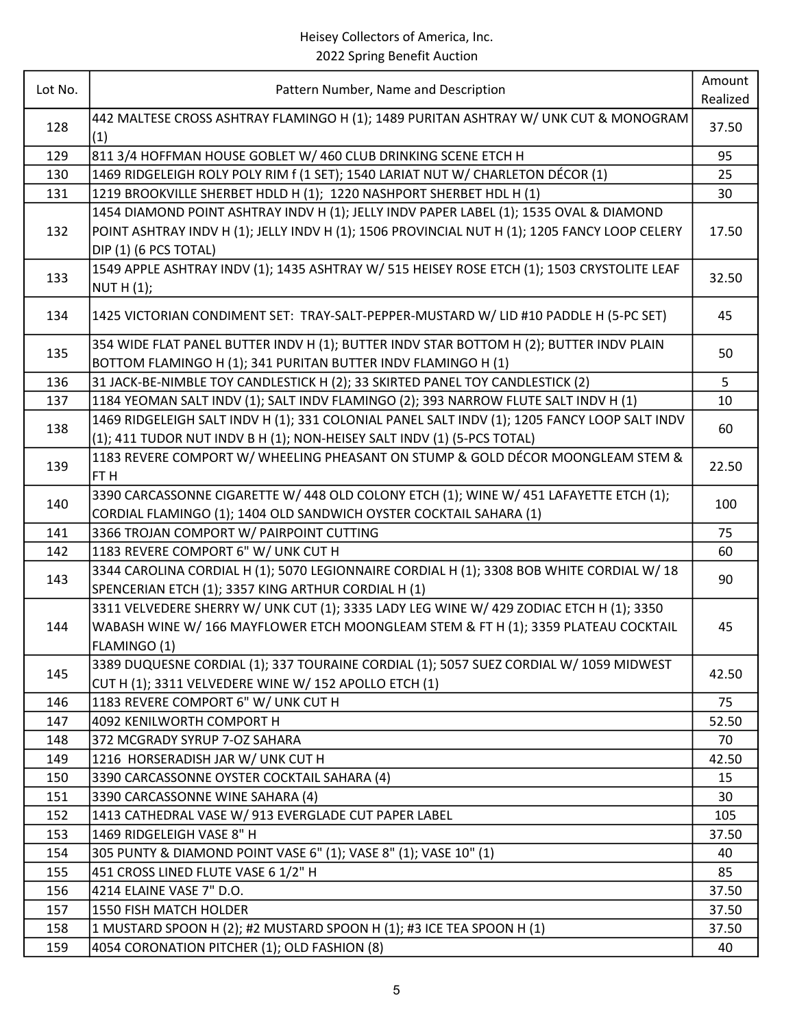| Lot No. |                                                                                               | Amount   |
|---------|-----------------------------------------------------------------------------------------------|----------|
|         | Pattern Number, Name and Description                                                          | Realized |
| 128     | 442 MALTESE CROSS ASHTRAY FLAMINGO H (1); 1489 PURITAN ASHTRAY W/ UNK CUT & MONOGRAM          | 37.50    |
|         | (1)                                                                                           |          |
| 129     | 811 3/4 HOFFMAN HOUSE GOBLET W/ 460 CLUB DRINKING SCENE ETCH H                                | 95       |
| 130     | 1469 RIDGELEIGH ROLY POLY RIM f (1 SET); 1540 LARIAT NUT W/ CHARLETON DÉCOR (1)               | 25       |
| 131     | 1219 BROOKVILLE SHERBET HDLD H (1); 1220 NASHPORT SHERBET HDL H (1)                           | 30       |
|         | 1454 DIAMOND POINT ASHTRAY INDV H (1); JELLY INDV PAPER LABEL (1); 1535 OVAL & DIAMOND        |          |
| 132     | POINT ASHTRAY INDV H (1); JELLY INDV H (1); 1506 PROVINCIAL NUT H (1); 1205 FANCY LOOP CELERY | 17.50    |
|         | DIP (1) (6 PCS TOTAL)                                                                         |          |
|         | 1549 APPLE ASHTRAY INDV (1); 1435 ASHTRAY W/ 515 HEISEY ROSE ETCH (1); 1503 CRYSTOLITE LEAF   |          |
| 133     | NUT H $(1)$ ;                                                                                 | 32.50    |
| 134     | 1425 VICTORIAN CONDIMENT SET: TRAY-SALT-PEPPER-MUSTARD W/ LID #10 PADDLE H (5-PC SET)         | 45       |
|         |                                                                                               |          |
| 135     | 354 WIDE FLAT PANEL BUTTER INDV H (1); BUTTER INDV STAR BOTTOM H (2); BUTTER INDV PLAIN       | 50       |
|         | BOTTOM FLAMINGO H (1); 341 PURITAN BUTTER INDV FLAMINGO H (1)                                 |          |
| 136     | 31 JACK-BE-NIMBLE TOY CANDLESTICK H (2); 33 SKIRTED PANEL TOY CANDLESTICK (2)                 | 5        |
| 137     | 1184 YEOMAN SALT INDV (1); SALT INDV FLAMINGO (2); 393 NARROW FLUTE SALT INDV H (1)           | 10       |
| 138     | 1469 RIDGELEIGH SALT INDV H (1); 331 COLONIAL PANEL SALT INDV (1); 1205 FANCY LOOP SALT INDV  | 60       |
|         | (1); 411 TUDOR NUT INDV B H (1); NON-HEISEY SALT INDV (1) (5-PCS TOTAL)                       |          |
| 139     | 1183 REVERE COMPORT W/ WHEELING PHEASANT ON STUMP & GOLD DÉCOR MOONGLEAM STEM &               | 22.50    |
|         | FT H                                                                                          |          |
| 140     | 3390 CARCASSONNE CIGARETTE W/ 448 OLD COLONY ETCH (1); WINE W/ 451 LAFAYETTE ETCH (1);        | 100      |
|         | CORDIAL FLAMINGO (1); 1404 OLD SANDWICH OYSTER COCKTAIL SAHARA (1)                            |          |
| 141     | 3366 TROJAN COMPORT W/ PAIRPOINT CUTTING                                                      | 75       |
| 142     | 1183 REVERE COMPORT 6" W/ UNK CUT H                                                           | 60       |
| 143     | 3344 CAROLINA CORDIAL H (1); 5070 LEGIONNAIRE CORDIAL H (1); 3308 BOB WHITE CORDIAL W/ 18     | 90       |
|         | SPENCERIAN ETCH (1); 3357 KING ARTHUR CORDIAL H (1)                                           |          |
|         | 3311 VELVEDERE SHERRY W/ UNK CUT (1); 3335 LADY LEG WINE W/ 429 ZODIAC ETCH H (1); 3350       |          |
| 144     | WABASH WINE W/ 166 MAYFLOWER ETCH MOONGLEAM STEM & FT H (1); 3359 PLATEAU COCKTAIL            | 45       |
|         | FLAMINGO (1)                                                                                  |          |
| 145     | 3389 DUQUESNE CORDIAL (1); 337 TOURAINE CORDIAL (1); 5057 SUEZ CORDIAL W/ 1059 MIDWEST        | 42.50    |
|         | CUT H (1); 3311 VELVEDERE WINE W/ 152 APOLLO ETCH (1)                                         |          |
| 146     | 1183 REVERE COMPORT 6" W/ UNK CUT H                                                           | 75       |
| 147     | 4092 KENILWORTH COMPORT H                                                                     | 52.50    |
| 148     | 372 MCGRADY SYRUP 7-OZ SAHARA                                                                 | 70       |
| 149     | 1216 HORSERADISH JAR W/ UNK CUT H                                                             | 42.50    |
| 150     | 3390 CARCASSONNE OYSTER COCKTAIL SAHARA (4)                                                   | 15       |
| 151     | 3390 CARCASSONNE WINE SAHARA (4)                                                              | 30       |
| 152     | 1413 CATHEDRAL VASE W/ 913 EVERGLADE CUT PAPER LABEL                                          | 105      |
| 153     | 1469 RIDGELEIGH VASE 8" H                                                                     | 37.50    |
| 154     | 305 PUNTY & DIAMOND POINT VASE 6" (1); VASE 8" (1); VASE 10" (1)                              | 40       |
| 155     | 451 CROSS LINED FLUTE VASE 6 1/2" H                                                           | 85       |
| 156     | 4214 ELAINE VASE 7" D.O.                                                                      | 37.50    |
| 157     | 1550 FISH MATCH HOLDER                                                                        | 37.50    |
| 158     | 1 MUSTARD SPOON H (2); #2 MUSTARD SPOON H (1); #3 ICE TEA SPOON H (1)                         | 37.50    |
| 159     | 4054 CORONATION PITCHER (1); OLD FASHION (8)                                                  | 40       |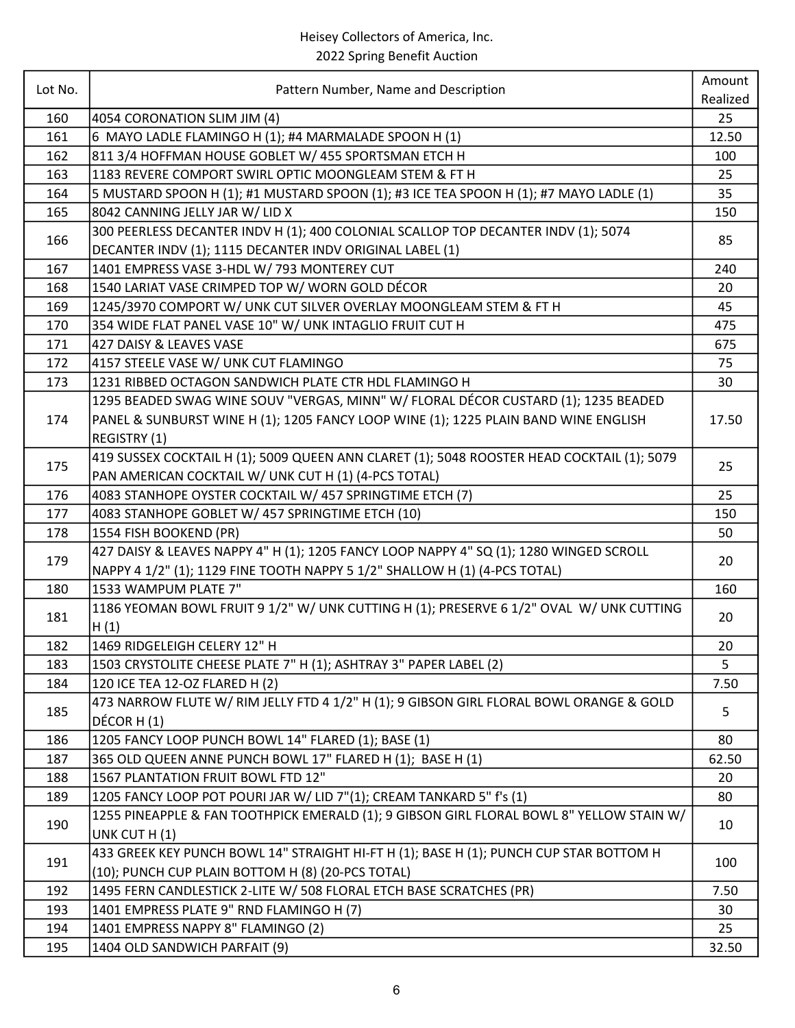| Lot No. | Pattern Number, Name and Description                                                                                                           | Amount<br>Realized |
|---------|------------------------------------------------------------------------------------------------------------------------------------------------|--------------------|
| 160     | 4054 CORONATION SLIM JIM (4)                                                                                                                   | 25                 |
| 161     | 6 MAYO LADLE FLAMINGO H (1); #4 MARMALADE SPOON H (1)                                                                                          | 12.50              |
| 162     | 811 3/4 HOFFMAN HOUSE GOBLET W/ 455 SPORTSMAN ETCH H                                                                                           | 100                |
| 163     | 1183 REVERE COMPORT SWIRL OPTIC MOONGLEAM STEM & FT H                                                                                          | 25                 |
| 164     | 5 MUSTARD SPOON H (1); #1 MUSTARD SPOON (1); #3 ICE TEA SPOON H (1); #7 MAYO LADLE (1)                                                         | 35                 |
| 165     | 8042 CANNING JELLY JAR W/ LID X                                                                                                                | 150                |
| 166     | 300 PEERLESS DECANTER INDV H (1); 400 COLONIAL SCALLOP TOP DECANTER INDV (1); 5074<br>DECANTER INDV (1); 1115 DECANTER INDV ORIGINAL LABEL (1) | 85                 |
| 167     | 1401 EMPRESS VASE 3-HDL W/793 MONTEREY CUT                                                                                                     | 240                |
| 168     | 1540 LARIAT VASE CRIMPED TOP W/ WORN GOLD DÉCOR                                                                                                | 20                 |
| 169     | 1245/3970 COMPORT W/ UNK CUT SILVER OVERLAY MOONGLEAM STEM & FT H                                                                              | 45                 |
| 170     | 354 WIDE FLAT PANEL VASE 10" W/ UNK INTAGLIO FRUIT CUT H                                                                                       | 475                |
| 171     | 427 DAISY & LEAVES VASE                                                                                                                        | 675                |
| 172     | 4157 STEELE VASE W/ UNK CUT FLAMINGO                                                                                                           | 75                 |
| 173     | 1231 RIBBED OCTAGON SANDWICH PLATE CTR HDL FLAMINGO H                                                                                          | 30                 |
|         | 1295 BEADED SWAG WINE SOUV "VERGAS, MINN" W/ FLORAL DÉCOR CUSTARD (1); 1235 BEADED                                                             |                    |
| 174     | PANEL & SUNBURST WINE H (1); 1205 FANCY LOOP WINE (1); 1225 PLAIN BAND WINE ENGLISH                                                            | 17.50              |
|         | REGISTRY (1)                                                                                                                                   |                    |
|         | 419 SUSSEX COCKTAIL H (1); 5009 QUEEN ANN CLARET (1); 5048 ROOSTER HEAD COCKTAIL (1); 5079                                                     |                    |
| 175     | PAN AMERICAN COCKTAIL W/ UNK CUT H (1) (4-PCS TOTAL)                                                                                           | 25                 |
| 176     | 4083 STANHOPE OYSTER COCKTAIL W/ 457 SPRINGTIME ETCH (7)                                                                                       | 25                 |
| 177     | 4083 STANHOPE GOBLET W/ 457 SPRINGTIME ETCH (10)                                                                                               | 150                |
| 178     | 1554 FISH BOOKEND (PR)                                                                                                                         | 50                 |
| 179     | 427 DAISY & LEAVES NAPPY 4" H (1); 1205 FANCY LOOP NAPPY 4" SQ (1); 1280 WINGED SCROLL                                                         | 20                 |
|         | NAPPY 4 1/2" (1); 1129 FINE TOOTH NAPPY 5 1/2" SHALLOW H (1) (4-PCS TOTAL)                                                                     |                    |
| 180     | 1533 WAMPUM PLATE 7"                                                                                                                           | 160                |
| 181     | 1186 YEOMAN BOWL FRUIT 9 1/2" W/ UNK CUTTING H (1); PRESERVE 6 1/2" OVAL W/ UNK CUTTING<br>H(1)                                                | 20                 |
| 182     | 1469 RIDGELEIGH CELERY 12" H                                                                                                                   | 20                 |
| 183     | 1503 CRYSTOLITE CHEESE PLATE 7" H (1); ASHTRAY 3" PAPER LABEL (2)                                                                              | 5                  |
| 184     | 120 ICE TEA 12-OZ FLARED H (2)                                                                                                                 | 7.50               |
| 185     | 473 NARROW FLUTE W/ RIM JELLY FTD 4 1/2" H (1); 9 GIBSON GIRL FLORAL BOWL ORANGE & GOLD<br>DÉCOR H (1)                                         | 5                  |
| 186     | 1205 FANCY LOOP PUNCH BOWL 14" FLARED (1); BASE (1)                                                                                            | 80                 |
| 187     | 365 OLD QUEEN ANNE PUNCH BOWL 17" FLARED H (1); BASE H (1)                                                                                     | 62.50              |
| 188     | 1567 PLANTATION FRUIT BOWL FTD 12"                                                                                                             | 20                 |
| 189     | 1205 FANCY LOOP POT POURI JAR W/ LID 7"(1); CREAM TANKARD 5" f's (1)                                                                           | 80                 |
| 190     | 1255 PINEAPPLE & FAN TOOTHPICK EMERALD (1); 9 GIBSON GIRL FLORAL BOWL 8" YELLOW STAIN W/<br>UNK CUT H(1)                                       | 10                 |
| 191     | 433 GREEK KEY PUNCH BOWL 14" STRAIGHT HI-FT H (1); BASE H (1); PUNCH CUP STAR BOTTOM H<br>(10); PUNCH CUP PLAIN BOTTOM H (8) (20-PCS TOTAL)    | 100                |
| 192     | 1495 FERN CANDLESTICK 2-LITE W/ 508 FLORAL ETCH BASE SCRATCHES (PR)                                                                            | 7.50               |
| 193     | 1401 EMPRESS PLATE 9" RND FLAMINGO H (7)                                                                                                       | 30                 |
| 194     | 1401 EMPRESS NAPPY 8" FLAMINGO (2)                                                                                                             | 25                 |
| 195     | 1404 OLD SANDWICH PARFAIT (9)                                                                                                                  | 32.50              |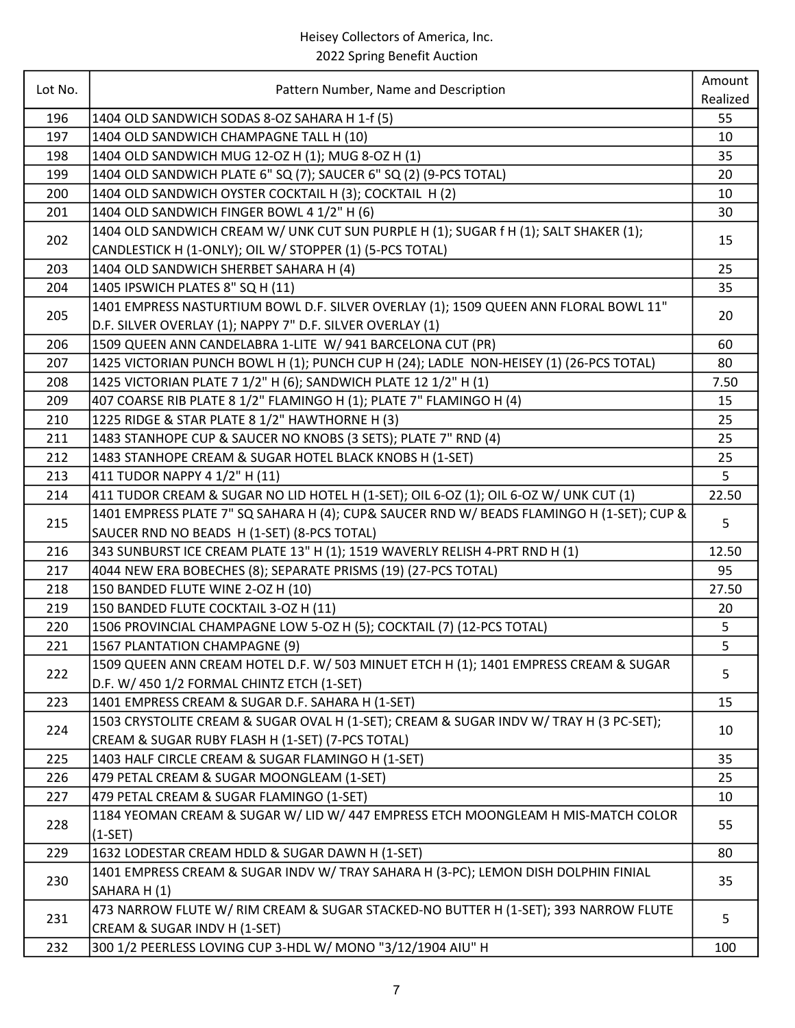|            |                                                                                                                     | Amount   |
|------------|---------------------------------------------------------------------------------------------------------------------|----------|
| Lot No.    | Pattern Number, Name and Description                                                                                | Realized |
| 196        | 1404 OLD SANDWICH SODAS 8-OZ SAHARA H 1-f (5)                                                                       | 55       |
| 197        | 1404 OLD SANDWICH CHAMPAGNE TALL H (10)                                                                             | 10       |
| 198        | 1404 OLD SANDWICH MUG 12-OZ H (1); MUG 8-OZ H (1)                                                                   | 35       |
| 199        | 1404 OLD SANDWICH PLATE 6" SQ (7); SAUCER 6" SQ (2) (9-PCS TOTAL)                                                   | 20       |
| 200        | 1404 OLD SANDWICH OYSTER COCKTAIL H (3); COCKTAIL H (2)                                                             | 10       |
| 201        | 1404 OLD SANDWICH FINGER BOWL 4 1/2" H (6)                                                                          | 30       |
| 202        | 1404 OLD SANDWICH CREAM W/ UNK CUT SUN PURPLE H (1); SUGAR f H (1); SALT SHAKER (1);                                | 15       |
|            | CANDLESTICK H (1-ONLY); OIL W/ STOPPER (1) (5-PCS TOTAL)                                                            |          |
| 203<br>204 | 1404 OLD SANDWICH SHERBET SAHARA H (4)<br>1405 IPSWICH PLATES 8" SQ H (11)                                          | 25<br>35 |
|            | 1401 EMPRESS NASTURTIUM BOWL D.F. SILVER OVERLAY (1); 1509 QUEEN ANN FLORAL BOWL 11"                                |          |
| 205        | D.F. SILVER OVERLAY (1); NAPPY 7" D.F. SILVER OVERLAY (1)                                                           | 20       |
| 206        | 1509 QUEEN ANN CANDELABRA 1-LITE W/ 941 BARCELONA CUT (PR)                                                          | 60       |
| 207        | 1425 VICTORIAN PUNCH BOWL H (1); PUNCH CUP H (24); LADLE NON-HEISEY (1) (26-PCS TOTAL)                              | 80       |
| 208        | 1425 VICTORIAN PLATE 7 1/2" H (6); SANDWICH PLATE 12 1/2" H (1)                                                     | 7.50     |
| 209        | 407 COARSE RIB PLATE 8 1/2" FLAMINGO H (1); PLATE 7" FLAMINGO H (4)                                                 | 15       |
| 210        | 1225 RIDGE & STAR PLATE 8 1/2" HAWTHORNE H (3)                                                                      | 25       |
| 211        | 1483 STANHOPE CUP & SAUCER NO KNOBS (3 SETS); PLATE 7" RND (4)                                                      | 25       |
| 212        | 1483 STANHOPE CREAM & SUGAR HOTEL BLACK KNOBS H (1-SET)                                                             | 25       |
| 213        | 411 TUDOR NAPPY 4 1/2" H (11)                                                                                       | 5        |
| 214        | 411 TUDOR CREAM & SUGAR NO LID HOTEL H (1-SET); OIL 6-OZ (1); OIL 6-OZ W/ UNK CUT (1)                               | 22.50    |
|            | 1401 EMPRESS PLATE 7" SQ SAHARA H (4); CUP& SAUCER RND W/ BEADS FLAMINGO H (1-SET); CUP &                           |          |
| 215        | SAUCER RND NO BEADS H (1-SET) (8-PCS TOTAL)                                                                         | 5        |
| 216        | 343 SUNBURST ICE CREAM PLATE 13" H (1); 1519 WAVERLY RELISH 4-PRT RND H (1)                                         | 12.50    |
| 217        | 4044 NEW ERA BOBECHES (8); SEPARATE PRISMS (19) (27-PCS TOTAL)                                                      | 95       |
| 218        | 150 BANDED FLUTE WINE 2-OZ H (10)                                                                                   | 27.50    |
| 219        | 150 BANDED FLUTE COCKTAIL 3-OZ H (11)                                                                               | 20       |
| 220        | 1506 PROVINCIAL CHAMPAGNE LOW 5-OZ H (5); COCKTAIL (7) (12-PCS TOTAL)                                               | 5        |
| 221        | 1567 PLANTATION CHAMPAGNE (9)                                                                                       | 5        |
|            | 1509 QUEEN ANN CREAM HOTEL D.F. W/ 503 MINUET ETCH H (1); 1401 EMPRESS CREAM & SUGAR                                |          |
| 222        | D.F. W/ 450 1/2 FORMAL CHINTZ ETCH (1-SET)                                                                          | 5        |
| 223        | 1401 EMPRESS CREAM & SUGAR D.F. SAHARA H (1-SET)                                                                    | 15       |
|            | 1503 CRYSTOLITE CREAM & SUGAR OVAL H (1-SET); CREAM & SUGAR INDV W/ TRAY H (3 PC-SET);                              |          |
| 224        | CREAM & SUGAR RUBY FLASH H (1-SET) (7-PCS TOTAL)                                                                    | 10       |
| 225        | 1403 HALF CIRCLE CREAM & SUGAR FLAMINGO H (1-SET)                                                                   | 35       |
| 226        | 479 PETAL CREAM & SUGAR MOONGLEAM (1-SET)                                                                           | 25       |
| 227        | 479 PETAL CREAM & SUGAR FLAMINGO (1-SET)                                                                            | 10       |
| 228        | 1184 YEOMAN CREAM & SUGAR W/ LID W/ 447 EMPRESS ETCH MOONGLEAM H MIS-MATCH COLOR                                    | 55       |
|            | $(1-SET)$                                                                                                           |          |
| 229        | 1632 LODESTAR CREAM HDLD & SUGAR DAWN H (1-SET)                                                                     | 80       |
| 230        | 1401 EMPRESS CREAM & SUGAR INDV W/ TRAY SAHARA H (3-PC); LEMON DISH DOLPHIN FINIAL                                  | 35       |
|            | SAHARA H(1)                                                                                                         |          |
| 231        | 473 NARROW FLUTE W/ RIM CREAM & SUGAR STACKED-NO BUTTER H (1-SET); 393 NARROW FLUTE<br>CREAM & SUGAR INDV H (1-SET) | 5        |
| 232        | 300 1/2 PEERLESS LOVING CUP 3-HDL W/ MONO "3/12/1904 AIU" H                                                         | 100      |
|            |                                                                                                                     |          |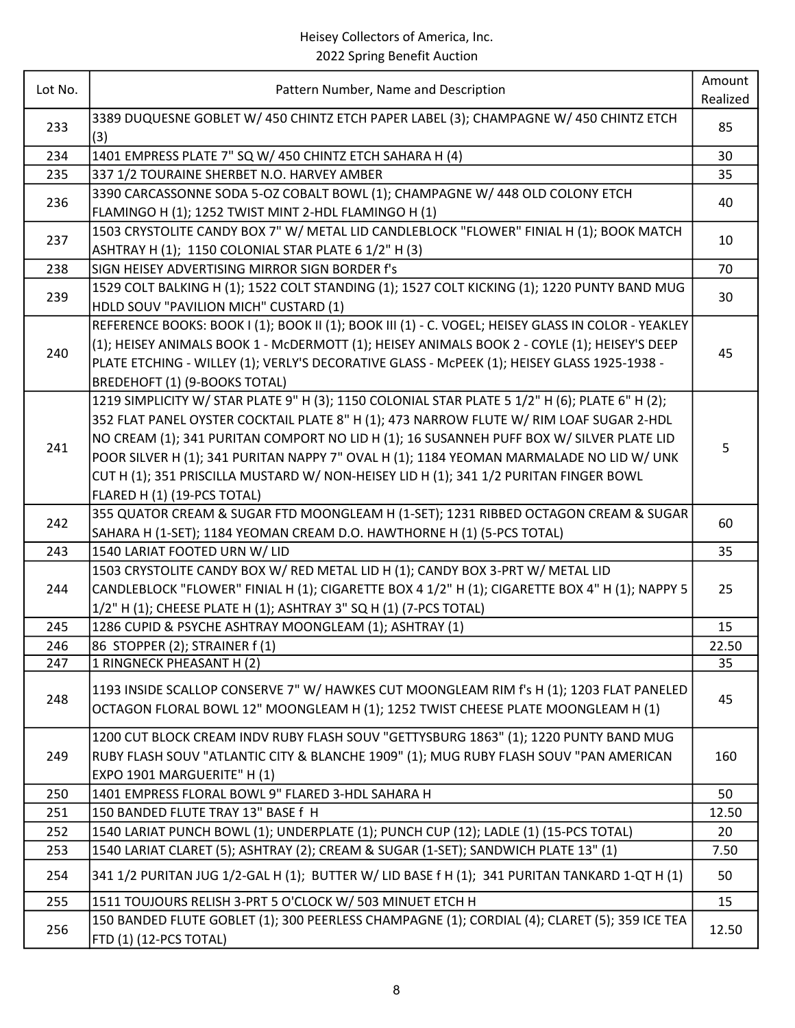| Pattern Number, Name and Description<br>Realized<br>3389 DUQUESNE GOBLET W/ 450 CHINTZ ETCH PAPER LABEL (3); CHAMPAGNE W/ 450 CHINTZ ETCH<br>233<br>85<br>(3)<br>1401 EMPRESS PLATE 7" SQ W/ 450 CHINTZ ETCH SAHARA H (4)<br>30<br>234<br>235<br>35<br>337 1/2 TOURAINE SHERBET N.O. HARVEY AMBER<br>3390 CARCASSONNE SODA 5-OZ COBALT BOWL (1); CHAMPAGNE W/ 448 OLD COLONY ETCH<br>236<br>40<br>FLAMINGO H (1); 1252 TWIST MINT 2-HDL FLAMINGO H (1)<br>1503 CRYSTOLITE CANDY BOX 7" W/ METAL LID CANDLEBLOCK "FLOWER" FINIAL H (1); BOOK MATCH<br>237<br>10<br>ASHTRAY H (1); 1150 COLONIAL STAR PLATE 6 1/2" H (3)<br>SIGN HEISEY ADVERTISING MIRROR SIGN BORDER f's<br>238<br>70<br>1529 COLT BALKING H (1); 1522 COLT STANDING (1); 1527 COLT KICKING (1); 1220 PUNTY BAND MUG<br>239<br>30<br>HDLD SOUV "PAVILION MICH" CUSTARD (1)<br>REFERENCE BOOKS: BOOK I (1); BOOK II (1); BOOK III (1) - C. VOGEL; HEISEY GLASS IN COLOR - YEAKLEY<br>(1); HEISEY ANIMALS BOOK 1 - MCDERMOTT (1); HEISEY ANIMALS BOOK 2 - COYLE (1); HEISEY'S DEEP<br>240<br>45<br>PLATE ETCHING - WILLEY (1); VERLY'S DECORATIVE GLASS - McPEEK (1); HEISEY GLASS 1925-1938 -<br>BREDEHOFT (1) (9-BOOKS TOTAL)<br>1219 SIMPLICITY W/ STAR PLATE 9" H (3); 1150 COLONIAL STAR PLATE 5 1/2" H (6); PLATE 6" H (2);<br>352 FLAT PANEL OYSTER COCKTAIL PLATE 8" H (1); 473 NARROW FLUTE W/ RIM LOAF SUGAR 2-HDL<br>NO CREAM (1); 341 PURITAN COMPORT NO LID H (1); 16 SUSANNEH PUFF BOX W/ SILVER PLATE LID<br>241<br>5<br>POOR SILVER H (1); 341 PURITAN NAPPY 7" OVAL H (1); 1184 YEOMAN MARMALADE NO LID W/ UNK<br>CUT H (1); 351 PRISCILLA MUSTARD W/ NON-HEISEY LID H (1); 341 1/2 PURITAN FINGER BOWL<br>FLARED H (1) (19-PCS TOTAL)<br>355 QUATOR CREAM & SUGAR FTD MOONGLEAM H (1-SET); 1231 RIBBED OCTAGON CREAM & SUGAR<br>242<br>60<br>SAHARA H (1-SET); 1184 YEOMAN CREAM D.O. HAWTHORNE H (1) (5-PCS TOTAL)<br>243<br>1540 LARIAT FOOTED URN W/ LID<br>35<br>1503 CRYSTOLITE CANDY BOX W/ RED METAL LID H (1); CANDY BOX 3-PRT W/ METAL LID<br>CANDLEBLOCK "FLOWER" FINIAL H (1); CIGARETTE BOX 4 1/2" H (1); CIGARETTE BOX 4" H (1); NAPPY 5<br>244<br>25<br>1/2" H (1); CHEESE PLATE H (1); ASHTRAY 3" SQ H (1) (7-PCS TOTAL)<br>1286 CUPID & PSYCHE ASHTRAY MOONGLEAM (1); ASHTRAY (1)<br>15<br>245<br>246<br>86 STOPPER (2); STRAINER f (1)<br>22.50<br>247<br>1 RINGNECK PHEASANT H (2)<br>35<br>1193 INSIDE SCALLOP CONSERVE 7" W/ HAWKES CUT MOONGLEAM RIM f's H (1); 1203 FLAT PANELED<br>45<br>248<br>OCTAGON FLORAL BOWL 12" MOONGLEAM H (1); 1252 TWIST CHEESE PLATE MOONGLEAM H (1)<br>1200 CUT BLOCK CREAM INDV RUBY FLASH SOUV "GETTYSBURG 1863" (1); 1220 PUNTY BAND MUG<br>RUBY FLASH SOUV "ATLANTIC CITY & BLANCHE 1909" (1); MUG RUBY FLASH SOUV "PAN AMERICAN<br>249<br>160<br>EXPO 1901 MARGUERITE" H (1)<br>250<br>1401 EMPRESS FLORAL BOWL 9" FLARED 3-HDL SAHARA H<br>50<br>150 BANDED FLUTE TRAY 13" BASE f H<br>251<br>12.50<br>252<br>1540 LARIAT PUNCH BOWL (1); UNDERPLATE (1); PUNCH CUP (12); LADLE (1) (15-PCS TOTAL)<br>20<br>253<br>1540 LARIAT CLARET (5); ASHTRAY (2); CREAM & SUGAR (1-SET); SANDWICH PLATE 13" (1)<br>7.50<br>341 1/2 PURITAN JUG 1/2-GAL H (1); BUTTER W/ LID BASE f H (1); 341 PURITAN TANKARD 1-QT H (1)<br>50<br>254<br>255<br>1511 TOUJOURS RELISH 3-PRT 5 O'CLOCK W/ 503 MINUET ETCH H<br>15<br>150 BANDED FLUTE GOBLET (1); 300 PEERLESS CHAMPAGNE (1); CORDIAL (4); CLARET (5); 359 ICE TEA<br>256<br>12.50<br>FTD (1) (12-PCS TOTAL) | Lot No. |  | Amount |
|--------------------------------------------------------------------------------------------------------------------------------------------------------------------------------------------------------------------------------------------------------------------------------------------------------------------------------------------------------------------------------------------------------------------------------------------------------------------------------------------------------------------------------------------------------------------------------------------------------------------------------------------------------------------------------------------------------------------------------------------------------------------------------------------------------------------------------------------------------------------------------------------------------------------------------------------------------------------------------------------------------------------------------------------------------------------------------------------------------------------------------------------------------------------------------------------------------------------------------------------------------------------------------------------------------------------------------------------------------------------------------------------------------------------------------------------------------------------------------------------------------------------------------------------------------------------------------------------------------------------------------------------------------------------------------------------------------------------------------------------------------------------------------------------------------------------------------------------------------------------------------------------------------------------------------------------------------------------------------------------------------------------------------------------------------------------------------------------------------------------------------------------------------------------------------------------------------------------------------------------------------------------------------------------------------------------------------------------------------------------------------------------------------------------------------------------------------------------------------------------------------------------------------------------------------------------------------------------------------------------------------------------------------------------------------------------------------------------------------------------------------------------------------------------------------------------------------------------------------------------------------------------------------------------------------------------------------------------------------------------------------------------------------------------------------------------------------------------------------------------------------------------------------------------------------------------------------------------------------------------------------------------------------------------------------------------------------------------------------------------------------------------------------------------------------------------------------------------------------------------|---------|--|--------|
|                                                                                                                                                                                                                                                                                                                                                                                                                                                                                                                                                                                                                                                                                                                                                                                                                                                                                                                                                                                                                                                                                                                                                                                                                                                                                                                                                                                                                                                                                                                                                                                                                                                                                                                                                                                                                                                                                                                                                                                                                                                                                                                                                                                                                                                                                                                                                                                                                                                                                                                                                                                                                                                                                                                                                                                                                                                                                                                                                                                                                                                                                                                                                                                                                                                                                                                                                                                                                                                                                            |         |  |        |
|                                                                                                                                                                                                                                                                                                                                                                                                                                                                                                                                                                                                                                                                                                                                                                                                                                                                                                                                                                                                                                                                                                                                                                                                                                                                                                                                                                                                                                                                                                                                                                                                                                                                                                                                                                                                                                                                                                                                                                                                                                                                                                                                                                                                                                                                                                                                                                                                                                                                                                                                                                                                                                                                                                                                                                                                                                                                                                                                                                                                                                                                                                                                                                                                                                                                                                                                                                                                                                                                                            |         |  |        |
|                                                                                                                                                                                                                                                                                                                                                                                                                                                                                                                                                                                                                                                                                                                                                                                                                                                                                                                                                                                                                                                                                                                                                                                                                                                                                                                                                                                                                                                                                                                                                                                                                                                                                                                                                                                                                                                                                                                                                                                                                                                                                                                                                                                                                                                                                                                                                                                                                                                                                                                                                                                                                                                                                                                                                                                                                                                                                                                                                                                                                                                                                                                                                                                                                                                                                                                                                                                                                                                                                            |         |  |        |
|                                                                                                                                                                                                                                                                                                                                                                                                                                                                                                                                                                                                                                                                                                                                                                                                                                                                                                                                                                                                                                                                                                                                                                                                                                                                                                                                                                                                                                                                                                                                                                                                                                                                                                                                                                                                                                                                                                                                                                                                                                                                                                                                                                                                                                                                                                                                                                                                                                                                                                                                                                                                                                                                                                                                                                                                                                                                                                                                                                                                                                                                                                                                                                                                                                                                                                                                                                                                                                                                                            |         |  |        |
|                                                                                                                                                                                                                                                                                                                                                                                                                                                                                                                                                                                                                                                                                                                                                                                                                                                                                                                                                                                                                                                                                                                                                                                                                                                                                                                                                                                                                                                                                                                                                                                                                                                                                                                                                                                                                                                                                                                                                                                                                                                                                                                                                                                                                                                                                                                                                                                                                                                                                                                                                                                                                                                                                                                                                                                                                                                                                                                                                                                                                                                                                                                                                                                                                                                                                                                                                                                                                                                                                            |         |  |        |
|                                                                                                                                                                                                                                                                                                                                                                                                                                                                                                                                                                                                                                                                                                                                                                                                                                                                                                                                                                                                                                                                                                                                                                                                                                                                                                                                                                                                                                                                                                                                                                                                                                                                                                                                                                                                                                                                                                                                                                                                                                                                                                                                                                                                                                                                                                                                                                                                                                                                                                                                                                                                                                                                                                                                                                                                                                                                                                                                                                                                                                                                                                                                                                                                                                                                                                                                                                                                                                                                                            |         |  |        |
|                                                                                                                                                                                                                                                                                                                                                                                                                                                                                                                                                                                                                                                                                                                                                                                                                                                                                                                                                                                                                                                                                                                                                                                                                                                                                                                                                                                                                                                                                                                                                                                                                                                                                                                                                                                                                                                                                                                                                                                                                                                                                                                                                                                                                                                                                                                                                                                                                                                                                                                                                                                                                                                                                                                                                                                                                                                                                                                                                                                                                                                                                                                                                                                                                                                                                                                                                                                                                                                                                            |         |  |        |
|                                                                                                                                                                                                                                                                                                                                                                                                                                                                                                                                                                                                                                                                                                                                                                                                                                                                                                                                                                                                                                                                                                                                                                                                                                                                                                                                                                                                                                                                                                                                                                                                                                                                                                                                                                                                                                                                                                                                                                                                                                                                                                                                                                                                                                                                                                                                                                                                                                                                                                                                                                                                                                                                                                                                                                                                                                                                                                                                                                                                                                                                                                                                                                                                                                                                                                                                                                                                                                                                                            |         |  |        |
|                                                                                                                                                                                                                                                                                                                                                                                                                                                                                                                                                                                                                                                                                                                                                                                                                                                                                                                                                                                                                                                                                                                                                                                                                                                                                                                                                                                                                                                                                                                                                                                                                                                                                                                                                                                                                                                                                                                                                                                                                                                                                                                                                                                                                                                                                                                                                                                                                                                                                                                                                                                                                                                                                                                                                                                                                                                                                                                                                                                                                                                                                                                                                                                                                                                                                                                                                                                                                                                                                            |         |  |        |
|                                                                                                                                                                                                                                                                                                                                                                                                                                                                                                                                                                                                                                                                                                                                                                                                                                                                                                                                                                                                                                                                                                                                                                                                                                                                                                                                                                                                                                                                                                                                                                                                                                                                                                                                                                                                                                                                                                                                                                                                                                                                                                                                                                                                                                                                                                                                                                                                                                                                                                                                                                                                                                                                                                                                                                                                                                                                                                                                                                                                                                                                                                                                                                                                                                                                                                                                                                                                                                                                                            |         |  |        |
|                                                                                                                                                                                                                                                                                                                                                                                                                                                                                                                                                                                                                                                                                                                                                                                                                                                                                                                                                                                                                                                                                                                                                                                                                                                                                                                                                                                                                                                                                                                                                                                                                                                                                                                                                                                                                                                                                                                                                                                                                                                                                                                                                                                                                                                                                                                                                                                                                                                                                                                                                                                                                                                                                                                                                                                                                                                                                                                                                                                                                                                                                                                                                                                                                                                                                                                                                                                                                                                                                            |         |  |        |
|                                                                                                                                                                                                                                                                                                                                                                                                                                                                                                                                                                                                                                                                                                                                                                                                                                                                                                                                                                                                                                                                                                                                                                                                                                                                                                                                                                                                                                                                                                                                                                                                                                                                                                                                                                                                                                                                                                                                                                                                                                                                                                                                                                                                                                                                                                                                                                                                                                                                                                                                                                                                                                                                                                                                                                                                                                                                                                                                                                                                                                                                                                                                                                                                                                                                                                                                                                                                                                                                                            |         |  |        |
|                                                                                                                                                                                                                                                                                                                                                                                                                                                                                                                                                                                                                                                                                                                                                                                                                                                                                                                                                                                                                                                                                                                                                                                                                                                                                                                                                                                                                                                                                                                                                                                                                                                                                                                                                                                                                                                                                                                                                                                                                                                                                                                                                                                                                                                                                                                                                                                                                                                                                                                                                                                                                                                                                                                                                                                                                                                                                                                                                                                                                                                                                                                                                                                                                                                                                                                                                                                                                                                                                            |         |  |        |
|                                                                                                                                                                                                                                                                                                                                                                                                                                                                                                                                                                                                                                                                                                                                                                                                                                                                                                                                                                                                                                                                                                                                                                                                                                                                                                                                                                                                                                                                                                                                                                                                                                                                                                                                                                                                                                                                                                                                                                                                                                                                                                                                                                                                                                                                                                                                                                                                                                                                                                                                                                                                                                                                                                                                                                                                                                                                                                                                                                                                                                                                                                                                                                                                                                                                                                                                                                                                                                                                                            |         |  |        |
|                                                                                                                                                                                                                                                                                                                                                                                                                                                                                                                                                                                                                                                                                                                                                                                                                                                                                                                                                                                                                                                                                                                                                                                                                                                                                                                                                                                                                                                                                                                                                                                                                                                                                                                                                                                                                                                                                                                                                                                                                                                                                                                                                                                                                                                                                                                                                                                                                                                                                                                                                                                                                                                                                                                                                                                                                                                                                                                                                                                                                                                                                                                                                                                                                                                                                                                                                                                                                                                                                            |         |  |        |
|                                                                                                                                                                                                                                                                                                                                                                                                                                                                                                                                                                                                                                                                                                                                                                                                                                                                                                                                                                                                                                                                                                                                                                                                                                                                                                                                                                                                                                                                                                                                                                                                                                                                                                                                                                                                                                                                                                                                                                                                                                                                                                                                                                                                                                                                                                                                                                                                                                                                                                                                                                                                                                                                                                                                                                                                                                                                                                                                                                                                                                                                                                                                                                                                                                                                                                                                                                                                                                                                                            |         |  |        |
|                                                                                                                                                                                                                                                                                                                                                                                                                                                                                                                                                                                                                                                                                                                                                                                                                                                                                                                                                                                                                                                                                                                                                                                                                                                                                                                                                                                                                                                                                                                                                                                                                                                                                                                                                                                                                                                                                                                                                                                                                                                                                                                                                                                                                                                                                                                                                                                                                                                                                                                                                                                                                                                                                                                                                                                                                                                                                                                                                                                                                                                                                                                                                                                                                                                                                                                                                                                                                                                                                            |         |  |        |
|                                                                                                                                                                                                                                                                                                                                                                                                                                                                                                                                                                                                                                                                                                                                                                                                                                                                                                                                                                                                                                                                                                                                                                                                                                                                                                                                                                                                                                                                                                                                                                                                                                                                                                                                                                                                                                                                                                                                                                                                                                                                                                                                                                                                                                                                                                                                                                                                                                                                                                                                                                                                                                                                                                                                                                                                                                                                                                                                                                                                                                                                                                                                                                                                                                                                                                                                                                                                                                                                                            |         |  |        |
|                                                                                                                                                                                                                                                                                                                                                                                                                                                                                                                                                                                                                                                                                                                                                                                                                                                                                                                                                                                                                                                                                                                                                                                                                                                                                                                                                                                                                                                                                                                                                                                                                                                                                                                                                                                                                                                                                                                                                                                                                                                                                                                                                                                                                                                                                                                                                                                                                                                                                                                                                                                                                                                                                                                                                                                                                                                                                                                                                                                                                                                                                                                                                                                                                                                                                                                                                                                                                                                                                            |         |  |        |
|                                                                                                                                                                                                                                                                                                                                                                                                                                                                                                                                                                                                                                                                                                                                                                                                                                                                                                                                                                                                                                                                                                                                                                                                                                                                                                                                                                                                                                                                                                                                                                                                                                                                                                                                                                                                                                                                                                                                                                                                                                                                                                                                                                                                                                                                                                                                                                                                                                                                                                                                                                                                                                                                                                                                                                                                                                                                                                                                                                                                                                                                                                                                                                                                                                                                                                                                                                                                                                                                                            |         |  |        |
|                                                                                                                                                                                                                                                                                                                                                                                                                                                                                                                                                                                                                                                                                                                                                                                                                                                                                                                                                                                                                                                                                                                                                                                                                                                                                                                                                                                                                                                                                                                                                                                                                                                                                                                                                                                                                                                                                                                                                                                                                                                                                                                                                                                                                                                                                                                                                                                                                                                                                                                                                                                                                                                                                                                                                                                                                                                                                                                                                                                                                                                                                                                                                                                                                                                                                                                                                                                                                                                                                            |         |  |        |
|                                                                                                                                                                                                                                                                                                                                                                                                                                                                                                                                                                                                                                                                                                                                                                                                                                                                                                                                                                                                                                                                                                                                                                                                                                                                                                                                                                                                                                                                                                                                                                                                                                                                                                                                                                                                                                                                                                                                                                                                                                                                                                                                                                                                                                                                                                                                                                                                                                                                                                                                                                                                                                                                                                                                                                                                                                                                                                                                                                                                                                                                                                                                                                                                                                                                                                                                                                                                                                                                                            |         |  |        |
|                                                                                                                                                                                                                                                                                                                                                                                                                                                                                                                                                                                                                                                                                                                                                                                                                                                                                                                                                                                                                                                                                                                                                                                                                                                                                                                                                                                                                                                                                                                                                                                                                                                                                                                                                                                                                                                                                                                                                                                                                                                                                                                                                                                                                                                                                                                                                                                                                                                                                                                                                                                                                                                                                                                                                                                                                                                                                                                                                                                                                                                                                                                                                                                                                                                                                                                                                                                                                                                                                            |         |  |        |
|                                                                                                                                                                                                                                                                                                                                                                                                                                                                                                                                                                                                                                                                                                                                                                                                                                                                                                                                                                                                                                                                                                                                                                                                                                                                                                                                                                                                                                                                                                                                                                                                                                                                                                                                                                                                                                                                                                                                                                                                                                                                                                                                                                                                                                                                                                                                                                                                                                                                                                                                                                                                                                                                                                                                                                                                                                                                                                                                                                                                                                                                                                                                                                                                                                                                                                                                                                                                                                                                                            |         |  |        |
|                                                                                                                                                                                                                                                                                                                                                                                                                                                                                                                                                                                                                                                                                                                                                                                                                                                                                                                                                                                                                                                                                                                                                                                                                                                                                                                                                                                                                                                                                                                                                                                                                                                                                                                                                                                                                                                                                                                                                                                                                                                                                                                                                                                                                                                                                                                                                                                                                                                                                                                                                                                                                                                                                                                                                                                                                                                                                                                                                                                                                                                                                                                                                                                                                                                                                                                                                                                                                                                                                            |         |  |        |
|                                                                                                                                                                                                                                                                                                                                                                                                                                                                                                                                                                                                                                                                                                                                                                                                                                                                                                                                                                                                                                                                                                                                                                                                                                                                                                                                                                                                                                                                                                                                                                                                                                                                                                                                                                                                                                                                                                                                                                                                                                                                                                                                                                                                                                                                                                                                                                                                                                                                                                                                                                                                                                                                                                                                                                                                                                                                                                                                                                                                                                                                                                                                                                                                                                                                                                                                                                                                                                                                                            |         |  |        |
|                                                                                                                                                                                                                                                                                                                                                                                                                                                                                                                                                                                                                                                                                                                                                                                                                                                                                                                                                                                                                                                                                                                                                                                                                                                                                                                                                                                                                                                                                                                                                                                                                                                                                                                                                                                                                                                                                                                                                                                                                                                                                                                                                                                                                                                                                                                                                                                                                                                                                                                                                                                                                                                                                                                                                                                                                                                                                                                                                                                                                                                                                                                                                                                                                                                                                                                                                                                                                                                                                            |         |  |        |
|                                                                                                                                                                                                                                                                                                                                                                                                                                                                                                                                                                                                                                                                                                                                                                                                                                                                                                                                                                                                                                                                                                                                                                                                                                                                                                                                                                                                                                                                                                                                                                                                                                                                                                                                                                                                                                                                                                                                                                                                                                                                                                                                                                                                                                                                                                                                                                                                                                                                                                                                                                                                                                                                                                                                                                                                                                                                                                                                                                                                                                                                                                                                                                                                                                                                                                                                                                                                                                                                                            |         |  |        |
|                                                                                                                                                                                                                                                                                                                                                                                                                                                                                                                                                                                                                                                                                                                                                                                                                                                                                                                                                                                                                                                                                                                                                                                                                                                                                                                                                                                                                                                                                                                                                                                                                                                                                                                                                                                                                                                                                                                                                                                                                                                                                                                                                                                                                                                                                                                                                                                                                                                                                                                                                                                                                                                                                                                                                                                                                                                                                                                                                                                                                                                                                                                                                                                                                                                                                                                                                                                                                                                                                            |         |  |        |
|                                                                                                                                                                                                                                                                                                                                                                                                                                                                                                                                                                                                                                                                                                                                                                                                                                                                                                                                                                                                                                                                                                                                                                                                                                                                                                                                                                                                                                                                                                                                                                                                                                                                                                                                                                                                                                                                                                                                                                                                                                                                                                                                                                                                                                                                                                                                                                                                                                                                                                                                                                                                                                                                                                                                                                                                                                                                                                                                                                                                                                                                                                                                                                                                                                                                                                                                                                                                                                                                                            |         |  |        |
|                                                                                                                                                                                                                                                                                                                                                                                                                                                                                                                                                                                                                                                                                                                                                                                                                                                                                                                                                                                                                                                                                                                                                                                                                                                                                                                                                                                                                                                                                                                                                                                                                                                                                                                                                                                                                                                                                                                                                                                                                                                                                                                                                                                                                                                                                                                                                                                                                                                                                                                                                                                                                                                                                                                                                                                                                                                                                                                                                                                                                                                                                                                                                                                                                                                                                                                                                                                                                                                                                            |         |  |        |
|                                                                                                                                                                                                                                                                                                                                                                                                                                                                                                                                                                                                                                                                                                                                                                                                                                                                                                                                                                                                                                                                                                                                                                                                                                                                                                                                                                                                                                                                                                                                                                                                                                                                                                                                                                                                                                                                                                                                                                                                                                                                                                                                                                                                                                                                                                                                                                                                                                                                                                                                                                                                                                                                                                                                                                                                                                                                                                                                                                                                                                                                                                                                                                                                                                                                                                                                                                                                                                                                                            |         |  |        |
|                                                                                                                                                                                                                                                                                                                                                                                                                                                                                                                                                                                                                                                                                                                                                                                                                                                                                                                                                                                                                                                                                                                                                                                                                                                                                                                                                                                                                                                                                                                                                                                                                                                                                                                                                                                                                                                                                                                                                                                                                                                                                                                                                                                                                                                                                                                                                                                                                                                                                                                                                                                                                                                                                                                                                                                                                                                                                                                                                                                                                                                                                                                                                                                                                                                                                                                                                                                                                                                                                            |         |  |        |
|                                                                                                                                                                                                                                                                                                                                                                                                                                                                                                                                                                                                                                                                                                                                                                                                                                                                                                                                                                                                                                                                                                                                                                                                                                                                                                                                                                                                                                                                                                                                                                                                                                                                                                                                                                                                                                                                                                                                                                                                                                                                                                                                                                                                                                                                                                                                                                                                                                                                                                                                                                                                                                                                                                                                                                                                                                                                                                                                                                                                                                                                                                                                                                                                                                                                                                                                                                                                                                                                                            |         |  |        |
|                                                                                                                                                                                                                                                                                                                                                                                                                                                                                                                                                                                                                                                                                                                                                                                                                                                                                                                                                                                                                                                                                                                                                                                                                                                                                                                                                                                                                                                                                                                                                                                                                                                                                                                                                                                                                                                                                                                                                                                                                                                                                                                                                                                                                                                                                                                                                                                                                                                                                                                                                                                                                                                                                                                                                                                                                                                                                                                                                                                                                                                                                                                                                                                                                                                                                                                                                                                                                                                                                            |         |  |        |
|                                                                                                                                                                                                                                                                                                                                                                                                                                                                                                                                                                                                                                                                                                                                                                                                                                                                                                                                                                                                                                                                                                                                                                                                                                                                                                                                                                                                                                                                                                                                                                                                                                                                                                                                                                                                                                                                                                                                                                                                                                                                                                                                                                                                                                                                                                                                                                                                                                                                                                                                                                                                                                                                                                                                                                                                                                                                                                                                                                                                                                                                                                                                                                                                                                                                                                                                                                                                                                                                                            |         |  |        |
|                                                                                                                                                                                                                                                                                                                                                                                                                                                                                                                                                                                                                                                                                                                                                                                                                                                                                                                                                                                                                                                                                                                                                                                                                                                                                                                                                                                                                                                                                                                                                                                                                                                                                                                                                                                                                                                                                                                                                                                                                                                                                                                                                                                                                                                                                                                                                                                                                                                                                                                                                                                                                                                                                                                                                                                                                                                                                                                                                                                                                                                                                                                                                                                                                                                                                                                                                                                                                                                                                            |         |  |        |
|                                                                                                                                                                                                                                                                                                                                                                                                                                                                                                                                                                                                                                                                                                                                                                                                                                                                                                                                                                                                                                                                                                                                                                                                                                                                                                                                                                                                                                                                                                                                                                                                                                                                                                                                                                                                                                                                                                                                                                                                                                                                                                                                                                                                                                                                                                                                                                                                                                                                                                                                                                                                                                                                                                                                                                                                                                                                                                                                                                                                                                                                                                                                                                                                                                                                                                                                                                                                                                                                                            |         |  |        |
|                                                                                                                                                                                                                                                                                                                                                                                                                                                                                                                                                                                                                                                                                                                                                                                                                                                                                                                                                                                                                                                                                                                                                                                                                                                                                                                                                                                                                                                                                                                                                                                                                                                                                                                                                                                                                                                                                                                                                                                                                                                                                                                                                                                                                                                                                                                                                                                                                                                                                                                                                                                                                                                                                                                                                                                                                                                                                                                                                                                                                                                                                                                                                                                                                                                                                                                                                                                                                                                                                            |         |  |        |
|                                                                                                                                                                                                                                                                                                                                                                                                                                                                                                                                                                                                                                                                                                                                                                                                                                                                                                                                                                                                                                                                                                                                                                                                                                                                                                                                                                                                                                                                                                                                                                                                                                                                                                                                                                                                                                                                                                                                                                                                                                                                                                                                                                                                                                                                                                                                                                                                                                                                                                                                                                                                                                                                                                                                                                                                                                                                                                                                                                                                                                                                                                                                                                                                                                                                                                                                                                                                                                                                                            |         |  |        |
|                                                                                                                                                                                                                                                                                                                                                                                                                                                                                                                                                                                                                                                                                                                                                                                                                                                                                                                                                                                                                                                                                                                                                                                                                                                                                                                                                                                                                                                                                                                                                                                                                                                                                                                                                                                                                                                                                                                                                                                                                                                                                                                                                                                                                                                                                                                                                                                                                                                                                                                                                                                                                                                                                                                                                                                                                                                                                                                                                                                                                                                                                                                                                                                                                                                                                                                                                                                                                                                                                            |         |  |        |
|                                                                                                                                                                                                                                                                                                                                                                                                                                                                                                                                                                                                                                                                                                                                                                                                                                                                                                                                                                                                                                                                                                                                                                                                                                                                                                                                                                                                                                                                                                                                                                                                                                                                                                                                                                                                                                                                                                                                                                                                                                                                                                                                                                                                                                                                                                                                                                                                                                                                                                                                                                                                                                                                                                                                                                                                                                                                                                                                                                                                                                                                                                                                                                                                                                                                                                                                                                                                                                                                                            |         |  |        |
|                                                                                                                                                                                                                                                                                                                                                                                                                                                                                                                                                                                                                                                                                                                                                                                                                                                                                                                                                                                                                                                                                                                                                                                                                                                                                                                                                                                                                                                                                                                                                                                                                                                                                                                                                                                                                                                                                                                                                                                                                                                                                                                                                                                                                                                                                                                                                                                                                                                                                                                                                                                                                                                                                                                                                                                                                                                                                                                                                                                                                                                                                                                                                                                                                                                                                                                                                                                                                                                                                            |         |  |        |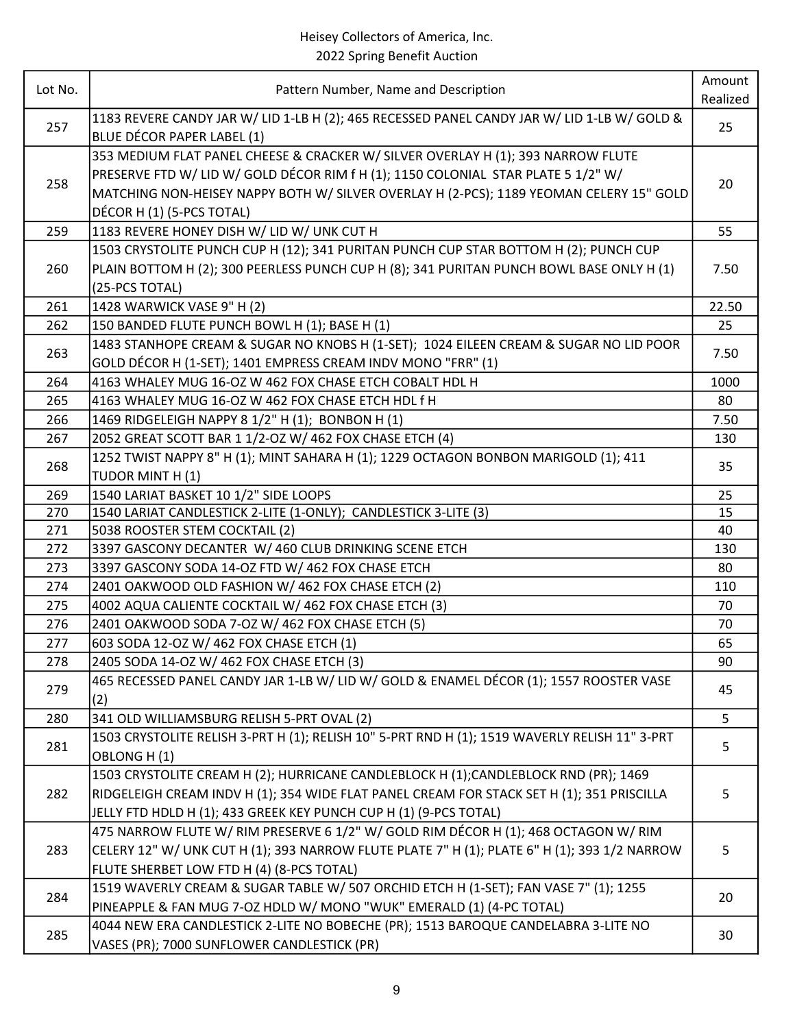| Lot No. | Pattern Number, Name and Description                                                                         | Amount   |
|---------|--------------------------------------------------------------------------------------------------------------|----------|
|         |                                                                                                              | Realized |
| 257     | 1183 REVERE CANDY JAR W/ LID 1-LB H (2); 465 RECESSED PANEL CANDY JAR W/ LID 1-LB W/ GOLD &                  | 25       |
|         | BLUE DÉCOR PAPER LABEL (1)                                                                                   |          |
|         | 353 MEDIUM FLAT PANEL CHEESE & CRACKER W/ SILVER OVERLAY H (1); 393 NARROW FLUTE                             |          |
| 258     | PRESERVE FTD W/ LID W/ GOLD DÉCOR RIM f H (1); 1150 COLONIAL STAR PLATE 5 1/2" W/                            | 20       |
|         | MATCHING NON-HEISEY NAPPY BOTH W/ SILVER OVERLAY H (2-PCS); 1189 YEOMAN CELERY 15" GOLD                      |          |
|         | DÉCOR H (1) (5-PCS TOTAL)                                                                                    |          |
| 259     | 1183 REVERE HONEY DISH W/ LID W/ UNK CUT H                                                                   | 55       |
|         | 1503 CRYSTOLITE PUNCH CUP H (12); 341 PURITAN PUNCH CUP STAR BOTTOM H (2); PUNCH CUP                         |          |
| 260     | PLAIN BOTTOM H (2); 300 PEERLESS PUNCH CUP H (8); 341 PURITAN PUNCH BOWL BASE ONLY H (1)                     | 7.50     |
|         | (25-PCS TOTAL)                                                                                               |          |
| 261     | 1428 WARWICK VASE 9" H (2)                                                                                   | 22.50    |
| 262     | 150 BANDED FLUTE PUNCH BOWL H (1); BASE H (1)                                                                | 25       |
| 263     | 1483 STANHOPE CREAM & SUGAR NO KNOBS H (1-SET); 1024 EILEEN CREAM & SUGAR NO LID POOR                        | 7.50     |
|         | GOLD DÉCOR H (1-SET); 1401 EMPRESS CREAM INDV MONO "FRR" (1)                                                 |          |
| 264     | 4163 WHALEY MUG 16-OZ W 462 FOX CHASE ETCH COBALT HDL H                                                      | 1000     |
| 265     | 4163 WHALEY MUG 16-OZ W 462 FOX CHASE ETCH HDL f H                                                           | 80       |
| 266     | 1469 RIDGELEIGH NAPPY 8 1/2" H (1); BONBON H (1)                                                             | 7.50     |
| 267     | 2052 GREAT SCOTT BAR 1 1/2-OZ W/ 462 FOX CHASE ETCH (4)                                                      | 130      |
| 268     | 1252 TWIST NAPPY 8" H (1); MINT SAHARA H (1); 1229 OCTAGON BONBON MARIGOLD (1); 411                          | 35       |
|         | TUDOR MINT H (1)                                                                                             |          |
| 269     | 1540 LARIAT BASKET 10 1/2" SIDE LOOPS                                                                        | 25       |
| 270     | 1540 LARIAT CANDLESTICK 2-LITE (1-ONLY); CANDLESTICK 3-LITE (3)                                              | 15       |
| 271     | 5038 ROOSTER STEM COCKTAIL (2)                                                                               | 40       |
| 272     | 3397 GASCONY DECANTER W/ 460 CLUB DRINKING SCENE ETCH                                                        | 130      |
| 273     | 3397 GASCONY SODA 14-OZ FTD W/ 462 FOX CHASE ETCH                                                            | 80       |
| 274     | 2401 OAKWOOD OLD FASHION W/462 FOX CHASE ETCH (2)                                                            | 110      |
| 275     | 4002 AQUA CALIENTE COCKTAIL W/ 462 FOX CHASE ETCH (3)                                                        | 70       |
| 276     | 2401 OAKWOOD SODA 7-OZ W/462 FOX CHASE ETCH (5)                                                              | 70       |
| 277     | 603 SODA 12-OZ W/ 462 FOX CHASE ETCH (1)                                                                     | 65       |
| 278     | 2405 SODA 14-OZ W/ 462 FOX CHASE ETCH (3)                                                                    | 90       |
| 279     | 465 RECESSED PANEL CANDY JAR 1-LB W/ LID W/ GOLD & ENAMEL DÉCOR (1); 1557 ROOSTER VASE<br>(2)                | 45       |
| 280     | 341 OLD WILLIAMSBURG RELISH 5-PRT OVAL (2)                                                                   | 5        |
| 281     | 1503 CRYSTOLITE RELISH 3-PRT H (1); RELISH 10" 5-PRT RND H (1); 1519 WAVERLY RELISH 11" 3-PRT<br>OBLONG H(1) | 5        |
|         | 1503 CRYSTOLITE CREAM H (2); HURRICANE CANDLEBLOCK H (1); CANDLEBLOCK RND (PR); 1469                         |          |
| 282     | RIDGELEIGH CREAM INDV H (1); 354 WIDE FLAT PANEL CREAM FOR STACK SET H (1); 351 PRISCILLA                    | 5        |
|         | JELLY FTD HDLD H (1); 433 GREEK KEY PUNCH CUP H (1) (9-PCS TOTAL)                                            |          |
|         | 475 NARROW FLUTE W/ RIM PRESERVE 6 1/2" W/ GOLD RIM DÉCOR H (1); 468 OCTAGON W/ RIM                          |          |
| 283     | CELERY 12" W/ UNK CUT H (1); 393 NARROW FLUTE PLATE 7" H (1); PLATE 6" H (1); 393 1/2 NARROW                 | 5        |
|         | FLUTE SHERBET LOW FTD H (4) (8-PCS TOTAL)                                                                    |          |
|         | 1519 WAVERLY CREAM & SUGAR TABLE W/ 507 ORCHID ETCH H (1-SET); FAN VASE 7" (1); 1255                         |          |
| 284     | PINEAPPLE & FAN MUG 7-0Z HDLD W/ MONO "WUK" EMERALD (1) (4-PC TOTAL)                                         | 20       |
| 285     | 4044 NEW ERA CANDLESTICK 2-LITE NO BOBECHE (PR); 1513 BAROQUE CANDELABRA 3-LITE NO                           |          |
|         | VASES (PR); 7000 SUNFLOWER CANDLESTICK (PR)                                                                  | 30       |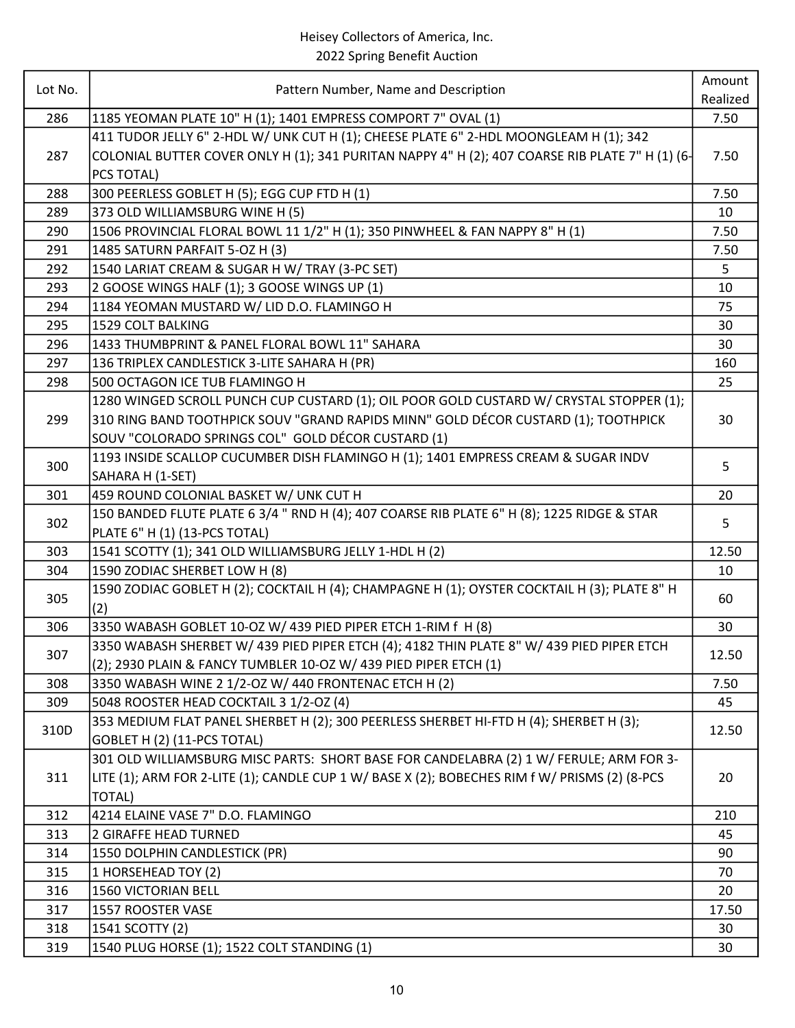| Lot No.    | Pattern Number, Name and Description                                                                                          | Amount   |
|------------|-------------------------------------------------------------------------------------------------------------------------------|----------|
|            |                                                                                                                               | Realized |
| 286        | 1185 YEOMAN PLATE 10" H (1); 1401 EMPRESS COMPORT 7" OVAL (1)                                                                 | 7.50     |
|            | 411 TUDOR JELLY 6" 2-HDL W/ UNK CUT H (1); CHEESE PLATE 6" 2-HDL MOONGLEAM H (1); 342                                         |          |
| 287        | COLONIAL BUTTER COVER ONLY H (1); 341 PURITAN NAPPY 4" H (2); 407 COARSE RIB PLATE 7" H (1) (6-                               | 7.50     |
|            | PCS TOTAL)                                                                                                                    |          |
| 288        | 300 PEERLESS GOBLET H (5); EGG CUP FTD H (1)                                                                                  | 7.50     |
| 289        | 373 OLD WILLIAMSBURG WINE H (5)                                                                                               | 10       |
| 290        | 1506 PROVINCIAL FLORAL BOWL 11 1/2" H (1); 350 PINWHEEL & FAN NAPPY 8" H (1)                                                  | 7.50     |
| 291        | 1485 SATURN PARFAIT 5-OZ H (3)                                                                                                | 7.50     |
| 292        | 1540 LARIAT CREAM & SUGAR H W/ TRAY (3-PC SET)                                                                                | 5        |
| 293        | 2 GOOSE WINGS HALF (1); 3 GOOSE WINGS UP (1)                                                                                  | 10       |
| 294        | 1184 YEOMAN MUSTARD W/ LID D.O. FLAMINGO H                                                                                    | 75       |
| 295        | 1529 COLT BALKING                                                                                                             | 30       |
| 296        | 1433 THUMBPRINT & PANEL FLORAL BOWL 11" SAHARA                                                                                | 30       |
| 297        | 136 TRIPLEX CANDLESTICK 3-LITE SAHARA H (PR)                                                                                  | 160      |
| 298        | 500 OCTAGON ICE TUB FLAMINGO H                                                                                                | 25       |
|            | 1280 WINGED SCROLL PUNCH CUP CUSTARD (1); OIL POOR GOLD CUSTARD W/ CRYSTAL STOPPER (1);                                       |          |
| 299        | 310 RING BAND TOOTHPICK SOUV "GRAND RAPIDS MINN" GOLD DÉCOR CUSTARD (1); TOOTHPICK                                            | 30       |
|            | SOUV "COLORADO SPRINGS COL" GOLD DÉCOR CUSTARD (1)                                                                            |          |
| 300        | 1193 INSIDE SCALLOP CUCUMBER DISH FLAMINGO H (1); 1401 EMPRESS CREAM & SUGAR INDV                                             | 5        |
|            | SAHARA H (1-SET)                                                                                                              |          |
| 301        | 459 ROUND COLONIAL BASKET W/ UNK CUT H                                                                                        | 20       |
| 302        | 150 BANDED FLUTE PLATE 6 3/4 " RND H (4); 407 COARSE RIB PLATE 6" H (8); 1225 RIDGE & STAR                                    | 5        |
|            | PLATE 6" H (1) (13-PCS TOTAL)                                                                                                 |          |
| 303<br>304 | 1541 SCOTTY (1); 341 OLD WILLIAMSBURG JELLY 1-HDL H (2)                                                                       | 12.50    |
|            | 1590 ZODIAC SHERBET LOW H (8)<br>1590 ZODIAC GOBLET H (2); COCKTAIL H (4); CHAMPAGNE H (1); OYSTER COCKTAIL H (3); PLATE 8" H | 10       |
| 305        | (2)                                                                                                                           | 60       |
| 306        | 3350 WABASH GOBLET 10-OZ W/ 439 PIED PIPER ETCH 1-RIM f H (8)                                                                 | 30       |
|            | 3350 WABASH SHERBET W/ 439 PIED PIPER ETCH (4); 4182 THIN PLATE 8" W/ 439 PIED PIPER ETCH                                     |          |
| 307        | (2); 2930 PLAIN & FANCY TUMBLER 10-OZ W/ 439 PIED PIPER ETCH (1)                                                              | 12.50    |
| 308        | 3350 WABASH WINE 2 1/2-OZ W/ 440 FRONTENAC ETCH H (2)                                                                         | 7.50     |
| 309        | 5048 ROOSTER HEAD COCKTAIL 3 1/2-OZ (4)                                                                                       | 45       |
|            | 353 MEDIUM FLAT PANEL SHERBET H (2); 300 PEERLESS SHERBET HI-FTD H (4); SHERBET H (3);                                        |          |
| 310D       | GOBLET H (2) (11-PCS TOTAL)                                                                                                   | 12.50    |
|            | 301 OLD WILLIAMSBURG MISC PARTS: SHORT BASE FOR CANDELABRA (2) 1 W/ FERULE; ARM FOR 3-                                        |          |
| 311        | LITE (1); ARM FOR 2-LITE (1); CANDLE CUP 1 W/ BASE X (2); BOBECHES RIM f W/ PRISMS (2) (8-PCS                                 | 20       |
|            | TOTAL)                                                                                                                        |          |
| 312        | 4214 ELAINE VASE 7" D.O. FLAMINGO                                                                                             | 210      |
| 313        | 2 GIRAFFE HEAD TURNED                                                                                                         | 45       |
| 314        | 1550 DOLPHIN CANDLESTICK (PR)                                                                                                 | 90       |
| 315        | 1 HORSEHEAD TOY (2)                                                                                                           | 70       |
| 316        | 1560 VICTORIAN BELL                                                                                                           | 20       |
| 317        | 1557 ROOSTER VASE                                                                                                             | 17.50    |
| 318        | 1541 SCOTTY (2)                                                                                                               | 30       |
| 319        | 1540 PLUG HORSE (1); 1522 COLT STANDING (1)                                                                                   | 30       |
|            |                                                                                                                               |          |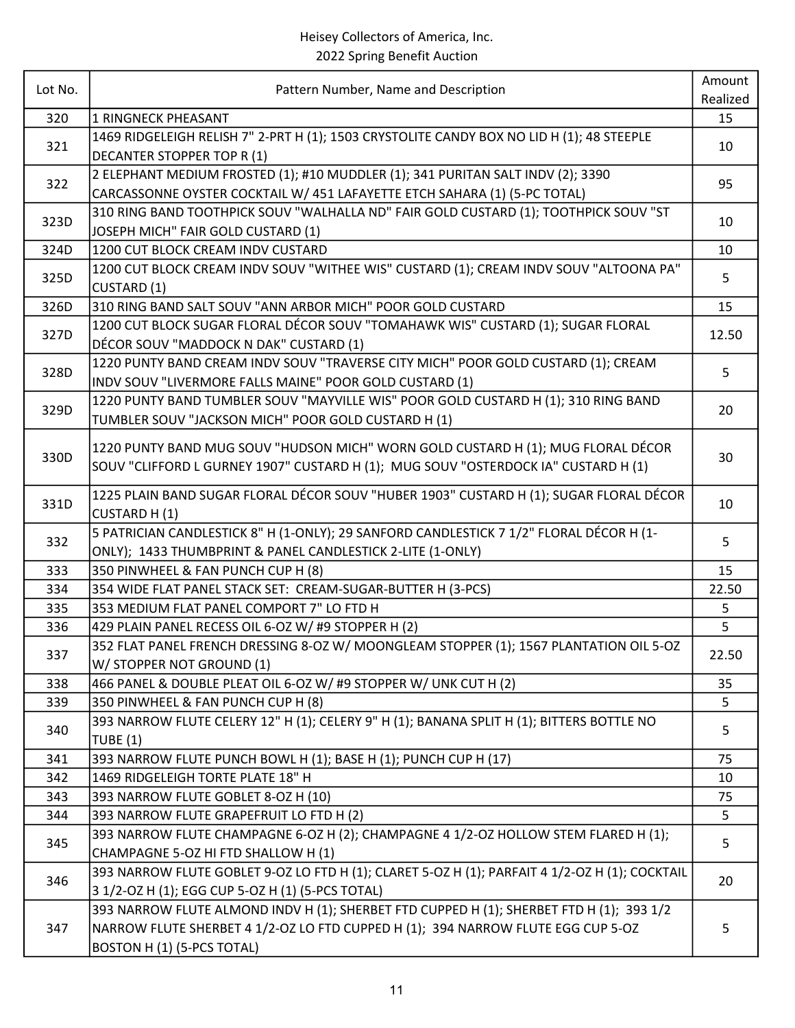| Lot No. | Pattern Number, Name and Description                                                                                            | Amount   |
|---------|---------------------------------------------------------------------------------------------------------------------------------|----------|
|         |                                                                                                                                 | Realized |
| 320     | <b>1 RINGNECK PHEASANT</b>                                                                                                      | 15       |
| 321     | 1469 RIDGELEIGH RELISH 7" 2-PRT H (1); 1503 CRYSTOLITE CANDY BOX NO LID H (1); 48 STEEPLE<br><b>DECANTER STOPPER TOP R (1)</b>  | 10       |
|         | 2 ELEPHANT MEDIUM FROSTED (1); #10 MUDDLER (1); 341 PURITAN SALT INDV (2); 3390                                                 |          |
| 322     | CARCASSONNE OYSTER COCKTAIL W/ 451 LAFAYETTE ETCH SAHARA (1) (5-PC TOTAL)                                                       | 95       |
|         | 310 RING BAND TOOTHPICK SOUV "WALHALLA ND" FAIR GOLD CUSTARD (1); TOOTHPICK SOUV "ST                                            |          |
| 323D    | JOSEPH MICH" FAIR GOLD CUSTARD (1)                                                                                              | 10       |
| 324D    | 1200 CUT BLOCK CREAM INDV CUSTARD                                                                                               | 10       |
|         | 1200 CUT BLOCK CREAM INDV SOUV "WITHEE WIS" CUSTARD (1); CREAM INDV SOUV "ALTOONA PA"                                           |          |
| 325D    | CUSTARD (1)                                                                                                                     | 5        |
| 326D    | 310 RING BAND SALT SOUV "ANN ARBOR MICH" POOR GOLD CUSTARD                                                                      | 15       |
| 327D    | 1200 CUT BLOCK SUGAR FLORAL DÉCOR SOUV "TOMAHAWK WIS" CUSTARD (1); SUGAR FLORAL                                                 | 12.50    |
|         | DÉCOR SOUV "MADDOCK N DAK" CUSTARD (1)                                                                                          |          |
| 328D    | 1220 PUNTY BAND CREAM INDV SOUV "TRAVERSE CITY MICH" POOR GOLD CUSTARD (1); CREAM                                               | 5        |
|         | INDV SOUV "LIVERMORE FALLS MAINE" POOR GOLD CUSTARD (1)                                                                         |          |
| 329D    | 1220 PUNTY BAND TUMBLER SOUV "MAYVILLE WIS" POOR GOLD CUSTARD H (1); 310 RING BAND                                              | 20       |
|         | TUMBLER SOUV "JACKSON MICH" POOR GOLD CUSTARD H (1)                                                                             |          |
| 330D    | 1220 PUNTY BAND MUG SOUV "HUDSON MICH" WORN GOLD CUSTARD H (1); MUG FLORAL DÉCOR                                                | 30       |
|         | SOUV "CLIFFORD L GURNEY 1907" CUSTARD H (1); MUG SOUV "OSTERDOCK IA" CUSTARD H (1)                                              |          |
|         | 1225 PLAIN BAND SUGAR FLORAL DÉCOR SOUV "HUBER 1903" CUSTARD H (1); SUGAR FLORAL DÉCOR                                          |          |
| 331D    | <b>CUSTARD H (1)</b>                                                                                                            | 10       |
|         | 5 PATRICIAN CANDLESTICK 8" H (1-ONLY); 29 SANFORD CANDLESTICK 7 1/2" FLORAL DÉCOR H (1-                                         |          |
| 332     | ONLY); 1433 THUMBPRINT & PANEL CANDLESTICK 2-LITE (1-ONLY)                                                                      | 5        |
| 333     | 350 PINWHEEL & FAN PUNCH CUP H (8)                                                                                              | 15       |
| 334     | 354 WIDE FLAT PANEL STACK SET: CREAM-SUGAR-BUTTER H (3-PCS)                                                                     | 22.50    |
| 335     | 353 MEDIUM FLAT PANEL COMPORT 7" LO FTD H                                                                                       | 5        |
| 336     | 429 PLAIN PANEL RECESS OIL 6-OZ W/ #9 STOPPER H (2)                                                                             | 5        |
| 337     | 352 FLAT PANEL FRENCH DRESSING 8-OZ W/ MOONGLEAM STOPPER (1); 1567 PLANTATION OIL 5-OZ                                          | 22.50    |
|         | W/ STOPPER NOT GROUND (1)                                                                                                       |          |
| 338     | 466 PANEL & DOUBLE PLEAT OIL 6-OZ W/ #9 STOPPER W/ UNK CUT H (2)                                                                | 35       |
| 339     | 350 PINWHEEL & FAN PUNCH CUP H (8)<br>393 NARROW FLUTE CELERY 12" H (1); CELERY 9" H (1); BANANA SPLIT H (1); BITTERS BOTTLE NO | 5        |
| 340     | <b>TUBE (1)</b>                                                                                                                 | 5        |
| 341     | 393 NARROW FLUTE PUNCH BOWL H (1); BASE H (1); PUNCH CUP H (17)                                                                 | 75       |
| 342     | 1469 RIDGELEIGH TORTE PLATE 18" H                                                                                               | 10       |
| 343     | 393 NARROW FLUTE GOBLET 8-OZ H (10)                                                                                             | 75       |
| 344     | 393 NARROW FLUTE GRAPEFRUIT LO FTD H (2)                                                                                        | 5        |
| 345     | 393 NARROW FLUTE CHAMPAGNE 6-OZ H (2); CHAMPAGNE 4 1/2-OZ HOLLOW STEM FLARED H (1);                                             |          |
|         | CHAMPAGNE 5-OZ HI FTD SHALLOW H (1)                                                                                             | 5        |
| 346     | 393 NARROW FLUTE GOBLET 9-OZ LO FTD H (1); CLARET 5-OZ H (1); PARFAIT 4 1/2-OZ H (1); COCKTAIL                                  | 20       |
|         | 3 1/2-OZ H (1); EGG CUP 5-OZ H (1) (5-PCS TOTAL)                                                                                |          |
| 347     | 393 NARROW FLUTE ALMOND INDV H (1); SHERBET FTD CUPPED H (1); SHERBET FTD H (1); 393 1/2                                        |          |
|         | NARROW FLUTE SHERBET 4 1/2-OZ LO FTD CUPPED H (1); 394 NARROW FLUTE EGG CUP 5-OZ                                                | 5        |
|         | BOSTON H (1) (5-PCS TOTAL)                                                                                                      |          |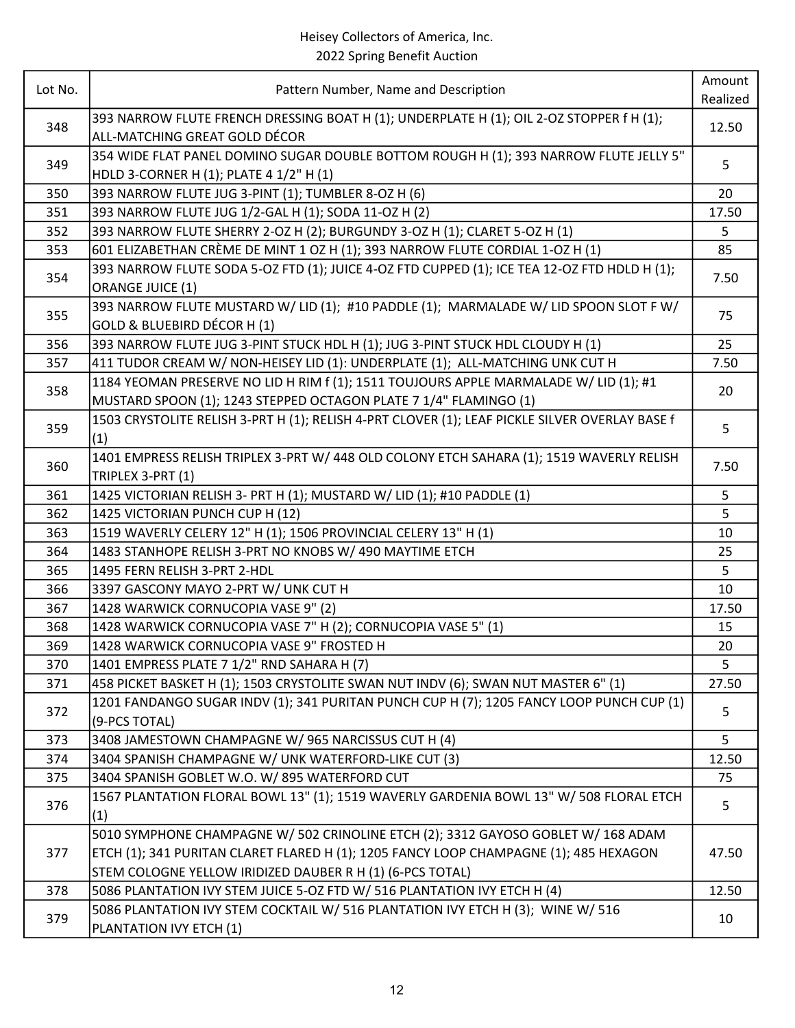| Lot No. | Pattern Number, Name and Description                                                           | Amount   |
|---------|------------------------------------------------------------------------------------------------|----------|
|         |                                                                                                | Realized |
| 348     | 393 NARROW FLUTE FRENCH DRESSING BOAT H (1); UNDERPLATE H (1); OIL 2-OZ STOPPER f H (1);       | 12.50    |
|         | ALL-MATCHING GREAT GOLD DÉCOR                                                                  |          |
| 349     | 354 WIDE FLAT PANEL DOMINO SUGAR DOUBLE BOTTOM ROUGH H (1); 393 NARROW FLUTE JELLY 5"          | 5        |
|         | HDLD 3-CORNER H (1); PLATE 4 1/2" H (1)                                                        |          |
| 350     | 393 NARROW FLUTE JUG 3-PINT (1); TUMBLER 8-OZ H (6)                                            | 20       |
| 351     | 393 NARROW FLUTE JUG 1/2-GAL H (1); SODA 11-OZ H (2)                                           | 17.50    |
| 352     | 393 NARROW FLUTE SHERRY 2-OZ H (2); BURGUNDY 3-OZ H (1); CLARET 5-OZ H (1)                     | 5        |
| 353     | 601 ELIZABETHAN CRÈME DE MINT 1 OZ H (1); 393 NARROW FLUTE CORDIAL 1-OZ H (1)                  | 85       |
| 354     | 393 NARROW FLUTE SODA 5-OZ FTD (1); JUICE 4-OZ FTD CUPPED (1); ICE TEA 12-OZ FTD HDLD H (1);   | 7.50     |
|         | ORANGE JUICE (1)                                                                               |          |
| 355     | 393 NARROW FLUTE MUSTARD W/ LID (1); #10 PADDLE (1); MARMALADE W/ LID SPOON SLOT F W/          | 75       |
|         | GOLD & BLUEBIRD DÉCOR H (1)                                                                    |          |
| 356     | 393 NARROW FLUTE JUG 3-PINT STUCK HDL H (1); JUG 3-PINT STUCK HDL CLOUDY H (1)                 | 25       |
| 357     | 411 TUDOR CREAM W/ NON-HEISEY LID (1): UNDERPLATE (1); ALL-MATCHING UNK CUT H                  | 7.50     |
| 358     | 1184 YEOMAN PRESERVE NO LID H RIM f (1); 1511 TOUJOURS APPLE MARMALADE W/ LID (1); #1          | 20       |
|         | MUSTARD SPOON (1); 1243 STEPPED OCTAGON PLATE 7 1/4" FLAMINGO (1)                              |          |
| 359     | 1503 CRYSTOLITE RELISH 3-PRT H (1); RELISH 4-PRT CLOVER (1); LEAF PICKLE SILVER OVERLAY BASE f | 5        |
|         | (1)                                                                                            |          |
| 360     | 1401 EMPRESS RELISH TRIPLEX 3-PRT W/ 448 OLD COLONY ETCH SAHARA (1); 1519 WAVERLY RELISH       | 7.50     |
|         | TRIPLEX 3-PRT (1)                                                                              |          |
| 361     | 1425 VICTORIAN RELISH 3- PRT H (1); MUSTARD W/ LID (1); #10 PADDLE (1)                         | 5        |
| 362     | 1425 VICTORIAN PUNCH CUP H (12)                                                                | 5        |
| 363     | 1519 WAVERLY CELERY 12" H (1); 1506 PROVINCIAL CELERY 13" H (1)                                | 10       |
| 364     | 1483 STANHOPE RELISH 3-PRT NO KNOBS W/ 490 MAYTIME ETCH                                        | 25       |
| 365     | 1495 FERN RELISH 3-PRT 2-HDL                                                                   | 5        |
| 366     | 3397 GASCONY MAYO 2-PRT W/ UNK CUT H                                                           | 10       |
| 367     | 1428 WARWICK CORNUCOPIA VASE 9" (2)                                                            | 17.50    |
| 368     | 1428 WARWICK CORNUCOPIA VASE 7" H (2); CORNUCOPIA VASE 5" (1)                                  | 15       |
| 369     | 1428 WARWICK CORNUCOPIA VASE 9" FROSTED H                                                      | 20       |
| 370     | 1401 EMPRESS PLATE 7 1/2" RND SAHARA H (7)                                                     | 5        |
| 371     | 458 PICKET BASKET H (1); 1503 CRYSTOLITE SWAN NUT INDV (6); SWAN NUT MASTER 6" (1)             | 27.50    |
| 372     | 1201 FANDANGO SUGAR INDV (1); 341 PURITAN PUNCH CUP H (7); 1205 FANCY LOOP PUNCH CUP (1)       | 5        |
|         | (9-PCS TOTAL)                                                                                  |          |
| 373     | 3408 JAMESTOWN CHAMPAGNE W/ 965 NARCISSUS CUT H (4)                                            | 5        |
| 374     | 3404 SPANISH CHAMPAGNE W/ UNK WATERFORD-LIKE CUT (3)                                           | 12.50    |
| 375     | 3404 SPANISH GOBLET W.O. W/895 WATERFORD CUT                                                   | 75       |
| 376     | 1567 PLANTATION FLORAL BOWL 13" (1); 1519 WAVERLY GARDENIA BOWL 13" W/ 508 FLORAL ETCH         | 5        |
|         | (1)                                                                                            |          |
|         | 5010 SYMPHONE CHAMPAGNE W/ 502 CRINOLINE ETCH (2); 3312 GAYOSO GOBLET W/ 168 ADAM              |          |
| 377     | ETCH (1); 341 PURITAN CLARET FLARED H (1); 1205 FANCY LOOP CHAMPAGNE (1); 485 HEXAGON          | 47.50    |
|         | STEM COLOGNE YELLOW IRIDIZED DAUBER R H (1) (6-PCS TOTAL)                                      |          |
| 378     | 5086 PLANTATION IVY STEM JUICE 5-OZ FTD W/ 516 PLANTATION IVY ETCH H (4)                       | 12.50    |
| 379     | 5086 PLANTATION IVY STEM COCKTAIL W/ 516 PLANTATION IVY ETCH H (3); WINE W/ 516                |          |
|         | PLANTATION IVY ETCH (1)                                                                        | 10       |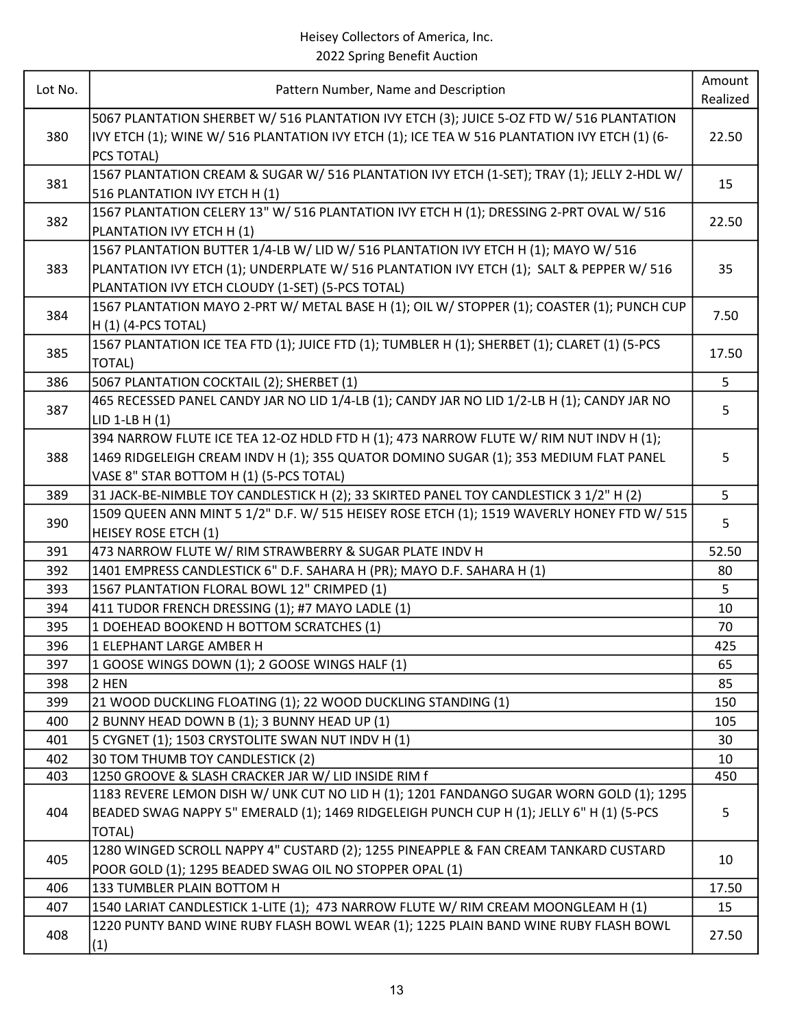| Lot No. | Pattern Number, Name and Description                                                                                                                                                                                               | Amount<br>Realized |
|---------|------------------------------------------------------------------------------------------------------------------------------------------------------------------------------------------------------------------------------------|--------------------|
| 380     | 5067 PLANTATION SHERBET W/ 516 PLANTATION IVY ETCH (3); JUICE 5-OZ FTD W/ 516 PLANTATION<br>IVY ETCH (1); WINE W/ 516 PLANTATION IVY ETCH (1); ICE TEA W 516 PLANTATION IVY ETCH (1) (6-<br>PCS TOTAL)                             | 22.50              |
| 381     | 1567 PLANTATION CREAM & SUGAR W/ 516 PLANTATION IVY ETCH (1-SET); TRAY (1); JELLY 2-HDL W/<br>516 PLANTATION IVY ETCH H (1)                                                                                                        | 15                 |
| 382     | 1567 PLANTATION CELERY 13" W/ 516 PLANTATION IVY ETCH H (1); DRESSING 2-PRT OVAL W/ 516<br>PLANTATION IVY ETCH H (1)                                                                                                               | 22.50              |
| 383     | 1567 PLANTATION BUTTER 1/4-LB W/ LID W/ 516 PLANTATION IVY ETCH H (1); MAYO W/ 516<br>PLANTATION IVY ETCH (1); UNDERPLATE W/ 516 PLANTATION IVY ETCH (1); SALT & PEPPER W/ 516<br>PLANTATION IVY ETCH CLOUDY (1-SET) (5-PCS TOTAL) | 35                 |
| 384     | 1567 PLANTATION MAYO 2-PRT W/ METAL BASE H (1); OIL W/ STOPPER (1); COASTER (1); PUNCH CUP<br>H (1) (4-PCS TOTAL)                                                                                                                  | 7.50               |
| 385     | 1567 PLANTATION ICE TEA FTD (1); JUICE FTD (1); TUMBLER H (1); SHERBET (1); CLARET (1) (5-PCS<br><b>TOTAL)</b>                                                                                                                     | 17.50              |
| 386     | 5067 PLANTATION COCKTAIL (2); SHERBET (1)                                                                                                                                                                                          | 5                  |
| 387     | 465 RECESSED PANEL CANDY JAR NO LID 1/4-LB (1); CANDY JAR NO LID 1/2-LB H (1); CANDY JAR NO<br>LID 1-LB $H(1)$                                                                                                                     | 5                  |
| 388     | 394 NARROW FLUTE ICE TEA 12-OZ HDLD FTD H (1); 473 NARROW FLUTE W/ RIM NUT INDV H (1);<br>1469 RIDGELEIGH CREAM INDV H (1); 355 QUATOR DOMINO SUGAR (1); 353 MEDIUM FLAT PANEL<br>VASE 8" STAR BOTTOM H (1) (5-PCS TOTAL)          | 5                  |
| 389     | 31 JACK-BE-NIMBLE TOY CANDLESTICK H (2); 33 SKIRTED PANEL TOY CANDLESTICK 3 1/2" H (2)                                                                                                                                             | 5                  |
| 390     | 1509 QUEEN ANN MINT 5 1/2" D.F. W/ 515 HEISEY ROSE ETCH (1); 1519 WAVERLY HONEY FTD W/ 515<br><b>HEISEY ROSE ETCH (1)</b>                                                                                                          | 5                  |
| 391     | 473 NARROW FLUTE W/ RIM STRAWBERRY & SUGAR PLATE INDV H                                                                                                                                                                            | 52.50              |
| 392     | 1401 EMPRESS CANDLESTICK 6" D.F. SAHARA H (PR); MAYO D.F. SAHARA H (1)                                                                                                                                                             | 80                 |
| 393     | 1567 PLANTATION FLORAL BOWL 12" CRIMPED (1)                                                                                                                                                                                        | 5                  |
| 394     | 411 TUDOR FRENCH DRESSING (1); #7 MAYO LADLE (1)                                                                                                                                                                                   | 10                 |
| 395     | 1 DOEHEAD BOOKEND H BOTTOM SCRATCHES (1)                                                                                                                                                                                           | 70                 |
| 396     | 1 ELEPHANT LARGE AMBER H                                                                                                                                                                                                           | 425                |
| 397     | 1 GOOSE WINGS DOWN (1); 2 GOOSE WINGS HALF (1)                                                                                                                                                                                     | 65                 |
| 398     | 2 HEN                                                                                                                                                                                                                              | 85                 |
| 399     | 21 WOOD DUCKLING FLOATING (1); 22 WOOD DUCKLING STANDING (1)                                                                                                                                                                       | 150                |
| 400     | 2 BUNNY HEAD DOWN B (1); 3 BUNNY HEAD UP (1)                                                                                                                                                                                       | 105                |
| 401     | 5 CYGNET (1); 1503 CRYSTOLITE SWAN NUT INDV H (1)                                                                                                                                                                                  | 30                 |
| 402     | 30 TOM THUMB TOY CANDLESTICK (2)                                                                                                                                                                                                   | 10                 |
| 403     | 1250 GROOVE & SLASH CRACKER JAR W/ LID INSIDE RIM f                                                                                                                                                                                | 450                |
| 404     | 1183 REVERE LEMON DISH W/ UNK CUT NO LID H (1); 1201 FANDANGO SUGAR WORN GOLD (1); 1295<br>BEADED SWAG NAPPY 5" EMERALD (1); 1469 RIDGELEIGH PUNCH CUP H (1); JELLY 6" H (1) (5-PCS<br><b>TOTAL)</b>                               | 5                  |
| 405     | 1280 WINGED SCROLL NAPPY 4" CUSTARD (2); 1255 PINEAPPLE & FAN CREAM TANKARD CUSTARD<br>POOR GOLD (1); 1295 BEADED SWAG OIL NO STOPPER OPAL (1)                                                                                     | 10                 |
| 406     | 133 TUMBLER PLAIN BOTTOM H                                                                                                                                                                                                         | 17.50              |
| 407     | 1540 LARIAT CANDLESTICK 1-LITE (1); 473 NARROW FLUTE W/ RIM CREAM MOONGLEAM H (1)                                                                                                                                                  | 15                 |
| 408     | 1220 PUNTY BAND WINE RUBY FLASH BOWL WEAR (1); 1225 PLAIN BAND WINE RUBY FLASH BOWL<br>(1)                                                                                                                                         | 27.50              |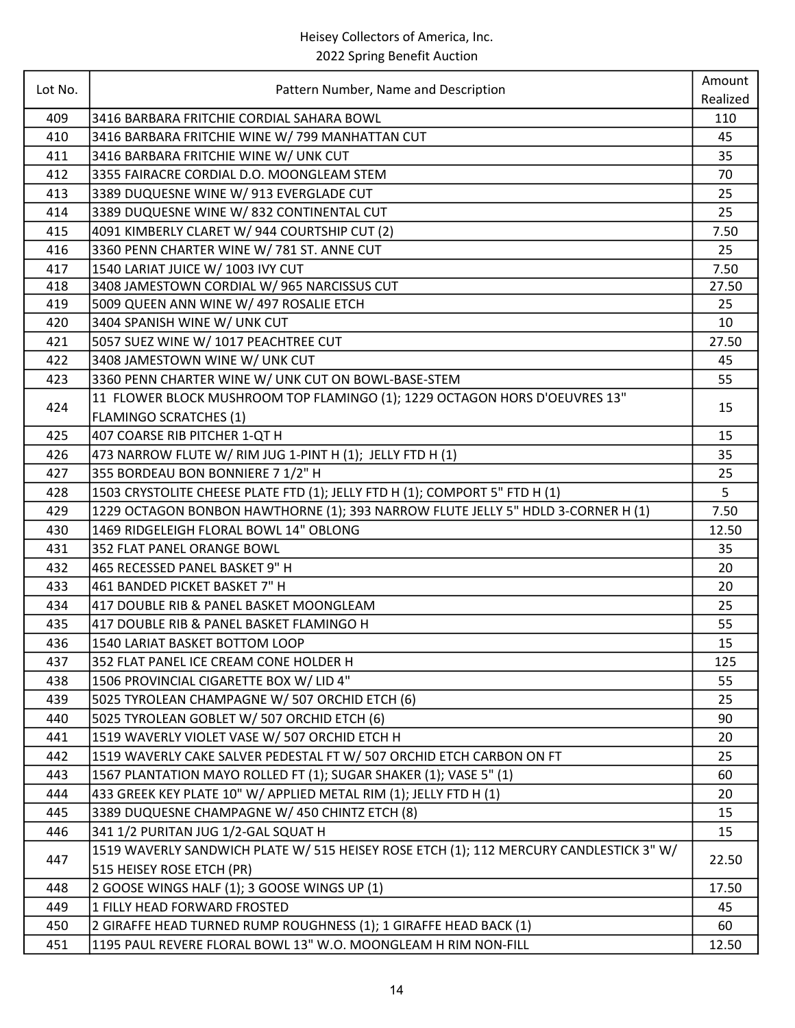| Lot No. | Pattern Number, Name and Description                                                   | Amount<br>Realized |
|---------|----------------------------------------------------------------------------------------|--------------------|
| 409     | 3416 BARBARA FRITCHIE CORDIAL SAHARA BOWL                                              | 110                |
| 410     | 3416 BARBARA FRITCHIE WINE W/ 799 MANHATTAN CUT                                        | 45                 |
| 411     | 3416 BARBARA FRITCHIE WINE W/ UNK CUT                                                  | 35                 |
| 412     | 3355 FAIRACRE CORDIAL D.O. MOONGLEAM STEM                                              | 70                 |
| 413     | 3389 DUQUESNE WINE W/ 913 EVERGLADE CUT                                                | 25                 |
| 414     | 3389 DUQUESNE WINE W/832 CONTINENTAL CUT                                               | 25                 |
| 415     | 4091 KIMBERLY CLARET W/ 944 COURTSHIP CUT (2)                                          | 7.50               |
| 416     | 3360 PENN CHARTER WINE W/ 781 ST. ANNE CUT                                             | 25                 |
| 417     | 1540 LARIAT JUICE W/ 1003 IVY CUT                                                      | 7.50               |
| 418     | 3408 JAMESTOWN CORDIAL W/ 965 NARCISSUS CUT                                            | 27.50              |
| 419     | 5009 QUEEN ANN WINE W/ 497 ROSALIE ETCH                                                | 25                 |
| 420     | 3404 SPANISH WINE W/ UNK CUT                                                           | 10                 |
| 421     | 5057 SUEZ WINE W/ 1017 PEACHTREE CUT                                                   | 27.50              |
| 422     | 3408 JAMESTOWN WINE W/ UNK CUT                                                         | 45                 |
| 423     | 3360 PENN CHARTER WINE W/ UNK CUT ON BOWL-BASE-STEM                                    | 55                 |
|         | 11 FLOWER BLOCK MUSHROOM TOP FLAMINGO (1); 1229 OCTAGON HORS D'OEUVRES 13"             |                    |
| 424     | <b>FLAMINGO SCRATCHES (1)</b>                                                          | 15                 |
| 425     | 407 COARSE RIB PITCHER 1-QT H                                                          | 15                 |
| 426     | 473 NARROW FLUTE W/ RIM JUG 1-PINT H (1); JELLY FTD H (1)                              | 35                 |
| 427     | 355 BORDEAU BON BONNIERE 7 1/2" H                                                      | 25                 |
| 428     | 1503 CRYSTOLITE CHEESE PLATE FTD (1); JELLY FTD H (1); COMPORT 5" FTD H (1)            | 5                  |
| 429     | 1229 OCTAGON BONBON HAWTHORNE (1); 393 NARROW FLUTE JELLY 5" HDLD 3-CORNER H (1)       | 7.50               |
| 430     | 1469 RIDGELEIGH FLORAL BOWL 14" OBLONG                                                 | 12.50              |
| 431     | 352 FLAT PANEL ORANGE BOWL                                                             | 35                 |
| 432     | 465 RECESSED PANEL BASKET 9" H                                                         | 20                 |
| 433     | 461 BANDED PICKET BASKET 7" H                                                          | 20                 |
| 434     | 417 DOUBLE RIB & PANEL BASKET MOONGLEAM                                                | 25                 |
| 435     | 417 DOUBLE RIB & PANEL BASKET FLAMINGO H                                               | 55                 |
| 436     | 1540 LARIAT BASKET BOTTOM LOOP                                                         | 15                 |
| 437     | 352 FLAT PANEL ICE CREAM CONE HOLDER H                                                 | 125                |
| 438     | 1506 PROVINCIAL CIGARETTE BOX W/ LID 4"                                                | 55                 |
| 439     | 5025 TYROLEAN CHAMPAGNE W/ 507 ORCHID ETCH (6)                                         | 25                 |
| 440     | 5025 TYROLEAN GOBLET W/ 507 ORCHID ETCH (6)                                            | 90                 |
| 441     | 1519 WAVERLY VIOLET VASE W/ 507 ORCHID ETCH H                                          | 20                 |
| 442     | 1519 WAVERLY CAKE SALVER PEDESTAL FT W/ 507 ORCHID ETCH CARBON ON FT                   | 25                 |
| 443     | 1567 PLANTATION MAYO ROLLED FT (1); SUGAR SHAKER (1); VASE 5" (1)                      | 60                 |
| 444     | 433 GREEK KEY PLATE 10" W/ APPLIED METAL RIM (1); JELLY FTD H (1)                      | 20                 |
| 445     | 3389 DUQUESNE CHAMPAGNE W/ 450 CHINTZ ETCH (8)                                         | 15                 |
| 446     | 341 1/2 PURITAN JUG 1/2-GAL SQUAT H                                                    | 15                 |
|         | 1519 WAVERLY SANDWICH PLATE W/ 515 HEISEY ROSE ETCH (1); 112 MERCURY CANDLESTICK 3" W/ |                    |
| 447     | 515 HEISEY ROSE ETCH (PR)                                                              | 22.50              |
| 448     | 2 GOOSE WINGS HALF (1); 3 GOOSE WINGS UP (1)                                           | 17.50              |
| 449     | 1 FILLY HEAD FORWARD FROSTED                                                           | 45                 |
| 450     | 2 GIRAFFE HEAD TURNED RUMP ROUGHNESS (1); 1 GIRAFFE HEAD BACK (1)                      | 60                 |
| 451     | 1195 PAUL REVERE FLORAL BOWL 13" W.O. MOONGLEAM H RIM NON-FILL                         | 12.50              |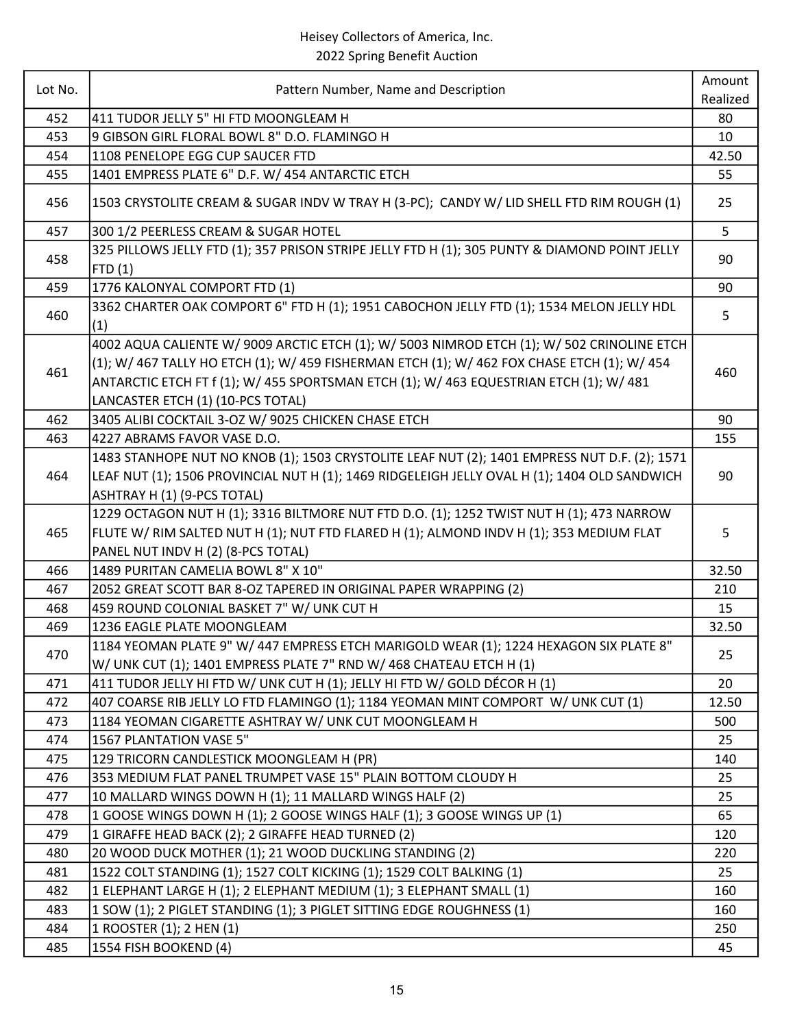| Lot No. | Pattern Number, Name and Description                                                                                                                                                                                                                                                                                     | Amount<br>Realized |
|---------|--------------------------------------------------------------------------------------------------------------------------------------------------------------------------------------------------------------------------------------------------------------------------------------------------------------------------|--------------------|
| 452     | 411 TUDOR JELLY 5" HI FTD MOONGLEAM H                                                                                                                                                                                                                                                                                    | 80                 |
| 453     | 9 GIBSON GIRL FLORAL BOWL 8" D.O. FLAMINGO H                                                                                                                                                                                                                                                                             | 10                 |
| 454     | 1108 PENELOPE EGG CUP SAUCER FTD                                                                                                                                                                                                                                                                                         | 42.50              |
| 455     | 1401 EMPRESS PLATE 6" D.F. W/ 454 ANTARCTIC ETCH                                                                                                                                                                                                                                                                         | 55                 |
| 456     | 1503 CRYSTOLITE CREAM & SUGAR INDV W TRAY H (3-PC); CANDY W/ LID SHELL FTD RIM ROUGH (1)                                                                                                                                                                                                                                 | 25                 |
| 457     | 300 1/2 PEERLESS CREAM & SUGAR HOTEL                                                                                                                                                                                                                                                                                     | 5                  |
| 458     | 325 PILLOWS JELLY FTD (1); 357 PRISON STRIPE JELLY FTD H (1); 305 PUNTY & DIAMOND POINT JELLY<br>FTD(1)                                                                                                                                                                                                                  | 90                 |
| 459     | 1776 KALONYAL COMPORT FTD (1)                                                                                                                                                                                                                                                                                            | 90                 |
| 460     | 3362 CHARTER OAK COMPORT 6" FTD H (1); 1951 CABOCHON JELLY FTD (1); 1534 MELON JELLY HDL<br>(1)                                                                                                                                                                                                                          | 5                  |
| 461     | 4002 AQUA CALIENTE W/ 9009 ARCTIC ETCH (1); W/ 5003 NIMROD ETCH (1); W/ 502 CRINOLINE ETCH<br>(1); W/ 467 TALLY HO ETCH (1); W/ 459 FISHERMAN ETCH (1); W/ 462 FOX CHASE ETCH (1); W/ 454<br>ANTARCTIC ETCH FT f (1); W/ 455 SPORTSMAN ETCH (1); W/ 463 EQUESTRIAN ETCH (1); W/ 481<br>LANCASTER ETCH (1) (10-PCS TOTAL) | 460                |
| 462     | 3405 ALIBI COCKTAIL 3-OZ W/ 9025 CHICKEN CHASE ETCH                                                                                                                                                                                                                                                                      | 90                 |
| 463     | 4227 ABRAMS FAVOR VASE D.O.                                                                                                                                                                                                                                                                                              | 155                |
| 464     | 1483 STANHOPE NUT NO KNOB (1); 1503 CRYSTOLITE LEAF NUT (2); 1401 EMPRESS NUT D.F. (2); 1571<br>LEAF NUT (1); 1506 PROVINCIAL NUT H (1); 1469 RIDGELEIGH JELLY OVAL H (1); 1404 OLD SANDWICH<br>ASHTRAY H (1) (9-PCS TOTAL)                                                                                              | 90                 |
| 465     | 1229 OCTAGON NUT H (1); 3316 BILTMORE NUT FTD D.O. (1); 1252 TWIST NUT H (1); 473 NARROW<br>FLUTE W/ RIM SALTED NUT H (1); NUT FTD FLARED H (1); ALMOND INDV H (1); 353 MEDIUM FLAT<br>PANEL NUT INDV H (2) (8-PCS TOTAL)                                                                                                | 5                  |
| 466     | 1489 PURITAN CAMELIA BOWL 8" X 10"                                                                                                                                                                                                                                                                                       | 32.50              |
| 467     | 2052 GREAT SCOTT BAR 8-OZ TAPERED IN ORIGINAL PAPER WRAPPING (2)                                                                                                                                                                                                                                                         | 210                |
| 468     | 459 ROUND COLONIAL BASKET 7" W/ UNK CUT H                                                                                                                                                                                                                                                                                | 15                 |
| 469     | 1236 EAGLE PLATE MOONGLEAM                                                                                                                                                                                                                                                                                               | 32.50              |
| 470     | 1184 YEOMAN PLATE 9" W/ 447 EMPRESS ETCH MARIGOLD WEAR (1); 1224 HEXAGON SIX PLATE 8"<br>W/ UNK CUT (1); 1401 EMPRESS PLATE 7" RND W/ 468 CHATEAU ETCH H (1)                                                                                                                                                             | 25                 |
| 471     | 411 TUDOR JELLY HI FTD W/ UNK CUT H (1); JELLY HI FTD W/ GOLD DÉCOR H (1)                                                                                                                                                                                                                                                | 20                 |
| 472     | 407 COARSE RIB JELLY LO FTD FLAMINGO (1); 1184 YEOMAN MINT COMPORT W/ UNK CUT (1)                                                                                                                                                                                                                                        | 12.50              |
| 473     | 1184 YEOMAN CIGARETTE ASHTRAY W/ UNK CUT MOONGLEAM H                                                                                                                                                                                                                                                                     | 500                |
| 474     | 1567 PLANTATION VASE 5"                                                                                                                                                                                                                                                                                                  | 25                 |
| 475     | 129 TRICORN CANDLESTICK MOONGLEAM H (PR)                                                                                                                                                                                                                                                                                 | 140                |
| 476     | 353 MEDIUM FLAT PANEL TRUMPET VASE 15" PLAIN BOTTOM CLOUDY H                                                                                                                                                                                                                                                             | 25                 |
| 477     | 10 MALLARD WINGS DOWN H (1); 11 MALLARD WINGS HALF (2)                                                                                                                                                                                                                                                                   | 25                 |
| 478     | 1 GOOSE WINGS DOWN H (1); 2 GOOSE WINGS HALF (1); 3 GOOSE WINGS UP (1)                                                                                                                                                                                                                                                   | 65                 |
| 479     | 1 GIRAFFE HEAD BACK (2); 2 GIRAFFE HEAD TURNED (2)                                                                                                                                                                                                                                                                       | 120                |
| 480     | 20 WOOD DUCK MOTHER (1); 21 WOOD DUCKLING STANDING (2)                                                                                                                                                                                                                                                                   | 220                |
| 481     | 1522 COLT STANDING (1); 1527 COLT KICKING (1); 1529 COLT BALKING (1)                                                                                                                                                                                                                                                     | 25                 |
| 482     | 1 ELEPHANT LARGE H (1); 2 ELEPHANT MEDIUM (1); 3 ELEPHANT SMALL (1)                                                                                                                                                                                                                                                      | 160                |
| 483     | 1 SOW (1); 2 PIGLET STANDING (1); 3 PIGLET SITTING EDGE ROUGHNESS (1)                                                                                                                                                                                                                                                    | 160                |
| 484     | 1 ROOSTER (1); 2 HEN (1)                                                                                                                                                                                                                                                                                                 | 250                |
| 485     | 1554 FISH BOOKEND (4)                                                                                                                                                                                                                                                                                                    | 45                 |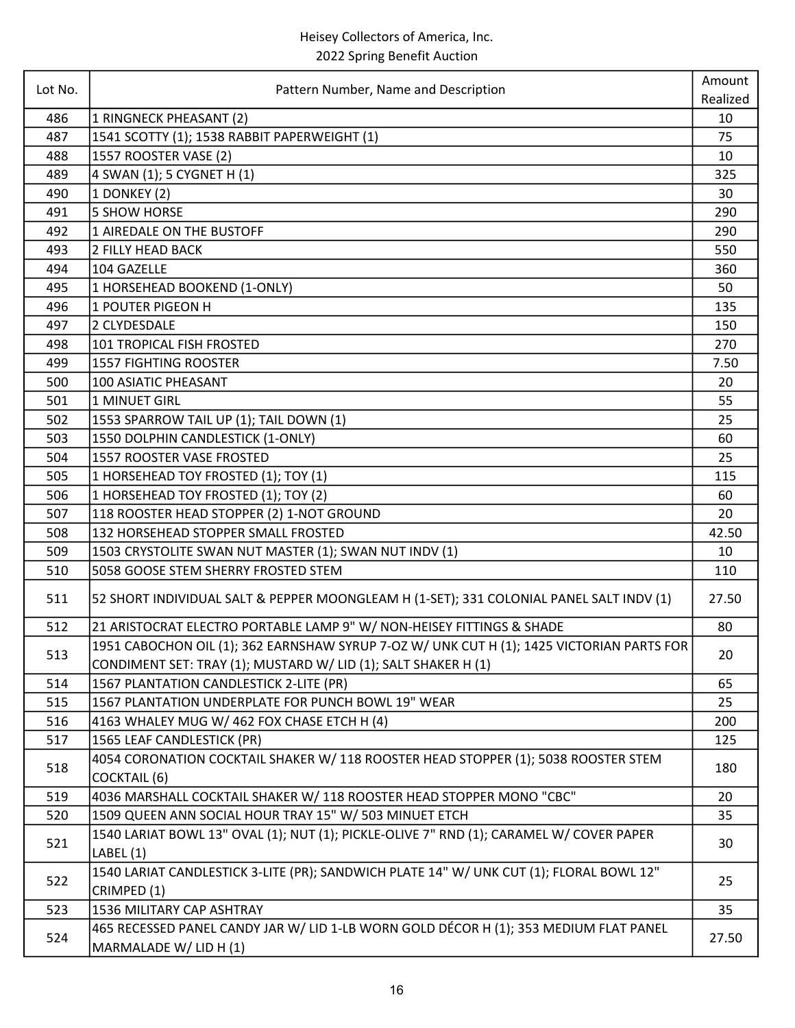| Lot No. | Pattern Number, Name and Description                                                                            | Amount<br>Realized |
|---------|-----------------------------------------------------------------------------------------------------------------|--------------------|
| 486     | 1 RINGNECK PHEASANT (2)                                                                                         | 10                 |
| 487     | 1541 SCOTTY (1); 1538 RABBIT PAPERWEIGHT (1)                                                                    | 75                 |
| 488     | 1557 ROOSTER VASE (2)                                                                                           | 10                 |
| 489     | 4 SWAN (1); 5 CYGNET H (1)                                                                                      | 325                |
| 490     | 1 DONKEY (2)                                                                                                    | 30                 |
| 491     | <b>5 SHOW HORSE</b>                                                                                             | 290                |
| 492     | 1 AIREDALE ON THE BUSTOFF                                                                                       | 290                |
| 493     | 2 FILLY HEAD BACK                                                                                               | 550                |
| 494     | 104 GAZELLE                                                                                                     | 360                |
| 495     | 1 HORSEHEAD BOOKEND (1-ONLY)                                                                                    | 50                 |
| 496     | 1 POUTER PIGEON H                                                                                               | 135                |
| 497     | 2 CLYDESDALE                                                                                                    | 150                |
| 498     | 101 TROPICAL FISH FROSTED                                                                                       | 270                |
| 499     | <b>1557 FIGHTING ROOSTER</b>                                                                                    | 7.50               |
| 500     | <b>100 ASIATIC PHEASANT</b>                                                                                     | 20                 |
| 501     | 1 MINUET GIRL                                                                                                   | 55                 |
| 502     | 1553 SPARROW TAIL UP (1); TAIL DOWN (1)                                                                         | 25                 |
| 503     | 1550 DOLPHIN CANDLESTICK (1-ONLY)                                                                               | 60                 |
| 504     | 1557 ROOSTER VASE FROSTED                                                                                       | 25                 |
| 505     | 1 HORSEHEAD TOY FROSTED (1); TOY (1)                                                                            | 115                |
| 506     | 1 HORSEHEAD TOY FROSTED (1); TOY (2)                                                                            | 60                 |
| 507     | 118 ROOSTER HEAD STOPPER (2) 1-NOT GROUND                                                                       | 20                 |
| 508     | 132 HORSEHEAD STOPPER SMALL FROSTED                                                                             | 42.50              |
| 509     | 1503 CRYSTOLITE SWAN NUT MASTER (1); SWAN NUT INDV (1)                                                          | 10                 |
| 510     | 5058 GOOSE STEM SHERRY FROSTED STEM                                                                             | 110                |
| 511     | 52 SHORT INDIVIDUAL SALT & PEPPER MOONGLEAM H (1-SET); 331 COLONIAL PANEL SALT INDV (1)                         | 27.50              |
| 512     | 21 ARISTOCRAT ELECTRO PORTABLE LAMP 9" W/ NON-HEISEY FITTINGS & SHADE                                           | 80                 |
| 513     | 1951 CABOCHON OIL (1); 362 EARNSHAW SYRUP 7-OZ W/ UNK CUT H (1); 1425 VICTORIAN PARTS FOR                       | 20                 |
|         | CONDIMENT SET: TRAY (1); MUSTARD W/ LID (1); SALT SHAKER H (1)                                                  |                    |
| 514     | 1567 PLANTATION CANDLESTICK 2-LITE (PR)                                                                         | 65                 |
| 515     | 1567 PLANTATION UNDERPLATE FOR PUNCH BOWL 19" WEAR                                                              | 25                 |
| 516     | 4163 WHALEY MUG W/ 462 FOX CHASE ETCH H (4)                                                                     | 200                |
| 517     | 1565 LEAF CANDLESTICK (PR)                                                                                      | 125                |
| 518     | 4054 CORONATION COCKTAIL SHAKER W/ 118 ROOSTER HEAD STOPPER (1); 5038 ROOSTER STEM<br><b>COCKTAIL (6)</b>       | 180                |
| 519     | 4036 MARSHALL COCKTAIL SHAKER W/ 118 ROOSTER HEAD STOPPER MONO "CBC"                                            | 20                 |
| 520     | 1509 QUEEN ANN SOCIAL HOUR TRAY 15" W/ 503 MINUET ETCH                                                          | 35                 |
| 521     | 1540 LARIAT BOWL 13" OVAL (1); NUT (1); PICKLE-OLIVE 7" RND (1); CARAMEL W/ COVER PAPER<br>LABEL (1)            | 30                 |
| 522     | 1540 LARIAT CANDLESTICK 3-LITE (PR); SANDWICH PLATE 14" W/ UNK CUT (1); FLORAL BOWL 12"<br>CRIMPED (1)          | 25                 |
| 523     | 1536 MILITARY CAP ASHTRAY                                                                                       | 35                 |
| 524     | 465 RECESSED PANEL CANDY JAR W/ LID 1-LB WORN GOLD DÉCOR H (1); 353 MEDIUM FLAT PANEL<br>MARMALADE W/ LID H (1) | 27.50              |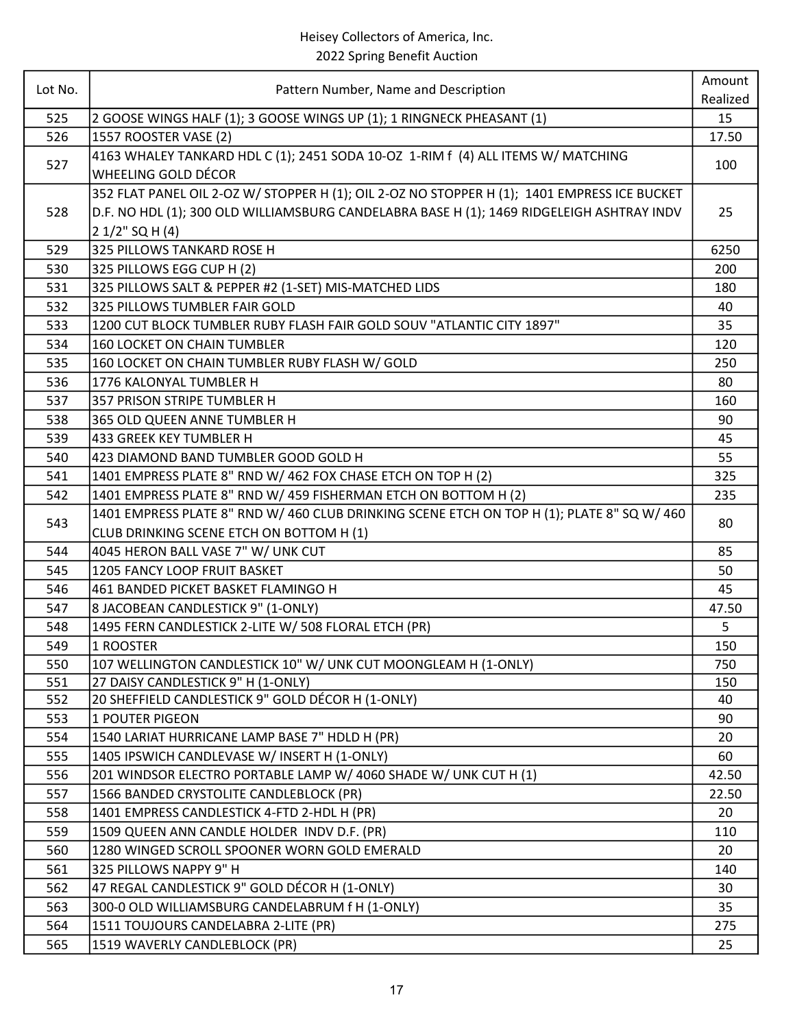| Realized<br>525<br>2 GOOSE WINGS HALF (1); 3 GOOSE WINGS UP (1); 1 RINGNECK PHEASANT (1)<br>15<br>526<br>1557 ROOSTER VASE (2)<br>17.50<br>4163 WHALEY TANKARD HDL C (1); 2451 SODA 10-OZ 1-RIM f (4) ALL ITEMS W/ MATCHING<br>527<br>100<br>WHEELING GOLD DÉCOR<br>352 FLAT PANEL OIL 2-OZ W/ STOPPER H (1); OIL 2-OZ NO STOPPER H (1); 1401 EMPRESS ICE BUCKET<br>D.F. NO HDL (1); 300 OLD WILLIAMSBURG CANDELABRA BASE H (1); 1469 RIDGELEIGH ASHTRAY INDV<br>528<br>25<br>2 1/2" SQ H (4)<br>325 PILLOWS TANKARD ROSE H<br>529<br>6250<br>530<br>325 PILLOWS EGG CUP H (2)<br>200<br>531<br>325 PILLOWS SALT & PEPPER #2 (1-SET) MIS-MATCHED LIDS<br>180<br>532<br>325 PILLOWS TUMBLER FAIR GOLD<br>40<br>1200 CUT BLOCK TUMBLER RUBY FLASH FAIR GOLD SOUV "ATLANTIC CITY 1897"<br>533<br>35<br>534<br><b>160 LOCKET ON CHAIN TUMBLER</b><br>120<br>535<br>160 LOCKET ON CHAIN TUMBLER RUBY FLASH W/ GOLD<br>250<br>536<br>80<br>1776 KALONYAL TUMBLER H<br>537<br>357 PRISON STRIPE TUMBLER H<br>160<br>538<br>90<br>365 OLD QUEEN ANNE TUMBLER H<br>539<br>433 GREEK KEY TUMBLER H<br>45<br>55<br>540<br>423 DIAMOND BAND TUMBLER GOOD GOLD H<br>541<br>1401 EMPRESS PLATE 8" RND W/ 462 FOX CHASE ETCH ON TOP H (2)<br>325<br>1401 EMPRESS PLATE 8" RND W/ 459 FISHERMAN ETCH ON BOTTOM H (2)<br>542<br>235<br>1401 EMPRESS PLATE 8" RND W/ 460 CLUB DRINKING SCENE ETCH ON TOP H (1); PLATE 8" SQ W/ 460<br>543<br>80<br>CLUB DRINKING SCENE ETCH ON BOTTOM H (1)<br>4045 HERON BALL VASE 7" W/ UNK CUT<br>85<br>544<br>545<br>1205 FANCY LOOP FRUIT BASKET<br>50<br>461 BANDED PICKET BASKET FLAMINGO H<br>546<br>45<br>547<br>8 JACOBEAN CANDLESTICK 9" (1-ONLY)<br>47.50<br>1495 FERN CANDLESTICK 2-LITE W/ 508 FLORAL ETCH (PR)<br>5<br>548<br>549<br>1 ROOSTER<br>150<br>107 WELLINGTON CANDLESTICK 10" W/ UNK CUT MOONGLEAM H (1-ONLY)<br>550<br>750<br>27 DAISY CANDLESTICK 9" H (1-ONLY)<br>551<br>150<br>20 SHEFFIELD CANDLESTICK 9" GOLD DÉCOR H (1-ONLY)<br>552<br>40<br><b>1 POUTER PIGEON</b><br>553<br>90<br>1540 LARIAT HURRICANE LAMP BASE 7" HDLD H (PR)<br>554<br>20<br>1405 IPSWICH CANDLEVASE W/ INSERT H (1-ONLY)<br>555<br>60<br>201 WINDSOR ELECTRO PORTABLE LAMP W/ 4060 SHADE W/ UNK CUT H (1)<br>556<br>42.50<br>1566 BANDED CRYSTOLITE CANDLEBLOCK (PR)<br>557<br>22.50<br>558<br>1401 EMPRESS CANDLESTICK 4-FTD 2-HDL H (PR)<br>20<br>559<br>1509 QUEEN ANN CANDLE HOLDER INDV D.F. (PR)<br>110<br>560<br>1280 WINGED SCROLL SPOONER WORN GOLD EMERALD<br>20<br>325 PILLOWS NAPPY 9" H<br>561<br>140<br>47 REGAL CANDLESTICK 9" GOLD DÉCOR H (1-ONLY)<br>562<br>30<br>563<br>300-0 OLD WILLIAMSBURG CANDELABRUM f H (1-ONLY)<br>35<br>564<br>1511 TOUJOURS CANDELABRA 2-LITE (PR)<br>275<br>565<br>1519 WAVERLY CANDLEBLOCK (PR)<br>25 | Lot No. | Pattern Number, Name and Description | Amount |
|----------------------------------------------------------------------------------------------------------------------------------------------------------------------------------------------------------------------------------------------------------------------------------------------------------------------------------------------------------------------------------------------------------------------------------------------------------------------------------------------------------------------------------------------------------------------------------------------------------------------------------------------------------------------------------------------------------------------------------------------------------------------------------------------------------------------------------------------------------------------------------------------------------------------------------------------------------------------------------------------------------------------------------------------------------------------------------------------------------------------------------------------------------------------------------------------------------------------------------------------------------------------------------------------------------------------------------------------------------------------------------------------------------------------------------------------------------------------------------------------------------------------------------------------------------------------------------------------------------------------------------------------------------------------------------------------------------------------------------------------------------------------------------------------------------------------------------------------------------------------------------------------------------------------------------------------------------------------------------------------------------------------------------------------------------------------------------------------------------------------------------------------------------------------------------------------------------------------------------------------------------------------------------------------------------------------------------------------------------------------------------------------------------------------------------------------------------------------------------------------------------------------------------------------------------------------------------------------------------------------------------------------------------------------------------------------------------------------------------------------------------------------------|---------|--------------------------------------|--------|
|                                                                                                                                                                                                                                                                                                                                                                                                                                                                                                                                                                                                                                                                                                                                                                                                                                                                                                                                                                                                                                                                                                                                                                                                                                                                                                                                                                                                                                                                                                                                                                                                                                                                                                                                                                                                                                                                                                                                                                                                                                                                                                                                                                                                                                                                                                                                                                                                                                                                                                                                                                                                                                                                                                                                                                            |         |                                      |        |
|                                                                                                                                                                                                                                                                                                                                                                                                                                                                                                                                                                                                                                                                                                                                                                                                                                                                                                                                                                                                                                                                                                                                                                                                                                                                                                                                                                                                                                                                                                                                                                                                                                                                                                                                                                                                                                                                                                                                                                                                                                                                                                                                                                                                                                                                                                                                                                                                                                                                                                                                                                                                                                                                                                                                                                            |         |                                      |        |
|                                                                                                                                                                                                                                                                                                                                                                                                                                                                                                                                                                                                                                                                                                                                                                                                                                                                                                                                                                                                                                                                                                                                                                                                                                                                                                                                                                                                                                                                                                                                                                                                                                                                                                                                                                                                                                                                                                                                                                                                                                                                                                                                                                                                                                                                                                                                                                                                                                                                                                                                                                                                                                                                                                                                                                            |         |                                      |        |
|                                                                                                                                                                                                                                                                                                                                                                                                                                                                                                                                                                                                                                                                                                                                                                                                                                                                                                                                                                                                                                                                                                                                                                                                                                                                                                                                                                                                                                                                                                                                                                                                                                                                                                                                                                                                                                                                                                                                                                                                                                                                                                                                                                                                                                                                                                                                                                                                                                                                                                                                                                                                                                                                                                                                                                            |         |                                      |        |
|                                                                                                                                                                                                                                                                                                                                                                                                                                                                                                                                                                                                                                                                                                                                                                                                                                                                                                                                                                                                                                                                                                                                                                                                                                                                                                                                                                                                                                                                                                                                                                                                                                                                                                                                                                                                                                                                                                                                                                                                                                                                                                                                                                                                                                                                                                                                                                                                                                                                                                                                                                                                                                                                                                                                                                            |         |                                      |        |
|                                                                                                                                                                                                                                                                                                                                                                                                                                                                                                                                                                                                                                                                                                                                                                                                                                                                                                                                                                                                                                                                                                                                                                                                                                                                                                                                                                                                                                                                                                                                                                                                                                                                                                                                                                                                                                                                                                                                                                                                                                                                                                                                                                                                                                                                                                                                                                                                                                                                                                                                                                                                                                                                                                                                                                            |         |                                      |        |
|                                                                                                                                                                                                                                                                                                                                                                                                                                                                                                                                                                                                                                                                                                                                                                                                                                                                                                                                                                                                                                                                                                                                                                                                                                                                                                                                                                                                                                                                                                                                                                                                                                                                                                                                                                                                                                                                                                                                                                                                                                                                                                                                                                                                                                                                                                                                                                                                                                                                                                                                                                                                                                                                                                                                                                            |         |                                      |        |
|                                                                                                                                                                                                                                                                                                                                                                                                                                                                                                                                                                                                                                                                                                                                                                                                                                                                                                                                                                                                                                                                                                                                                                                                                                                                                                                                                                                                                                                                                                                                                                                                                                                                                                                                                                                                                                                                                                                                                                                                                                                                                                                                                                                                                                                                                                                                                                                                                                                                                                                                                                                                                                                                                                                                                                            |         |                                      |        |
|                                                                                                                                                                                                                                                                                                                                                                                                                                                                                                                                                                                                                                                                                                                                                                                                                                                                                                                                                                                                                                                                                                                                                                                                                                                                                                                                                                                                                                                                                                                                                                                                                                                                                                                                                                                                                                                                                                                                                                                                                                                                                                                                                                                                                                                                                                                                                                                                                                                                                                                                                                                                                                                                                                                                                                            |         |                                      |        |
|                                                                                                                                                                                                                                                                                                                                                                                                                                                                                                                                                                                                                                                                                                                                                                                                                                                                                                                                                                                                                                                                                                                                                                                                                                                                                                                                                                                                                                                                                                                                                                                                                                                                                                                                                                                                                                                                                                                                                                                                                                                                                                                                                                                                                                                                                                                                                                                                                                                                                                                                                                                                                                                                                                                                                                            |         |                                      |        |
|                                                                                                                                                                                                                                                                                                                                                                                                                                                                                                                                                                                                                                                                                                                                                                                                                                                                                                                                                                                                                                                                                                                                                                                                                                                                                                                                                                                                                                                                                                                                                                                                                                                                                                                                                                                                                                                                                                                                                                                                                                                                                                                                                                                                                                                                                                                                                                                                                                                                                                                                                                                                                                                                                                                                                                            |         |                                      |        |
|                                                                                                                                                                                                                                                                                                                                                                                                                                                                                                                                                                                                                                                                                                                                                                                                                                                                                                                                                                                                                                                                                                                                                                                                                                                                                                                                                                                                                                                                                                                                                                                                                                                                                                                                                                                                                                                                                                                                                                                                                                                                                                                                                                                                                                                                                                                                                                                                                                                                                                                                                                                                                                                                                                                                                                            |         |                                      |        |
|                                                                                                                                                                                                                                                                                                                                                                                                                                                                                                                                                                                                                                                                                                                                                                                                                                                                                                                                                                                                                                                                                                                                                                                                                                                                                                                                                                                                                                                                                                                                                                                                                                                                                                                                                                                                                                                                                                                                                                                                                                                                                                                                                                                                                                                                                                                                                                                                                                                                                                                                                                                                                                                                                                                                                                            |         |                                      |        |
|                                                                                                                                                                                                                                                                                                                                                                                                                                                                                                                                                                                                                                                                                                                                                                                                                                                                                                                                                                                                                                                                                                                                                                                                                                                                                                                                                                                                                                                                                                                                                                                                                                                                                                                                                                                                                                                                                                                                                                                                                                                                                                                                                                                                                                                                                                                                                                                                                                                                                                                                                                                                                                                                                                                                                                            |         |                                      |        |
|                                                                                                                                                                                                                                                                                                                                                                                                                                                                                                                                                                                                                                                                                                                                                                                                                                                                                                                                                                                                                                                                                                                                                                                                                                                                                                                                                                                                                                                                                                                                                                                                                                                                                                                                                                                                                                                                                                                                                                                                                                                                                                                                                                                                                                                                                                                                                                                                                                                                                                                                                                                                                                                                                                                                                                            |         |                                      |        |
|                                                                                                                                                                                                                                                                                                                                                                                                                                                                                                                                                                                                                                                                                                                                                                                                                                                                                                                                                                                                                                                                                                                                                                                                                                                                                                                                                                                                                                                                                                                                                                                                                                                                                                                                                                                                                                                                                                                                                                                                                                                                                                                                                                                                                                                                                                                                                                                                                                                                                                                                                                                                                                                                                                                                                                            |         |                                      |        |
|                                                                                                                                                                                                                                                                                                                                                                                                                                                                                                                                                                                                                                                                                                                                                                                                                                                                                                                                                                                                                                                                                                                                                                                                                                                                                                                                                                                                                                                                                                                                                                                                                                                                                                                                                                                                                                                                                                                                                                                                                                                                                                                                                                                                                                                                                                                                                                                                                                                                                                                                                                                                                                                                                                                                                                            |         |                                      |        |
|                                                                                                                                                                                                                                                                                                                                                                                                                                                                                                                                                                                                                                                                                                                                                                                                                                                                                                                                                                                                                                                                                                                                                                                                                                                                                                                                                                                                                                                                                                                                                                                                                                                                                                                                                                                                                                                                                                                                                                                                                                                                                                                                                                                                                                                                                                                                                                                                                                                                                                                                                                                                                                                                                                                                                                            |         |                                      |        |
|                                                                                                                                                                                                                                                                                                                                                                                                                                                                                                                                                                                                                                                                                                                                                                                                                                                                                                                                                                                                                                                                                                                                                                                                                                                                                                                                                                                                                                                                                                                                                                                                                                                                                                                                                                                                                                                                                                                                                                                                                                                                                                                                                                                                                                                                                                                                                                                                                                                                                                                                                                                                                                                                                                                                                                            |         |                                      |        |
|                                                                                                                                                                                                                                                                                                                                                                                                                                                                                                                                                                                                                                                                                                                                                                                                                                                                                                                                                                                                                                                                                                                                                                                                                                                                                                                                                                                                                                                                                                                                                                                                                                                                                                                                                                                                                                                                                                                                                                                                                                                                                                                                                                                                                                                                                                                                                                                                                                                                                                                                                                                                                                                                                                                                                                            |         |                                      |        |
|                                                                                                                                                                                                                                                                                                                                                                                                                                                                                                                                                                                                                                                                                                                                                                                                                                                                                                                                                                                                                                                                                                                                                                                                                                                                                                                                                                                                                                                                                                                                                                                                                                                                                                                                                                                                                                                                                                                                                                                                                                                                                                                                                                                                                                                                                                                                                                                                                                                                                                                                                                                                                                                                                                                                                                            |         |                                      |        |
|                                                                                                                                                                                                                                                                                                                                                                                                                                                                                                                                                                                                                                                                                                                                                                                                                                                                                                                                                                                                                                                                                                                                                                                                                                                                                                                                                                                                                                                                                                                                                                                                                                                                                                                                                                                                                                                                                                                                                                                                                                                                                                                                                                                                                                                                                                                                                                                                                                                                                                                                                                                                                                                                                                                                                                            |         |                                      |        |
|                                                                                                                                                                                                                                                                                                                                                                                                                                                                                                                                                                                                                                                                                                                                                                                                                                                                                                                                                                                                                                                                                                                                                                                                                                                                                                                                                                                                                                                                                                                                                                                                                                                                                                                                                                                                                                                                                                                                                                                                                                                                                                                                                                                                                                                                                                                                                                                                                                                                                                                                                                                                                                                                                                                                                                            |         |                                      |        |
|                                                                                                                                                                                                                                                                                                                                                                                                                                                                                                                                                                                                                                                                                                                                                                                                                                                                                                                                                                                                                                                                                                                                                                                                                                                                                                                                                                                                                                                                                                                                                                                                                                                                                                                                                                                                                                                                                                                                                                                                                                                                                                                                                                                                                                                                                                                                                                                                                                                                                                                                                                                                                                                                                                                                                                            |         |                                      |        |
|                                                                                                                                                                                                                                                                                                                                                                                                                                                                                                                                                                                                                                                                                                                                                                                                                                                                                                                                                                                                                                                                                                                                                                                                                                                                                                                                                                                                                                                                                                                                                                                                                                                                                                                                                                                                                                                                                                                                                                                                                                                                                                                                                                                                                                                                                                                                                                                                                                                                                                                                                                                                                                                                                                                                                                            |         |                                      |        |
|                                                                                                                                                                                                                                                                                                                                                                                                                                                                                                                                                                                                                                                                                                                                                                                                                                                                                                                                                                                                                                                                                                                                                                                                                                                                                                                                                                                                                                                                                                                                                                                                                                                                                                                                                                                                                                                                                                                                                                                                                                                                                                                                                                                                                                                                                                                                                                                                                                                                                                                                                                                                                                                                                                                                                                            |         |                                      |        |
|                                                                                                                                                                                                                                                                                                                                                                                                                                                                                                                                                                                                                                                                                                                                                                                                                                                                                                                                                                                                                                                                                                                                                                                                                                                                                                                                                                                                                                                                                                                                                                                                                                                                                                                                                                                                                                                                                                                                                                                                                                                                                                                                                                                                                                                                                                                                                                                                                                                                                                                                                                                                                                                                                                                                                                            |         |                                      |        |
|                                                                                                                                                                                                                                                                                                                                                                                                                                                                                                                                                                                                                                                                                                                                                                                                                                                                                                                                                                                                                                                                                                                                                                                                                                                                                                                                                                                                                                                                                                                                                                                                                                                                                                                                                                                                                                                                                                                                                                                                                                                                                                                                                                                                                                                                                                                                                                                                                                                                                                                                                                                                                                                                                                                                                                            |         |                                      |        |
|                                                                                                                                                                                                                                                                                                                                                                                                                                                                                                                                                                                                                                                                                                                                                                                                                                                                                                                                                                                                                                                                                                                                                                                                                                                                                                                                                                                                                                                                                                                                                                                                                                                                                                                                                                                                                                                                                                                                                                                                                                                                                                                                                                                                                                                                                                                                                                                                                                                                                                                                                                                                                                                                                                                                                                            |         |                                      |        |
|                                                                                                                                                                                                                                                                                                                                                                                                                                                                                                                                                                                                                                                                                                                                                                                                                                                                                                                                                                                                                                                                                                                                                                                                                                                                                                                                                                                                                                                                                                                                                                                                                                                                                                                                                                                                                                                                                                                                                                                                                                                                                                                                                                                                                                                                                                                                                                                                                                                                                                                                                                                                                                                                                                                                                                            |         |                                      |        |
|                                                                                                                                                                                                                                                                                                                                                                                                                                                                                                                                                                                                                                                                                                                                                                                                                                                                                                                                                                                                                                                                                                                                                                                                                                                                                                                                                                                                                                                                                                                                                                                                                                                                                                                                                                                                                                                                                                                                                                                                                                                                                                                                                                                                                                                                                                                                                                                                                                                                                                                                                                                                                                                                                                                                                                            |         |                                      |        |
|                                                                                                                                                                                                                                                                                                                                                                                                                                                                                                                                                                                                                                                                                                                                                                                                                                                                                                                                                                                                                                                                                                                                                                                                                                                                                                                                                                                                                                                                                                                                                                                                                                                                                                                                                                                                                                                                                                                                                                                                                                                                                                                                                                                                                                                                                                                                                                                                                                                                                                                                                                                                                                                                                                                                                                            |         |                                      |        |
|                                                                                                                                                                                                                                                                                                                                                                                                                                                                                                                                                                                                                                                                                                                                                                                                                                                                                                                                                                                                                                                                                                                                                                                                                                                                                                                                                                                                                                                                                                                                                                                                                                                                                                                                                                                                                                                                                                                                                                                                                                                                                                                                                                                                                                                                                                                                                                                                                                                                                                                                                                                                                                                                                                                                                                            |         |                                      |        |
|                                                                                                                                                                                                                                                                                                                                                                                                                                                                                                                                                                                                                                                                                                                                                                                                                                                                                                                                                                                                                                                                                                                                                                                                                                                                                                                                                                                                                                                                                                                                                                                                                                                                                                                                                                                                                                                                                                                                                                                                                                                                                                                                                                                                                                                                                                                                                                                                                                                                                                                                                                                                                                                                                                                                                                            |         |                                      |        |
|                                                                                                                                                                                                                                                                                                                                                                                                                                                                                                                                                                                                                                                                                                                                                                                                                                                                                                                                                                                                                                                                                                                                                                                                                                                                                                                                                                                                                                                                                                                                                                                                                                                                                                                                                                                                                                                                                                                                                                                                                                                                                                                                                                                                                                                                                                                                                                                                                                                                                                                                                                                                                                                                                                                                                                            |         |                                      |        |
|                                                                                                                                                                                                                                                                                                                                                                                                                                                                                                                                                                                                                                                                                                                                                                                                                                                                                                                                                                                                                                                                                                                                                                                                                                                                                                                                                                                                                                                                                                                                                                                                                                                                                                                                                                                                                                                                                                                                                                                                                                                                                                                                                                                                                                                                                                                                                                                                                                                                                                                                                                                                                                                                                                                                                                            |         |                                      |        |
|                                                                                                                                                                                                                                                                                                                                                                                                                                                                                                                                                                                                                                                                                                                                                                                                                                                                                                                                                                                                                                                                                                                                                                                                                                                                                                                                                                                                                                                                                                                                                                                                                                                                                                                                                                                                                                                                                                                                                                                                                                                                                                                                                                                                                                                                                                                                                                                                                                                                                                                                                                                                                                                                                                                                                                            |         |                                      |        |
|                                                                                                                                                                                                                                                                                                                                                                                                                                                                                                                                                                                                                                                                                                                                                                                                                                                                                                                                                                                                                                                                                                                                                                                                                                                                                                                                                                                                                                                                                                                                                                                                                                                                                                                                                                                                                                                                                                                                                                                                                                                                                                                                                                                                                                                                                                                                                                                                                                                                                                                                                                                                                                                                                                                                                                            |         |                                      |        |
|                                                                                                                                                                                                                                                                                                                                                                                                                                                                                                                                                                                                                                                                                                                                                                                                                                                                                                                                                                                                                                                                                                                                                                                                                                                                                                                                                                                                                                                                                                                                                                                                                                                                                                                                                                                                                                                                                                                                                                                                                                                                                                                                                                                                                                                                                                                                                                                                                                                                                                                                                                                                                                                                                                                                                                            |         |                                      |        |
|                                                                                                                                                                                                                                                                                                                                                                                                                                                                                                                                                                                                                                                                                                                                                                                                                                                                                                                                                                                                                                                                                                                                                                                                                                                                                                                                                                                                                                                                                                                                                                                                                                                                                                                                                                                                                                                                                                                                                                                                                                                                                                                                                                                                                                                                                                                                                                                                                                                                                                                                                                                                                                                                                                                                                                            |         |                                      |        |
|                                                                                                                                                                                                                                                                                                                                                                                                                                                                                                                                                                                                                                                                                                                                                                                                                                                                                                                                                                                                                                                                                                                                                                                                                                                                                                                                                                                                                                                                                                                                                                                                                                                                                                                                                                                                                                                                                                                                                                                                                                                                                                                                                                                                                                                                                                                                                                                                                                                                                                                                                                                                                                                                                                                                                                            |         |                                      |        |
|                                                                                                                                                                                                                                                                                                                                                                                                                                                                                                                                                                                                                                                                                                                                                                                                                                                                                                                                                                                                                                                                                                                                                                                                                                                                                                                                                                                                                                                                                                                                                                                                                                                                                                                                                                                                                                                                                                                                                                                                                                                                                                                                                                                                                                                                                                                                                                                                                                                                                                                                                                                                                                                                                                                                                                            |         |                                      |        |
|                                                                                                                                                                                                                                                                                                                                                                                                                                                                                                                                                                                                                                                                                                                                                                                                                                                                                                                                                                                                                                                                                                                                                                                                                                                                                                                                                                                                                                                                                                                                                                                                                                                                                                                                                                                                                                                                                                                                                                                                                                                                                                                                                                                                                                                                                                                                                                                                                                                                                                                                                                                                                                                                                                                                                                            |         |                                      |        |
|                                                                                                                                                                                                                                                                                                                                                                                                                                                                                                                                                                                                                                                                                                                                                                                                                                                                                                                                                                                                                                                                                                                                                                                                                                                                                                                                                                                                                                                                                                                                                                                                                                                                                                                                                                                                                                                                                                                                                                                                                                                                                                                                                                                                                                                                                                                                                                                                                                                                                                                                                                                                                                                                                                                                                                            |         |                                      |        |
|                                                                                                                                                                                                                                                                                                                                                                                                                                                                                                                                                                                                                                                                                                                                                                                                                                                                                                                                                                                                                                                                                                                                                                                                                                                                                                                                                                                                                                                                                                                                                                                                                                                                                                                                                                                                                                                                                                                                                                                                                                                                                                                                                                                                                                                                                                                                                                                                                                                                                                                                                                                                                                                                                                                                                                            |         |                                      |        |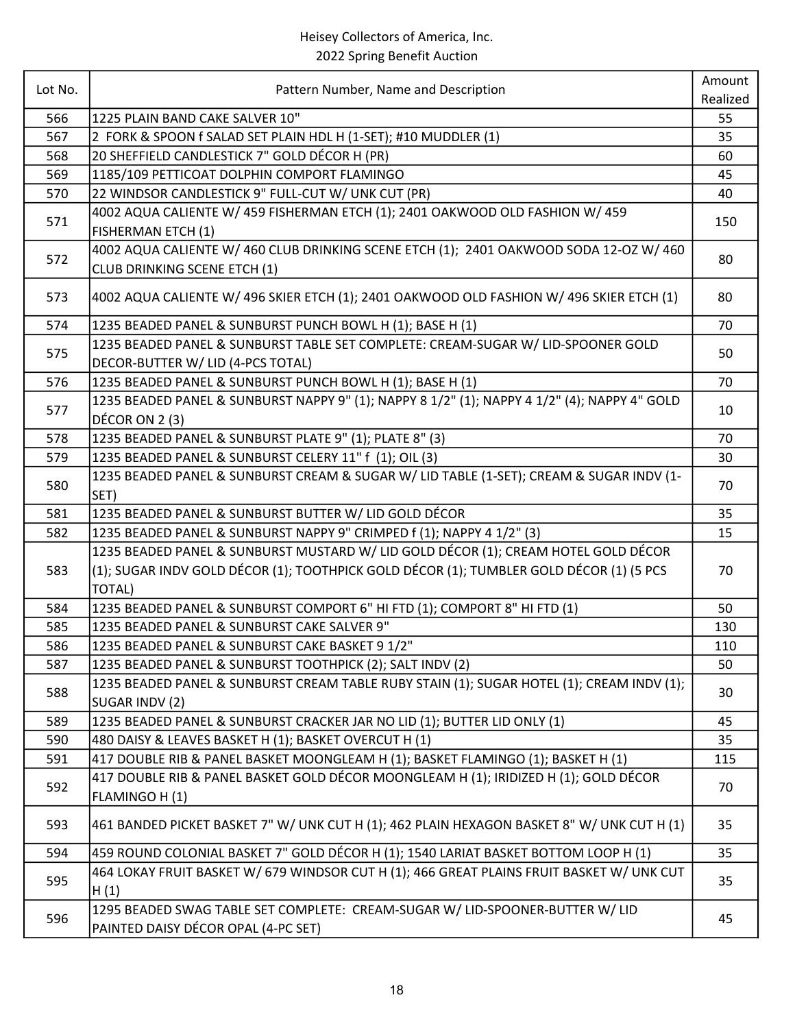| Lot No. | Pattern Number, Name and Description                                                                                   | Amount   |
|---------|------------------------------------------------------------------------------------------------------------------------|----------|
|         |                                                                                                                        | Realized |
| 566     | 1225 PLAIN BAND CAKE SALVER 10"                                                                                        | 55       |
| 567     | 2 FORK & SPOON f SALAD SET PLAIN HDL H (1-SET); #10 MUDDLER (1)                                                        | 35       |
| 568     | 20 SHEFFIELD CANDLESTICK 7" GOLD DÉCOR H (PR)                                                                          | 60       |
| 569     | 1185/109 PETTICOAT DOLPHIN COMPORT FLAMINGO                                                                            | 45       |
| 570     | 22 WINDSOR CANDLESTICK 9" FULL-CUT W/ UNK CUT (PR)                                                                     | 40       |
| 571     | 4002 AQUA CALIENTE W/ 459 FISHERMAN ETCH (1); 2401 OAKWOOD OLD FASHION W/ 459<br><b>FISHERMAN ETCH (1)</b>             | 150      |
| 572     | 4002 AQUA CALIENTE W/ 460 CLUB DRINKING SCENE ETCH (1); 2401 OAKWOOD SODA 12-OZ W/ 460<br>CLUB DRINKING SCENE ETCH (1) | 80       |
| 573     | 4002 AQUA CALIENTE W/ 496 SKIER ETCH (1); 2401 OAKWOOD OLD FASHION W/ 496 SKIER ETCH (1)                               | 80       |
| 574     | 1235 BEADED PANEL & SUNBURST PUNCH BOWL H (1); BASE H (1)                                                              | 70       |
| 575     | 1235 BEADED PANEL & SUNBURST TABLE SET COMPLETE: CREAM-SUGAR W/ LID-SPOONER GOLD<br>DECOR-BUTTER W/ LID (4-PCS TOTAL)  | 50       |
| 576     | 1235 BEADED PANEL & SUNBURST PUNCH BOWL H (1); BASE H (1)                                                              | 70       |
| 577     | 1235 BEADED PANEL & SUNBURST NAPPY 9" (1); NAPPY 8 1/2" (1); NAPPY 4 1/2" (4); NAPPY 4" GOLD<br>DÉCOR ON 2 (3)         | 10       |
| 578     | 1235 BEADED PANEL & SUNBURST PLATE 9" (1); PLATE 8" (3)                                                                | 70       |
| 579     | 1235 BEADED PANEL & SUNBURST CELERY 11" f (1); OIL (3)                                                                 | 30       |
| 580     | 1235 BEADED PANEL & SUNBURST CREAM & SUGAR W/ LID TABLE (1-SET); CREAM & SUGAR INDV (1-<br>SET)                        | 70       |
| 581     | 1235 BEADED PANEL & SUNBURST BUTTER W/ LID GOLD DÉCOR                                                                  | 35       |
| 582     | 1235 BEADED PANEL & SUNBURST NAPPY 9" CRIMPED f (1); NAPPY 4 1/2" (3)                                                  | 15       |
|         | 1235 BEADED PANEL & SUNBURST MUSTARD W/ LID GOLD DÉCOR (1); CREAM HOTEL GOLD DÉCOR                                     |          |
| 583     | (1); SUGAR INDV GOLD DÉCOR (1); TOOTHPICK GOLD DÉCOR (1); TUMBLER GOLD DÉCOR (1) (5 PCS<br><b>TOTAL)</b>               | 70       |
| 584     | 1235 BEADED PANEL & SUNBURST COMPORT 6" HI FTD (1); COMPORT 8" HI FTD (1)                                              | 50       |
| 585     | 1235 BEADED PANEL & SUNBURST CAKE SALVER 9"                                                                            | 130      |
| 586     | 1235 BEADED PANEL & SUNBURST CAKE BASKET 9 1/2"                                                                        | 110      |
| 587     | 1235 BEADED PANEL & SUNBURST TOOTHPICK (2); SALT INDV (2)                                                              | 50       |
| 588     | 1235 BEADED PANEL & SUNBURST CREAM TABLE RUBY STAIN (1); SUGAR HOTEL (1); CREAM INDV (1);<br>SUGAR INDV (2)            | 30       |
| 589     | 1235 BEADED PANEL & SUNBURST CRACKER JAR NO LID (1); BUTTER LID ONLY (1)                                               | 45       |
| 590     | 480 DAISY & LEAVES BASKET H (1); BASKET OVERCUT H (1)                                                                  | 35       |
| 591     | 417 DOUBLE RIB & PANEL BASKET MOONGLEAM H (1); BASKET FLAMINGO (1); BASKET H (1)                                       | 115      |
| 592     | 417 DOUBLE RIB & PANEL BASKET GOLD DÉCOR MOONGLEAM H (1); IRIDIZED H (1); GOLD DÉCOR<br>FLAMINGO H (1)                 | 70       |
| 593     | 461 BANDED PICKET BASKET 7" W/ UNK CUT H (1); 462 PLAIN HEXAGON BASKET 8" W/ UNK CUT H (1)                             | 35       |
| 594     | 459 ROUND COLONIAL BASKET 7" GOLD DÉCOR H (1); 1540 LARIAT BASKET BOTTOM LOOP H (1)                                    | 35       |
| 595     | 464 LOKAY FRUIT BASKET W/ 679 WINDSOR CUT H (1); 466 GREAT PLAINS FRUIT BASKET W/ UNK CUT<br>H(1)                      | 35       |
| 596     | 1295 BEADED SWAG TABLE SET COMPLETE: CREAM-SUGAR W/ LID-SPOONER-BUTTER W/ LID<br>PAINTED DAISY DÉCOR OPAL (4-PC SET)   | 45       |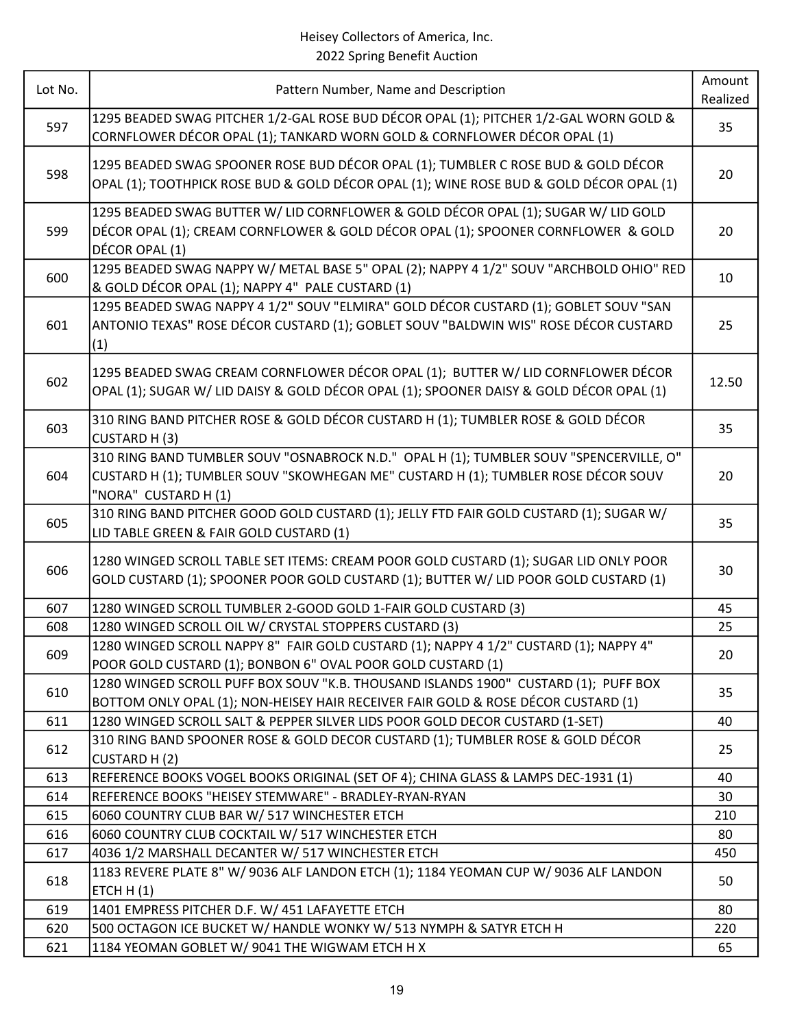| Lot No. | Pattern Number, Name and Description                                                                                                                                                                | Amount<br>Realized |
|---------|-----------------------------------------------------------------------------------------------------------------------------------------------------------------------------------------------------|--------------------|
| 597     | 1295 BEADED SWAG PITCHER 1/2-GAL ROSE BUD DÉCOR OPAL (1); PITCHER 1/2-GAL WORN GOLD &<br>CORNFLOWER DÉCOR OPAL (1); TANKARD WORN GOLD & CORNFLOWER DÉCOR OPAL (1)                                   | 35                 |
| 598     | 1295 BEADED SWAG SPOONER ROSE BUD DÉCOR OPAL (1); TUMBLER C ROSE BUD & GOLD DÉCOR<br>OPAL (1); TOOTHPICK ROSE BUD & GOLD DÉCOR OPAL (1); WINE ROSE BUD & GOLD DÉCOR OPAL (1)                        | 20                 |
| 599     | 1295 BEADED SWAG BUTTER W/ LID CORNFLOWER & GOLD DÉCOR OPAL (1); SUGAR W/ LID GOLD<br>DÉCOR OPAL (1); CREAM CORNFLOWER & GOLD DÉCOR OPAL (1); SPOONER CORNFLOWER & GOLD<br>DÉCOR OPAL (1)           | 20                 |
| 600     | 1295 BEADED SWAG NAPPY W/ METAL BASE 5" OPAL (2); NAPPY 4 1/2" SOUV "ARCHBOLD OHIO" RED<br>& GOLD DÉCOR OPAL (1); NAPPY 4" PALE CUSTARD (1)                                                         | 10                 |
| 601     | 1295 BEADED SWAG NAPPY 4 1/2" SOUV "ELMIRA" GOLD DÉCOR CUSTARD (1); GOBLET SOUV "SAN<br>ANTONIO TEXAS" ROSE DÉCOR CUSTARD (1); GOBLET SOUV "BALDWIN WIS" ROSE DÉCOR CUSTARD<br>(1)                  | 25                 |
| 602     | 1295 BEADED SWAG CREAM CORNFLOWER DÉCOR OPAL (1); BUTTER W/ LID CORNFLOWER DÉCOR<br>OPAL (1); SUGAR W/ LID DAISY & GOLD DÉCOR OPAL (1); SPOONER DAISY & GOLD DÉCOR OPAL (1)                         | 12.50              |
| 603     | 310 RING BAND PITCHER ROSE & GOLD DÉCOR CUSTARD H (1); TUMBLER ROSE & GOLD DÉCOR<br>CUSTARD H (3)                                                                                                   | 35                 |
| 604     | 310 RING BAND TUMBLER SOUV "OSNABROCK N.D." OPAL H (1); TUMBLER SOUV "SPENCERVILLE, O"<br>CUSTARD H (1); TUMBLER SOUV "SKOWHEGAN ME" CUSTARD H (1); TUMBLER ROSE DÉCOR SOUV<br>"NORA" CUSTARD H (1) | 20                 |
| 605     | 310 RING BAND PITCHER GOOD GOLD CUSTARD (1); JELLY FTD FAIR GOLD CUSTARD (1); SUGAR W/<br>LID TABLE GREEN & FAIR GOLD CUSTARD (1)                                                                   | 35                 |
| 606     | 1280 WINGED SCROLL TABLE SET ITEMS: CREAM POOR GOLD CUSTARD (1); SUGAR LID ONLY POOR<br>GOLD CUSTARD (1); SPOONER POOR GOLD CUSTARD (1); BUTTER W/ LID POOR GOLD CUSTARD (1)                        | 30                 |
| 607     | 1280 WINGED SCROLL TUMBLER 2-GOOD GOLD 1-FAIR GOLD CUSTARD (3)                                                                                                                                      | 45                 |
| 608     | 1280 WINGED SCROLL OIL W/ CRYSTAL STOPPERS CUSTARD (3)                                                                                                                                              | 25                 |
| 609     | 1280 WINGED SCROLL NAPPY 8" FAIR GOLD CUSTARD (1); NAPPY 4 1/2" CUSTARD (1); NAPPY 4"<br>POOR GOLD CUSTARD (1); BONBON 6" OVAL POOR GOLD CUSTARD (1)                                                | 20                 |
| 610     | 1280 WINGED SCROLL PUFF BOX SOUV "K.B. THOUSAND ISLANDS 1900" CUSTARD (1); PUFF BOX<br>BOTTOM ONLY OPAL (1); NON-HEISEY HAIR RECEIVER FAIR GOLD & ROSE DÉCOR CUSTARD (1)                            | 35                 |
| 611     | 1280 WINGED SCROLL SALT & PEPPER SILVER LIDS POOR GOLD DECOR CUSTARD (1-SET)                                                                                                                        | 40                 |
| 612     | 310 RING BAND SPOONER ROSE & GOLD DECOR CUSTARD (1); TUMBLER ROSE & GOLD DÉCOR<br>CUSTARD H(2)                                                                                                      | 25                 |
| 613     | REFERENCE BOOKS VOGEL BOOKS ORIGINAL (SET OF 4); CHINA GLASS & LAMPS DEC-1931 (1)                                                                                                                   | 40                 |
| 614     | REFERENCE BOOKS "HEISEY STEMWARE" - BRADLEY-RYAN-RYAN                                                                                                                                               | 30                 |
| 615     | 6060 COUNTRY CLUB BAR W/ 517 WINCHESTER ETCH                                                                                                                                                        | 210                |
| 616     | 6060 COUNTRY CLUB COCKTAIL W/ 517 WINCHESTER ETCH                                                                                                                                                   | 80                 |
| 617     | 4036 1/2 MARSHALL DECANTER W/ 517 WINCHESTER ETCH                                                                                                                                                   | 450                |
| 618     | 1183 REVERE PLATE 8" W/ 9036 ALF LANDON ETCH (1); 1184 YEOMAN CUP W/ 9036 ALF LANDON<br>ETCH $H(1)$                                                                                                 | 50                 |
| 619     | 1401 EMPRESS PITCHER D.F. W/ 451 LAFAYETTE ETCH                                                                                                                                                     | 80                 |
| 620     | 500 OCTAGON ICE BUCKET W/ HANDLE WONKY W/ 513 NYMPH & SATYR ETCH H                                                                                                                                  | 220                |
| 621     | 1184 YEOMAN GOBLET W/ 9041 THE WIGWAM ETCH H X                                                                                                                                                      | 65                 |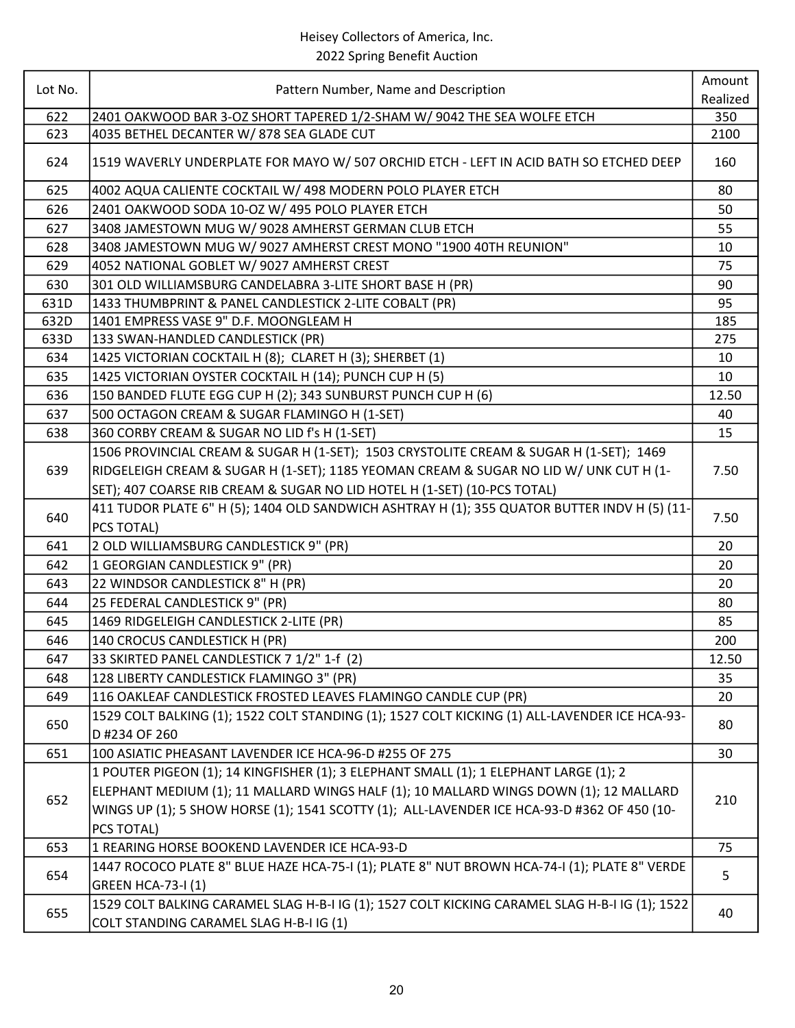| Lot No. | Pattern Number, Name and Description                                                           | Amount   |
|---------|------------------------------------------------------------------------------------------------|----------|
|         |                                                                                                | Realized |
| 622     | 2401 OAKWOOD BAR 3-OZ SHORT TAPERED 1/2-SHAM W/ 9042 THE SEA WOLFE ETCH                        | 350      |
| 623     | 4035 BETHEL DECANTER W/878 SEA GLADE CUT                                                       | 2100     |
| 624     | 1519 WAVERLY UNDERPLATE FOR MAYO W/ 507 ORCHID ETCH - LEFT IN ACID BATH SO ETCHED DEEP         | 160      |
| 625     | 4002 AQUA CALIENTE COCKTAIL W/ 498 MODERN POLO PLAYER ETCH                                     | 80       |
| 626     | 2401 OAKWOOD SODA 10-OZ W/ 495 POLO PLAYER ETCH                                                | 50       |
| 627     | 3408 JAMESTOWN MUG W/ 9028 AMHERST GERMAN CLUB ETCH                                            | 55       |
| 628     | 3408 JAMESTOWN MUG W/ 9027 AMHERST CREST MONO "1900 40TH REUNION"                              | 10       |
| 629     | 4052 NATIONAL GOBLET W/ 9027 AMHERST CREST                                                     | 75       |
| 630     | 301 OLD WILLIAMSBURG CANDELABRA 3-LITE SHORT BASE H (PR)                                       | 90       |
| 631D    | 1433 THUMBPRINT & PANEL CANDLESTICK 2-LITE COBALT (PR)                                         | 95       |
| 632D    | 1401 EMPRESS VASE 9" D.F. MOONGLEAM H                                                          | 185      |
| 633D    | 133 SWAN-HANDLED CANDLESTICK (PR)                                                              | 275      |
| 634     | 1425 VICTORIAN COCKTAIL H (8); CLARET H (3); SHERBET (1)                                       | 10       |
| 635     | 1425 VICTORIAN OYSTER COCKTAIL H (14); PUNCH CUP H (5)                                         | 10       |
| 636     | 150 BANDED FLUTE EGG CUP H (2); 343 SUNBURST PUNCH CUP H (6)                                   | 12.50    |
| 637     | 500 OCTAGON CREAM & SUGAR FLAMINGO H (1-SET)                                                   | 40       |
| 638     | 360 CORBY CREAM & SUGAR NO LID f's H (1-SET)                                                   | 15       |
|         | 1506 PROVINCIAL CREAM & SUGAR H (1-SET); 1503 CRYSTOLITE CREAM & SUGAR H (1-SET); 1469         |          |
| 639     | RIDGELEIGH CREAM & SUGAR H (1-SET); 1185 YEOMAN CREAM & SUGAR NO LID W/ UNK CUT H (1-          | 7.50     |
|         | SET); 407 COARSE RIB CREAM & SUGAR NO LID HOTEL H (1-SET) (10-PCS TOTAL)                       |          |
|         | 411 TUDOR PLATE 6" H (5); 1404 OLD SANDWICH ASHTRAY H (1); 355 QUATOR BUTTER INDV H (5) (11-   |          |
| 640     | PCS TOTAL)                                                                                     | 7.50     |
| 641     | 2 OLD WILLIAMSBURG CANDLESTICK 9" (PR)                                                         | 20       |
| 642     | 1 GEORGIAN CANDLESTICK 9" (PR)                                                                 | 20       |
| 643     | 22 WINDSOR CANDLESTICK 8" H (PR)                                                               | 20       |
| 644     | 25 FEDERAL CANDLESTICK 9" (PR)                                                                 | 80       |
| 645     | 1469 RIDGELEIGH CANDLESTICK 2-LITE (PR)                                                        | 85       |
| 646     | 140 CROCUS CANDLESTICK H (PR)                                                                  | 200      |
| 647     | 33 SKIRTED PANEL CANDLESTICK 7 1/2" 1-f (2)                                                    | 12.50    |
| 648     | 128 LIBERTY CANDLESTICK FLAMINGO 3" (PR)                                                       | 35       |
| 649     | 116 OAKLEAF CANDLESTICK FROSTED LEAVES FLAMINGO CANDLE CUP (PR)                                | 20       |
| 650     | 1529 COLT BALKING (1); 1522 COLT STANDING (1); 1527 COLT KICKING (1) ALL-LAVENDER ICE HCA-93-  |          |
|         | D #234 OF 260                                                                                  | 80       |
| 651     | 100 ASIATIC PHEASANT LAVENDER ICE HCA-96-D #255 OF 275                                         | 30       |
|         | 1 POUTER PIGEON (1); 14 KINGFISHER (1); 3 ELEPHANT SMALL (1); 1 ELEPHANT LARGE (1); 2          |          |
|         | ELEPHANT MEDIUM (1); 11 MALLARD WINGS HALF (1); 10 MALLARD WINGS DOWN (1); 12 MALLARD          |          |
| 652     | WINGS UP (1); 5 SHOW HORSE (1); 1541 SCOTTY (1); ALL-LAVENDER ICE HCA-93-D #362 OF 450 (10-    | 210      |
|         | PCS TOTAL)                                                                                     |          |
| 653     | 1 REARING HORSE BOOKEND LAVENDER ICE HCA-93-D                                                  | 75       |
|         | 1447 ROCOCO PLATE 8" BLUE HAZE HCA-75-I (1); PLATE 8" NUT BROWN HCA-74-I (1); PLATE 8" VERDE   |          |
| 654     | <b>GREEN HCA-73-I (1)</b>                                                                      | 5        |
| 655     | 1529 COLT BALKING CARAMEL SLAG H-B-I IG (1); 1527 COLT KICKING CARAMEL SLAG H-B-I IG (1); 1522 | 40       |
|         | COLT STANDING CARAMEL SLAG H-B-I IG (1)                                                        |          |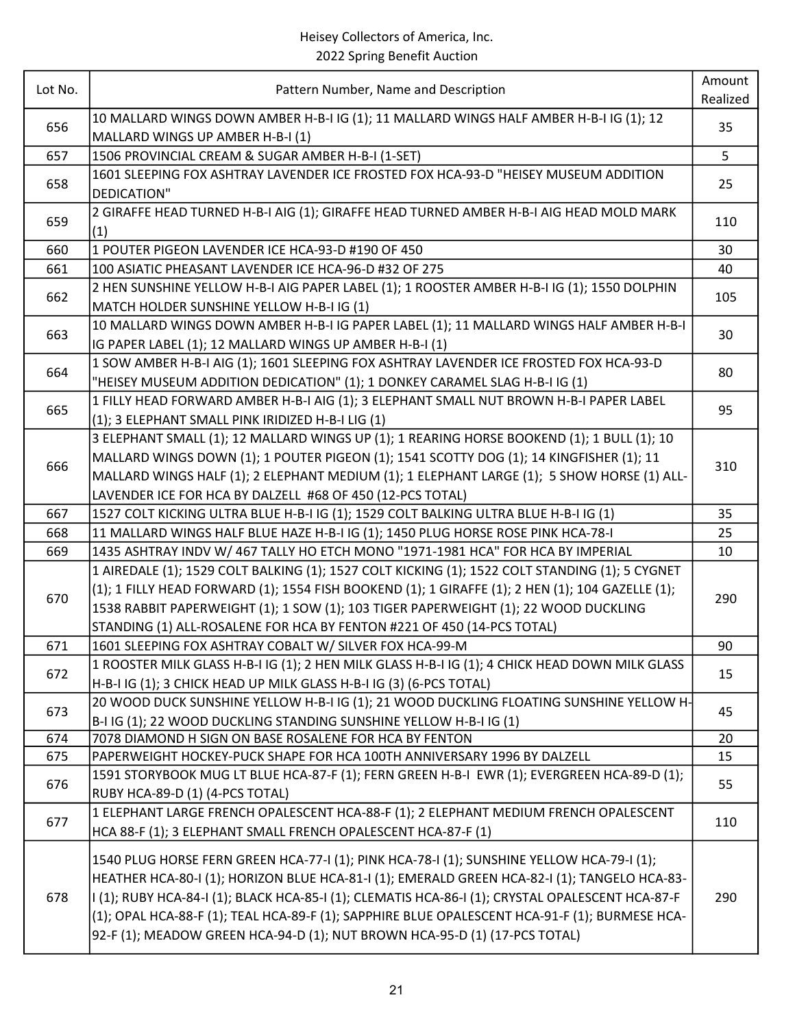| Lot No. |                                                                                                                    | Amount   |
|---------|--------------------------------------------------------------------------------------------------------------------|----------|
|         | Pattern Number, Name and Description                                                                               | Realized |
| 656     | 10 MALLARD WINGS DOWN AMBER H-B-I IG (1); 11 MALLARD WINGS HALF AMBER H-B-I IG (1); 12                             | 35       |
|         | MALLARD WINGS UP AMBER H-B-I (1)                                                                                   |          |
| 657     | 1506 PROVINCIAL CREAM & SUGAR AMBER H-B-I (1-SET)                                                                  | 5        |
| 658     | 1601 SLEEPING FOX ASHTRAY LAVENDER ICE FROSTED FOX HCA-93-D "HEISEY MUSEUM ADDITION                                | 25       |
|         | DEDICATION"                                                                                                        |          |
| 659     | 2 GIRAFFE HEAD TURNED H-B-I AIG (1); GIRAFFE HEAD TURNED AMBER H-B-I AIG HEAD MOLD MARK                            | 110      |
|         | (1)                                                                                                                |          |
| 660     | 1 POUTER PIGEON LAVENDER ICE HCA-93-D #190 OF 450                                                                  | 30       |
| 661     | 100 ASIATIC PHEASANT LAVENDER ICE HCA-96-D #32 OF 275                                                              | 40       |
| 662     | 2 HEN SUNSHINE YELLOW H-B-I AIG PAPER LABEL (1); 1 ROOSTER AMBER H-B-I IG (1); 1550 DOLPHIN                        | 105      |
|         | MATCH HOLDER SUNSHINE YELLOW H-B-I IG (1)                                                                          |          |
| 663     | 10 MALLARD WINGS DOWN AMBER H-B-I IG PAPER LABEL (1); 11 MALLARD WINGS HALF AMBER H-B-I                            | 30       |
|         | IG PAPER LABEL (1); 12 MALLARD WINGS UP AMBER H-B-I (1)                                                            |          |
| 664     | 1 SOW AMBER H-B-I AIG (1); 1601 SLEEPING FOX ASHTRAY LAVENDER ICE FROSTED FOX HCA-93-D                             | 80       |
|         | "HEISEY MUSEUM ADDITION DEDICATION" (1); 1 DONKEY CARAMEL SLAG H-B-I IG (1)                                        |          |
| 665     | 1 FILLY HEAD FORWARD AMBER H-B-I AIG (1); 3 ELEPHANT SMALL NUT BROWN H-B-I PAPER LABEL                             | 95       |
|         | (1); 3 ELEPHANT SMALL PINK IRIDIZED H-B-I LIG (1)                                                                  |          |
|         | 3 ELEPHANT SMALL (1); 12 MALLARD WINGS UP (1); 1 REARING HORSE BOOKEND (1); 1 BULL (1); 10                         |          |
| 666     | MALLARD WINGS DOWN (1); 1 POUTER PIGEON (1); 1541 SCOTTY DOG (1); 14 KINGFISHER (1); 11                            |          |
|         | MALLARD WINGS HALF (1); 2 ELEPHANT MEDIUM (1); 1 ELEPHANT LARGE (1); 5 SHOW HORSE (1) ALL-                         | 310      |
|         | LAVENDER ICE FOR HCA BY DALZELL #68 OF 450 (12-PCS TOTAL)                                                          |          |
| 667     | 1527 COLT KICKING ULTRA BLUE H-B-I IG (1); 1529 COLT BALKING ULTRA BLUE H-B-I IG (1)                               | 35       |
| 668     | 11 MALLARD WINGS HALF BLUE HAZE H-B-I IG (1); 1450 PLUG HORSE ROSE PINK HCA-78-I                                   | 25       |
| 669     | 1435 ASHTRAY INDV W/ 467 TALLY HO ETCH MONO "1971-1981 HCA" FOR HCA BY IMPERIAL                                    | 10       |
|         | 1 AIREDALE (1); 1529 COLT BALKING (1); 1527 COLT KICKING (1); 1522 COLT STANDING (1); 5 CYGNET                     |          |
|         | $(1)$ ; 1 FILLY HEAD FORWARD $(1)$ ; 1554 FISH BOOKEND $(1)$ ; 1 GIRAFFE $(1)$ ; 2 HEN $(1)$ ; 104 GAZELLE $(1)$ ; |          |
| 670     | 1538 RABBIT PAPERWEIGHT (1); 1 SOW (1); 103 TIGER PAPERWEIGHT (1); 22 WOOD DUCKLING                                | 290      |
|         | STANDING (1) ALL-ROSALENE FOR HCA BY FENTON #221 OF 450 (14-PCS TOTAL)                                             |          |
| 671     | 1601 SLEEPING FOX ASHTRAY COBALT W/ SILVER FOX HCA-99-M                                                            | 90       |
|         | 1 ROOSTER MILK GLASS H-B-I IG (1); 2 HEN MILK GLASS H-B-I IG (1); 4 CHICK HEAD DOWN MILK GLASS                     |          |
| 672     | H-B-I IG (1); 3 CHICK HEAD UP MILK GLASS H-B-I IG (3) (6-PCS TOTAL)                                                | 15       |
|         | 20 WOOD DUCK SUNSHINE YELLOW H-B-I IG (1); 21 WOOD DUCKLING FLOATING SUNSHINE YELLOW H-                            |          |
| 673     | B-I IG (1); 22 WOOD DUCKLING STANDING SUNSHINE YELLOW H-B-I IG (1)                                                 | 45       |
| 674     | 7078 DIAMOND H SIGN ON BASE ROSALENE FOR HCA BY FENTON                                                             | 20       |
| 675     | PAPERWEIGHT HOCKEY-PUCK SHAPE FOR HCA 100TH ANNIVERSARY 1996 BY DALZELL                                            | 15       |
|         | 1591 STORYBOOK MUG LT BLUE HCA-87-F (1); FERN GREEN H-B-I EWR (1); EVERGREEN HCA-89-D (1);                         |          |
| 676     | RUBY HCA-89-D (1) (4-PCS TOTAL)                                                                                    | 55       |
|         | 1 ELEPHANT LARGE FRENCH OPALESCENT HCA-88-F (1); 2 ELEPHANT MEDIUM FRENCH OPALESCENT                               |          |
| 677     | HCA 88-F (1); 3 ELEPHANT SMALL FRENCH OPALESCENT HCA-87-F (1)                                                      | 110      |
|         |                                                                                                                    |          |
| 678     | 1540 PLUG HORSE FERN GREEN HCA-77-I (1); PINK HCA-78-I (1); SUNSHINE YELLOW HCA-79-I (1);                          |          |
|         | HEATHER HCA-80-I (1); HORIZON BLUE HCA-81-I (1); EMERALD GREEN HCA-82-I (1); TANGELO HCA-83-                       |          |
|         | I (1); RUBY HCA-84-I (1); BLACK HCA-85-I (1); CLEMATIS HCA-86-I (1); CRYSTAL OPALESCENT HCA-87-F                   | 290      |
|         | (1); OPAL HCA-88-F (1); TEAL HCA-89-F (1); SAPPHIRE BLUE OPALESCENT HCA-91-F (1); BURMESE HCA-                     |          |
|         | 92-F (1); MEADOW GREEN HCA-94-D (1); NUT BROWN HCA-95-D (1) (17-PCS TOTAL)                                         |          |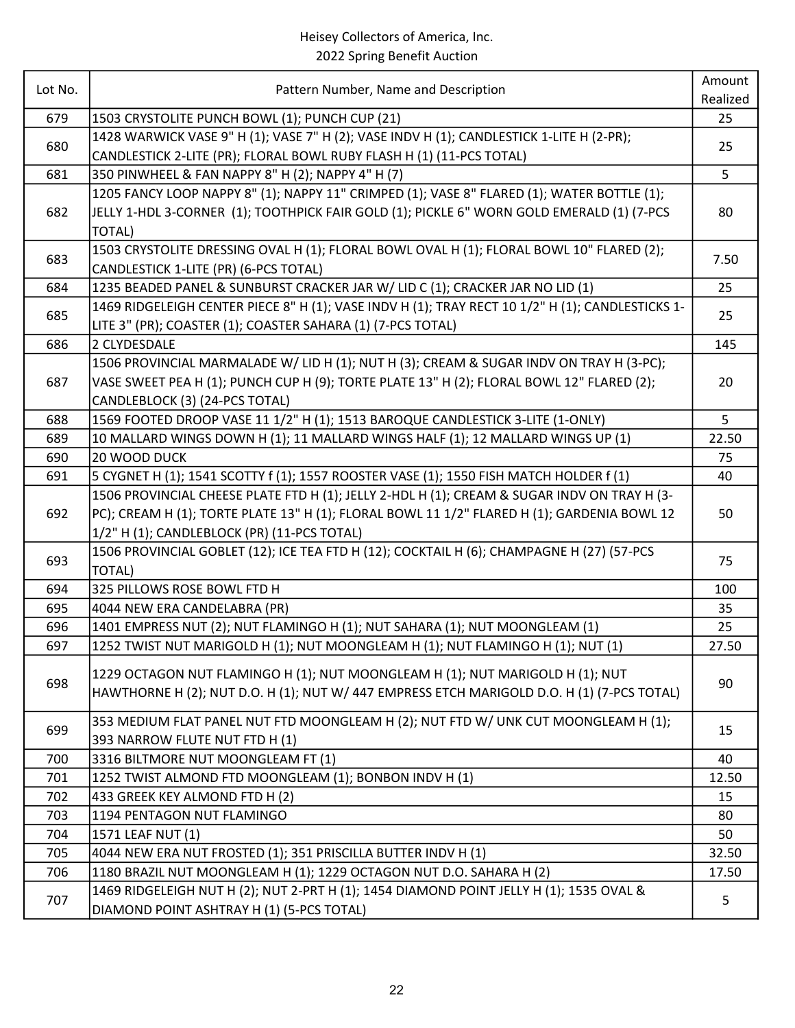| Lot No. | Pattern Number, Name and Description                                                                                                 | Amount<br>Realized |
|---------|--------------------------------------------------------------------------------------------------------------------------------------|--------------------|
| 679     | 1503 CRYSTOLITE PUNCH BOWL (1); PUNCH CUP (21)                                                                                       | 25                 |
|         | 1428 WARWICK VASE 9" H (1); VASE 7" H (2); VASE INDV H (1); CANDLESTICK 1-LITE H (2-PR);                                             |                    |
| 680     | CANDLESTICK 2-LITE (PR); FLORAL BOWL RUBY FLASH H (1) (11-PCS TOTAL)                                                                 | 25                 |
| 681     | 350 PINWHEEL & FAN NAPPY 8" H (2); NAPPY 4" H (7)                                                                                    | 5                  |
|         | 1205 FANCY LOOP NAPPY 8" (1); NAPPY 11" CRIMPED (1); VASE 8" FLARED (1); WATER BOTTLE (1);                                           |                    |
| 682     | JELLY 1-HDL 3-CORNER (1); TOOTHPICK FAIR GOLD (1); PICKLE 6" WORN GOLD EMERALD (1) (7-PCS                                            | 80                 |
|         | <b>TOTAL)</b>                                                                                                                        |                    |
|         | 1503 CRYSTOLITE DRESSING OVAL H (1); FLORAL BOWL OVAL H (1); FLORAL BOWL 10" FLARED (2);                                             |                    |
| 683     | CANDLESTICK 1-LITE (PR) (6-PCS TOTAL)                                                                                                | 7.50               |
| 684     | 1235 BEADED PANEL & SUNBURST CRACKER JAR W/ LID C (1); CRACKER JAR NO LID (1)                                                        | 25                 |
|         | 1469 RIDGELEIGH CENTER PIECE 8" H (1); VASE INDV H (1); TRAY RECT 10 1/2" H (1); CANDLESTICKS 1-                                     |                    |
| 685     | LITE 3" (PR); COASTER (1); COASTER SAHARA (1) (7-PCS TOTAL)                                                                          | 25                 |
| 686     | 2 CLYDESDALE                                                                                                                         | 145                |
|         | 1506 PROVINCIAL MARMALADE W/ LID H (1); NUT H (3); CREAM & SUGAR INDV ON TRAY H (3-PC);                                              |                    |
| 687     | VASE SWEET PEA H (1); PUNCH CUP H (9); TORTE PLATE 13" H (2); FLORAL BOWL 12" FLARED (2);                                            | 20                 |
|         | CANDLEBLOCK (3) (24-PCS TOTAL)                                                                                                       |                    |
| 688     | 1569 FOOTED DROOP VASE 11 1/2" H (1); 1513 BAROQUE CANDLESTICK 3-LITE (1-ONLY)                                                       | 5                  |
| 689     | 10 MALLARD WINGS DOWN H (1); 11 MALLARD WINGS HALF (1); 12 MALLARD WINGS UP (1)                                                      | 22.50              |
| 690     | 20 WOOD DUCK                                                                                                                         | 75                 |
| 691     | 5 CYGNET H (1); 1541 SCOTTY f (1); 1557 ROOSTER VASE (1); 1550 FISH MATCH HOLDER f (1)                                               | 40                 |
|         | 1506 PROVINCIAL CHEESE PLATE FTD H (1); JELLY 2-HDL H (1); CREAM & SUGAR INDV ON TRAY H (3-                                          |                    |
| 692     | PC); CREAM H (1); TORTE PLATE 13" H (1); FLORAL BOWL 11 1/2" FLARED H (1); GARDENIA BOWL 12                                          | 50                 |
|         | 1/2" H (1); CANDLEBLOCK (PR) (11-PCS TOTAL)                                                                                          |                    |
|         | 1506 PROVINCIAL GOBLET (12); ICE TEA FTD H (12); COCKTAIL H (6); CHAMPAGNE H (27) (57-PCS                                            |                    |
| 693     | <b>TOTAL)</b>                                                                                                                        | 75                 |
| 694     | 325 PILLOWS ROSE BOWL FTD H                                                                                                          | 100                |
| 695     | 4044 NEW ERA CANDELABRA (PR)                                                                                                         | 35                 |
| 696     | 1401 EMPRESS NUT (2); NUT FLAMINGO H (1); NUT SAHARA (1); NUT MOONGLEAM (1)                                                          | 25                 |
| 697     | 1252 TWIST NUT MARIGOLD H (1); NUT MOONGLEAM H (1); NUT FLAMINGO H (1); NUT (1)                                                      | 27.50              |
|         | 1229 OCTAGON NUT FLAMINGO H (1); NUT MOONGLEAM H (1); NUT MARIGOLD H (1); NUT                                                        |                    |
| 698     | HAWTHORNE H (2); NUT D.O. H (1); NUT W/ 447 EMPRESS ETCH MARIGOLD D.O. H (1) (7-PCS TOTAL)                                           | 90                 |
|         |                                                                                                                                      |                    |
| 699     | 353 MEDIUM FLAT PANEL NUT FTD MOONGLEAM H (2); NUT FTD W/ UNK CUT MOONGLEAM H (1);                                                   | 15                 |
|         | 393 NARROW FLUTE NUT FTD H (1)                                                                                                       |                    |
| 700     | 3316 BILTMORE NUT MOONGLEAM FT (1)                                                                                                   | 40                 |
| 701     | 1252 TWIST ALMOND FTD MOONGLEAM (1); BONBON INDV H (1)                                                                               | 12.50              |
| 702     | 433 GREEK KEY ALMOND FTD H (2)                                                                                                       | 15                 |
| 703     | 1194 PENTAGON NUT FLAMINGO                                                                                                           | 80                 |
| 704     | 1571 LEAF NUT (1)                                                                                                                    | 50                 |
| 705     | 4044 NEW ERA NUT FROSTED (1); 351 PRISCILLA BUTTER INDV H (1)                                                                        | 32.50              |
| 706     | 1180 BRAZIL NUT MOONGLEAM H (1); 1229 OCTAGON NUT D.O. SAHARA H (2)                                                                  | 17.50              |
| 707     | 1469 RIDGELEIGH NUT H (2); NUT 2-PRT H (1); 1454 DIAMOND POINT JELLY H (1); 1535 OVAL &<br>DIAMOND POINT ASHTRAY H (1) (5-PCS TOTAL) | 5                  |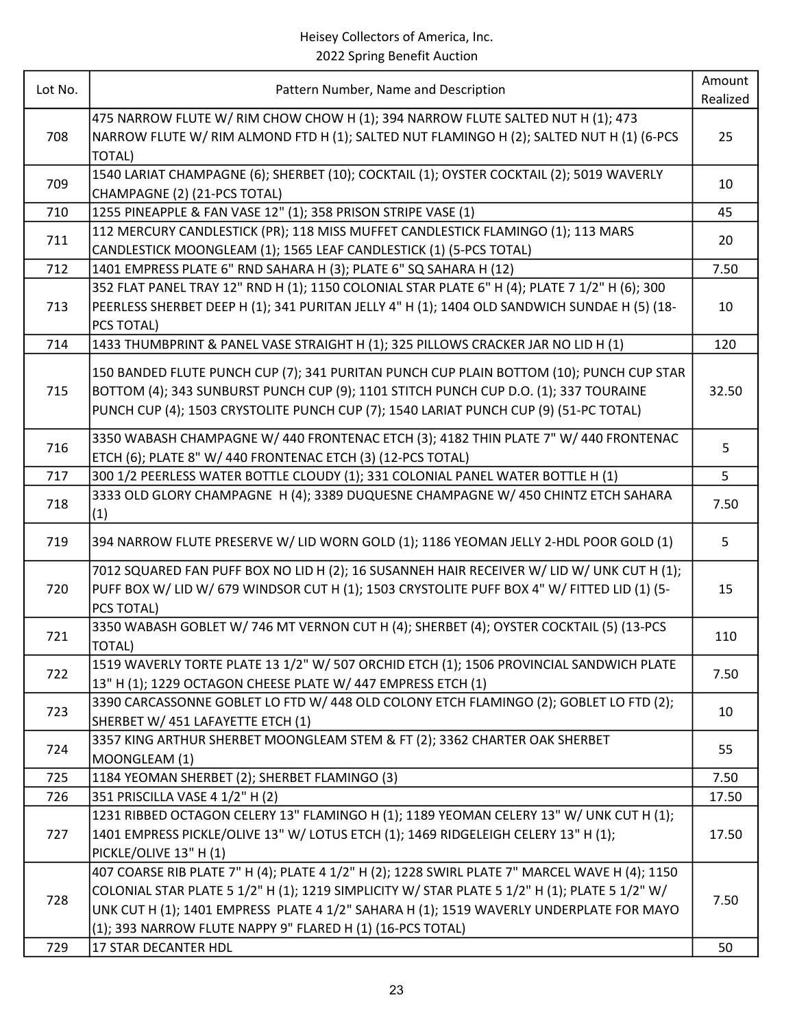| Lot No. | Pattern Number, Name and Description                                                                                                                                                                                                                                                                                                                     | Amount<br>Realized |
|---------|----------------------------------------------------------------------------------------------------------------------------------------------------------------------------------------------------------------------------------------------------------------------------------------------------------------------------------------------------------|--------------------|
| 708     | 475 NARROW FLUTE W/ RIM CHOW CHOW H (1); 394 NARROW FLUTE SALTED NUT H (1); 473<br>NARROW FLUTE W/ RIM ALMOND FTD H (1); SALTED NUT FLAMINGO H (2); SALTED NUT H (1) (6-PCS<br><b>TOTAL)</b>                                                                                                                                                             | 25                 |
| 709     | 1540 LARIAT CHAMPAGNE (6); SHERBET (10); COCKTAIL (1); OYSTER COCKTAIL (2); 5019 WAVERLY<br>CHAMPAGNE (2) (21-PCS TOTAL)                                                                                                                                                                                                                                 | 10                 |
| 710     | 1255 PINEAPPLE & FAN VASE 12" (1); 358 PRISON STRIPE VASE (1)                                                                                                                                                                                                                                                                                            | 45                 |
| 711     | 112 MERCURY CANDLESTICK (PR); 118 MISS MUFFET CANDLESTICK FLAMINGO (1); 113 MARS<br>CANDLESTICK MOONGLEAM (1); 1565 LEAF CANDLESTICK (1) (5-PCS TOTAL)                                                                                                                                                                                                   | 20                 |
| 712     | 1401 EMPRESS PLATE 6" RND SAHARA H (3); PLATE 6" SQ SAHARA H (12)                                                                                                                                                                                                                                                                                        | 7.50               |
| 713     | 352 FLAT PANEL TRAY 12" RND H (1); 1150 COLONIAL STAR PLATE 6" H (4); PLATE 7 1/2" H (6); 300<br>PEERLESS SHERBET DEEP H (1); 341 PURITAN JELLY 4" H (1); 1404 OLD SANDWICH SUNDAE H (5) (18-<br>PCS TOTAL)                                                                                                                                              | 10                 |
| 714     | 1433 THUMBPRINT & PANEL VASE STRAIGHT H (1); 325 PILLOWS CRACKER JAR NO LID H (1)                                                                                                                                                                                                                                                                        | 120                |
| 715     | 150 BANDED FLUTE PUNCH CUP (7); 341 PURITAN PUNCH CUP PLAIN BOTTOM (10); PUNCH CUP STAR<br>BOTTOM (4); 343 SUNBURST PUNCH CUP (9); 1101 STITCH PUNCH CUP D.O. (1); 337 TOURAINE<br>PUNCH CUP (4); 1503 CRYSTOLITE PUNCH CUP (7); 1540 LARIAT PUNCH CUP (9) (51-PC TOTAL)                                                                                 | 32.50              |
| 716     | 3350 WABASH CHAMPAGNE W/ 440 FRONTENAC ETCH (3); 4182 THIN PLATE 7" W/ 440 FRONTENAC<br>ETCH (6); PLATE 8" W/ 440 FRONTENAC ETCH (3) (12-PCS TOTAL)                                                                                                                                                                                                      | 5                  |
| 717     | 300 1/2 PEERLESS WATER BOTTLE CLOUDY (1); 331 COLONIAL PANEL WATER BOTTLE H (1)                                                                                                                                                                                                                                                                          | 5                  |
| 718     | 3333 OLD GLORY CHAMPAGNE H (4); 3389 DUQUESNE CHAMPAGNE W/ 450 CHINTZ ETCH SAHARA<br>(1)                                                                                                                                                                                                                                                                 | 7.50               |
| 719     | 394 NARROW FLUTE PRESERVE W/ LID WORN GOLD (1); 1186 YEOMAN JELLY 2-HDL POOR GOLD (1)                                                                                                                                                                                                                                                                    | 5                  |
| 720     | 7012 SQUARED FAN PUFF BOX NO LID H (2); 16 SUSANNEH HAIR RECEIVER W/ LID W/ UNK CUT H (1);<br>PUFF BOX W/ LID W/ 679 WINDSOR CUT H (1); 1503 CRYSTOLITE PUFF BOX 4" W/ FITTED LID (1) (5-<br>PCS TOTAL)                                                                                                                                                  | 15                 |
| 721     | 3350 WABASH GOBLET W/ 746 MT VERNON CUT H (4); SHERBET (4); OYSTER COCKTAIL (5) (13-PCS<br>TOTAL)                                                                                                                                                                                                                                                        | 110                |
| 722     | 1519 WAVERLY TORTE PLATE 13 1/2" W/ 507 ORCHID ETCH (1); 1506 PROVINCIAL SANDWICH PLATE<br>13" H (1); 1229 OCTAGON CHEESE PLATE W/ 447 EMPRESS ETCH (1)                                                                                                                                                                                                  | 7.50               |
| 723     | 3390 CARCASSONNE GOBLET LO FTD W/ 448 OLD COLONY ETCH FLAMINGO (2); GOBLET LO FTD (2);<br>SHERBET W/ 451 LAFAYETTE ETCH (1)                                                                                                                                                                                                                              | 10                 |
| 724     | 3357 KING ARTHUR SHERBET MOONGLEAM STEM & FT (2); 3362 CHARTER OAK SHERBET<br>MOONGLEAM (1)                                                                                                                                                                                                                                                              | 55                 |
| 725     | 1184 YEOMAN SHERBET (2); SHERBET FLAMINGO (3)                                                                                                                                                                                                                                                                                                            | 7.50               |
| 726     | 351 PRISCILLA VASE 4 1/2" H (2)                                                                                                                                                                                                                                                                                                                          | 17.50              |
| 727     | 1231 RIBBED OCTAGON CELERY 13" FLAMINGO H (1); 1189 YEOMAN CELERY 13" W/ UNK CUT H (1);<br>1401 EMPRESS PICKLE/OLIVE 13" W/ LOTUS ETCH (1); 1469 RIDGELEIGH CELERY 13" H (1);<br>PICKLE/OLIVE 13" H (1)                                                                                                                                                  | 17.50              |
| 728     | 407 COARSE RIB PLATE 7" H (4); PLATE 4 1/2" H (2); 1228 SWIRL PLATE 7" MARCEL WAVE H (4); 1150<br>COLONIAL STAR PLATE 5 1/2" H (1); 1219 SIMPLICITY W/ STAR PLATE 5 1/2" H (1); PLATE 5 1/2" W/<br>UNK CUT H (1); 1401 EMPRESS PLATE 4 1/2" SAHARA H (1); 1519 WAVERLY UNDERPLATE FOR MAYO<br>(1); 393 NARROW FLUTE NAPPY 9" FLARED H (1) (16-PCS TOTAL) | 7.50               |
| 729     | 17 STAR DECANTER HDL                                                                                                                                                                                                                                                                                                                                     | 50                 |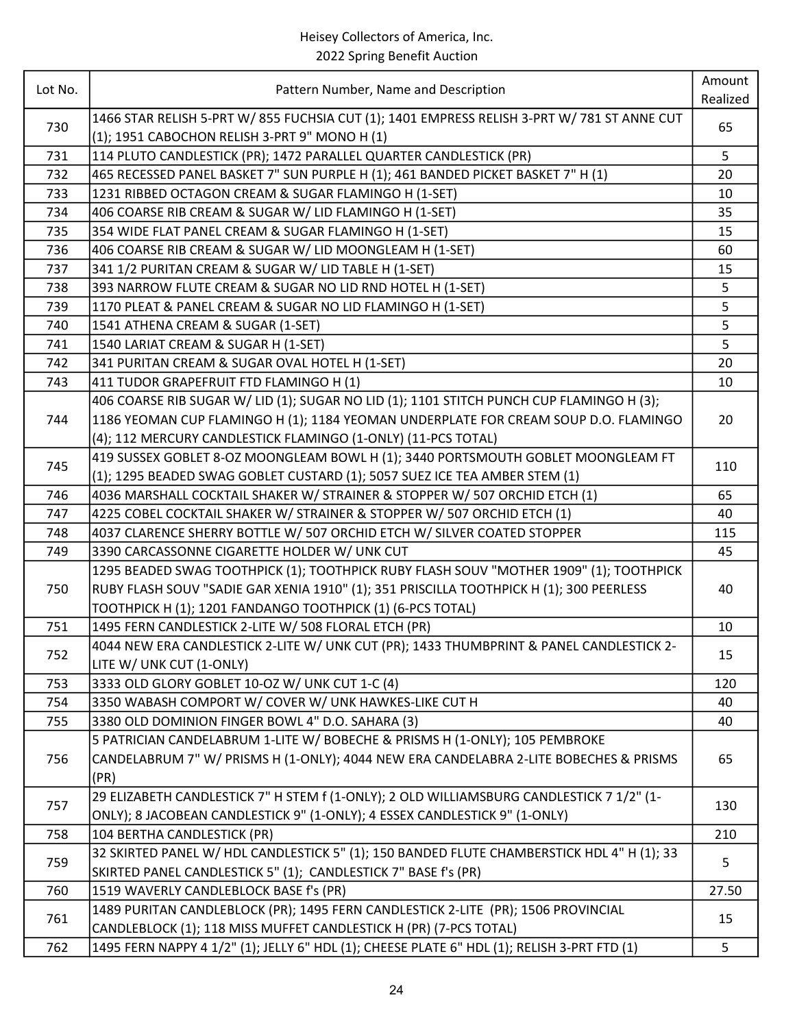| Lot No. |                                                                                             | Amount   |
|---------|---------------------------------------------------------------------------------------------|----------|
|         | Pattern Number, Name and Description                                                        | Realized |
| 730     | 1466 STAR RELISH 5-PRT W/ 855 FUCHSIA CUT (1); 1401 EMPRESS RELISH 3-PRT W/ 781 ST ANNE CUT | 65       |
|         | (1); 1951 CABOCHON RELISH 3-PRT 9" MONO H (1)                                               |          |
| 731     | 114 PLUTO CANDLESTICK (PR); 1472 PARALLEL QUARTER CANDLESTICK (PR)                          | 5        |
| 732     | 465 RECESSED PANEL BASKET 7" SUN PURPLE H (1); 461 BANDED PICKET BASKET 7" H (1)            | 20       |
| 733     | 1231 RIBBED OCTAGON CREAM & SUGAR FLAMINGO H (1-SET)                                        | 10       |
| 734     | 406 COARSE RIB CREAM & SUGAR W/ LID FLAMINGO H (1-SET)                                      | 35       |
| 735     | 354 WIDE FLAT PANEL CREAM & SUGAR FLAMINGO H (1-SET)                                        | 15       |
| 736     | 406 COARSE RIB CREAM & SUGAR W/ LID MOONGLEAM H (1-SET)                                     | 60       |
| 737     | 341 1/2 PURITAN CREAM & SUGAR W/ LID TABLE H (1-SET)                                        | 15       |
| 738     | 393 NARROW FLUTE CREAM & SUGAR NO LID RND HOTEL H (1-SET)                                   | 5        |
| 739     | 1170 PLEAT & PANEL CREAM & SUGAR NO LID FLAMINGO H (1-SET)                                  | 5        |
| 740     | 1541 ATHENA CREAM & SUGAR (1-SET)                                                           | 5        |
| 741     | 1540 LARIAT CREAM & SUGAR H (1-SET)                                                         | 5        |
| 742     | 341 PURITAN CREAM & SUGAR OVAL HOTEL H (1-SET)                                              | 20       |
| 743     | 411 TUDOR GRAPEFRUIT FTD FLAMINGO H (1)                                                     | 10       |
|         | 406 COARSE RIB SUGAR W/ LID (1); SUGAR NO LID (1); 1101 STITCH PUNCH CUP FLAMINGO H (3);    |          |
| 744     | 1186 YEOMAN CUP FLAMINGO H (1); 1184 YEOMAN UNDERPLATE FOR CREAM SOUP D.O. FLAMINGO         | 20       |
|         | (4); 112 MERCURY CANDLESTICK FLAMINGO (1-ONLY) (11-PCS TOTAL)                               |          |
|         | 419 SUSSEX GOBLET 8-OZ MOONGLEAM BOWL H (1); 3440 PORTSMOUTH GOBLET MOONGLEAM FT            |          |
| 745     | (1); 1295 BEADED SWAG GOBLET CUSTARD (1); 5057 SUEZ ICE TEA AMBER STEM (1)                  | 110      |
| 746     | 4036 MARSHALL COCKTAIL SHAKER W/ STRAINER & STOPPER W/ 507 ORCHID ETCH (1)                  | 65       |
| 747     | 4225 COBEL COCKTAIL SHAKER W/ STRAINER & STOPPER W/ 507 ORCHID ETCH (1)                     | 40       |
| 748     | 4037 CLARENCE SHERRY BOTTLE W/ 507 ORCHID ETCH W/ SILVER COATED STOPPER                     | 115      |
| 749     | 3390 CARCASSONNE CIGARETTE HOLDER W/ UNK CUT                                                | 45       |
|         | 1295 BEADED SWAG TOOTHPICK (1); TOOTHPICK RUBY FLASH SOUV "MOTHER 1909" (1); TOOTHPICK      |          |
| 750     | RUBY FLASH SOUV "SADIE GAR XENIA 1910" (1); 351 PRISCILLA TOOTHPICK H (1); 300 PEERLESS     | 40       |
|         | TOOTHPICK H (1); 1201 FANDANGO TOOTHPICK (1) (6-PCS TOTAL)                                  |          |
| 751     | 1495 FERN CANDLESTICK 2-LITE W/ 508 FLORAL ETCH (PR)                                        | 10       |
|         | 4044 NEW ERA CANDLESTICK 2-LITE W/ UNK CUT (PR); 1433 THUMBPRINT & PANEL CANDLESTICK 2-     |          |
| 752     | LITE W/ UNK CUT (1-ONLY)                                                                    | 15       |
| 753     | 3333 OLD GLORY GOBLET 10-OZ W/ UNK CUT 1-C (4)                                              | 120      |
| 754     | 3350 WABASH COMPORT W/ COVER W/ UNK HAWKES-LIKE CUT H                                       | 40       |
| 755     | 3380 OLD DOMINION FINGER BOWL 4" D.O. SAHARA (3)                                            | 40       |
|         | 5 PATRICIAN CANDELABRUM 1-LITE W/ BOBECHE & PRISMS H (1-ONLY); 105 PEMBROKE                 |          |
| 756     | CANDELABRUM 7" W/ PRISMS H (1-ONLY); 4044 NEW ERA CANDELABRA 2-LITE BOBECHES & PRISMS       | 65       |
|         | (PR)                                                                                        |          |
|         | 29 ELIZABETH CANDLESTICK 7" H STEM f (1-ONLY); 2 OLD WILLIAMSBURG CANDLESTICK 7 1/2" (1-    |          |
| 757     | ONLY); 8 JACOBEAN CANDLESTICK 9" (1-ONLY); 4 ESSEX CANDLESTICK 9" (1-ONLY)                  | 130      |
| 758     | 104 BERTHA CANDLESTICK (PR)                                                                 | 210      |
|         | 32 SKIRTED PANEL W/ HDL CANDLESTICK 5" (1); 150 BANDED FLUTE CHAMBERSTICK HDL 4" H (1); 33  |          |
| 759     | SKIRTED PANEL CANDLESTICK 5" (1); CANDLESTICK 7" BASE f's (PR)                              | 5        |
| 760     | 1519 WAVERLY CANDLEBLOCK BASE f's (PR)                                                      | 27.50    |
|         | 1489 PURITAN CANDLEBLOCK (PR); 1495 FERN CANDLESTICK 2-LITE (PR); 1506 PROVINCIAL           |          |
| 761     | CANDLEBLOCK (1); 118 MISS MUFFET CANDLESTICK H (PR) (7-PCS TOTAL)                           | 15       |
| 762     | 1495 FERN NAPPY 4 1/2" (1); JELLY 6" HDL (1); CHEESE PLATE 6" HDL (1); RELISH 3-PRT FTD (1) | 5        |
|         |                                                                                             |          |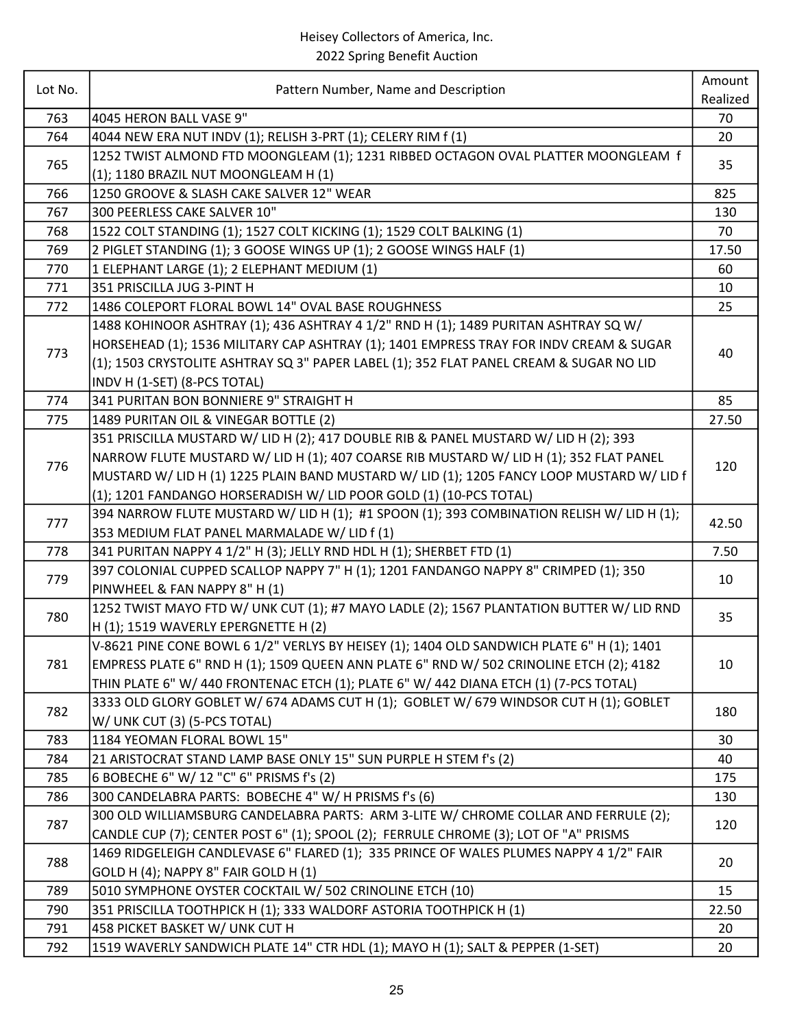| Lot No. | Pattern Number, Name and Description                                                      | Amount   |
|---------|-------------------------------------------------------------------------------------------|----------|
|         |                                                                                           | Realized |
| 763     | 4045 HERON BALL VASE 9"                                                                   | 70       |
| 764     | 4044 NEW ERA NUT INDV (1); RELISH 3-PRT (1); CELERY RIM f (1)                             | 20       |
| 765     | 1252 TWIST ALMOND FTD MOONGLEAM (1); 1231 RIBBED OCTAGON OVAL PLATTER MOONGLEAM f         | 35       |
|         | (1); 1180 BRAZIL NUT MOONGLEAM H (1)                                                      |          |
| 766     | 1250 GROOVE & SLASH CAKE SALVER 12" WEAR                                                  | 825      |
| 767     | 300 PEERLESS CAKE SALVER 10"                                                              | 130      |
| 768     | 1522 COLT STANDING (1); 1527 COLT KICKING (1); 1529 COLT BALKING (1)                      | 70       |
| 769     | 2 PIGLET STANDING (1); 3 GOOSE WINGS UP (1); 2 GOOSE WINGS HALF (1)                       | 17.50    |
| 770     | 1 ELEPHANT LARGE (1); 2 ELEPHANT MEDIUM (1)                                               | 60       |
| 771     | 351 PRISCILLA JUG 3-PINT H                                                                | 10       |
| 772     | 1486 COLEPORT FLORAL BOWL 14" OVAL BASE ROUGHNESS                                         | 25       |
|         | 1488 KOHINOOR ASHTRAY (1); 436 ASHTRAY 4 1/2" RND H (1); 1489 PURITAN ASHTRAY SQ W/       |          |
|         | HORSEHEAD (1); 1536 MILITARY CAP ASHTRAY (1); 1401 EMPRESS TRAY FOR INDV CREAM & SUGAR    |          |
| 773     | (1); 1503 CRYSTOLITE ASHTRAY SQ 3" PAPER LABEL (1); 352 FLAT PANEL CREAM & SUGAR NO LID   | 40       |
|         | INDV H (1-SET) (8-PCS TOTAL)                                                              |          |
| 774     | 341 PURITAN BON BONNIERE 9" STRAIGHT H                                                    | 85       |
| 775     | 1489 PURITAN OIL & VINEGAR BOTTLE (2)                                                     | 27.50    |
|         | 351 PRISCILLA MUSTARD W/ LID H (2); 417 DOUBLE RIB & PANEL MUSTARD W/ LID H (2); 393      |          |
|         | NARROW FLUTE MUSTARD W/ LID H (1); 407 COARSE RIB MUSTARD W/ LID H (1); 352 FLAT PANEL    |          |
| 776     | MUSTARD W/ LID H (1) 1225 PLAIN BAND MUSTARD W/ LID (1); 1205 FANCY LOOP MUSTARD W/ LID f | 120      |
|         | (1); 1201 FANDANGO HORSERADISH W/ LID POOR GOLD (1) (10-PCS TOTAL)                        |          |
|         | 394 NARROW FLUTE MUSTARD W/ LID H (1); #1 SPOON (1); 393 COMBINATION RELISH W/ LID H (1); |          |
| 777     | 353 MEDIUM FLAT PANEL MARMALADE W/ LID f (1)                                              | 42.50    |
| 778     | 341 PURITAN NAPPY 4 1/2" H (3); JELLY RND HDL H (1); SHERBET FTD (1)                      | 7.50     |
|         | 397 COLONIAL CUPPED SCALLOP NAPPY 7" H (1); 1201 FANDANGO NAPPY 8" CRIMPED (1); 350       |          |
| 779     | PINWHEEL & FAN NAPPY 8" H (1)                                                             | 10       |
|         | 1252 TWIST MAYO FTD W/ UNK CUT (1); #7 MAYO LADLE (2); 1567 PLANTATION BUTTER W/ LID RND  |          |
| 780     | H (1); 1519 WAVERLY EPERGNETTE H (2)                                                      | 35       |
|         | V-8621 PINE CONE BOWL 6 1/2" VERLYS BY HEISEY (1); 1404 OLD SANDWICH PLATE 6" H (1); 1401 |          |
| 781     | EMPRESS PLATE 6" RND H (1); 1509 QUEEN ANN PLATE 6" RND W/ 502 CRINOLINE ETCH (2); 4182   | 10       |
|         | THIN PLATE 6" W/ 440 FRONTENAC ETCH (1); PLATE 6" W/ 442 DIANA ETCH (1) (7-PCS TOTAL)     |          |
| 782     | 3333 OLD GLORY GOBLET W/ 674 ADAMS CUT H (1); GOBLET W/ 679 WINDSOR CUT H (1); GOBLET     |          |
|         | W/ UNK CUT (3) (5-PCS TOTAL)                                                              | 180      |
| 783     | 1184 YEOMAN FLORAL BOWL 15"                                                               | 30       |
| 784     | 21 ARISTOCRAT STAND LAMP BASE ONLY 15" SUN PURPLE H STEM f's (2)                          | 40       |
| 785     | 6 BOBECHE 6" W/ 12 "C" 6" PRISMS f's (2)                                                  | 175      |
| 786     | 300 CANDELABRA PARTS: BOBECHE 4" W/ H PRISMS f's (6)                                      | 130      |
|         | 300 OLD WILLIAMSBURG CANDELABRA PARTS: ARM 3-LITE W/ CHROME COLLAR AND FERRULE (2);       |          |
| 787     | CANDLE CUP (7); CENTER POST 6" (1); SPOOL (2); FERRULE CHROME (3); LOT OF "A" PRISMS      | 120      |
|         |                                                                                           |          |
| 788     | 1469 RIDGELEIGH CANDLEVASE 6" FLARED (1); 335 PRINCE OF WALES PLUMES NAPPY 4 1/2" FAIR    | 20       |
|         | GOLD H (4); NAPPY 8" FAIR GOLD H (1)                                                      |          |
| 789     | 5010 SYMPHONE OYSTER COCKTAIL W/ 502 CRINOLINE ETCH (10)                                  | 15       |
| 790     | 351 PRISCILLA TOOTHPICK H (1); 333 WALDORF ASTORIA TOOTHPICK H (1)                        | 22.50    |
| 791     | 458 PICKET BASKET W/ UNK CUT H                                                            | 20       |
| 792     | 1519 WAVERLY SANDWICH PLATE 14" CTR HDL (1); MAYO H (1); SALT & PEPPER (1-SET)            | 20       |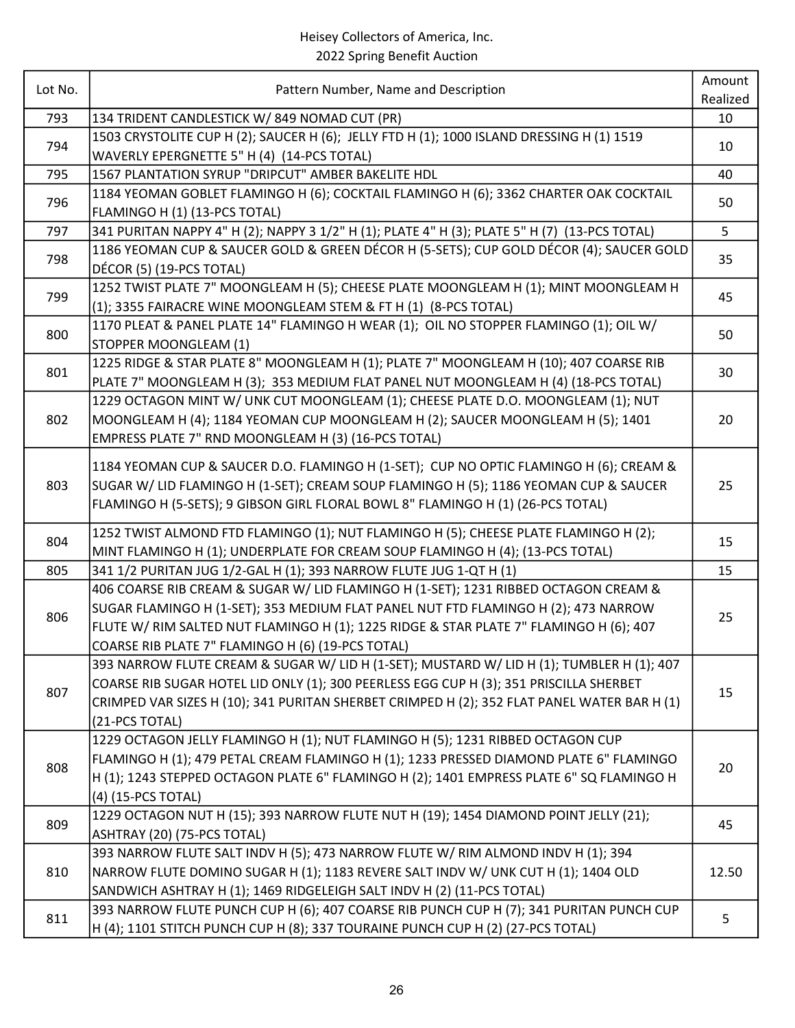| Lot No. | Pattern Number, Name and Description                                                                                                                                                                                                                                                                                     | Amount<br>Realized |
|---------|--------------------------------------------------------------------------------------------------------------------------------------------------------------------------------------------------------------------------------------------------------------------------------------------------------------------------|--------------------|
| 793     | 134 TRIDENT CANDLESTICK W/849 NOMAD CUT (PR)                                                                                                                                                                                                                                                                             | 10                 |
| 794     | 1503 CRYSTOLITE CUP H (2); SAUCER H (6); JELLY FTD H (1); 1000 ISLAND DRESSING H (1) 1519<br>WAVERLY EPERGNETTE 5" H (4) (14-PCS TOTAL)                                                                                                                                                                                  | 10                 |
| 795     | 1567 PLANTATION SYRUP "DRIPCUT" AMBER BAKELITE HDL                                                                                                                                                                                                                                                                       | 40                 |
| 796     | 1184 YEOMAN GOBLET FLAMINGO H (6); COCKTAIL FLAMINGO H (6); 3362 CHARTER OAK COCKTAIL<br>FLAMINGO H (1) (13-PCS TOTAL)                                                                                                                                                                                                   | 50                 |
| 797     | 341 PURITAN NAPPY 4" H (2); NAPPY 3 1/2" H (1); PLATE 4" H (3); PLATE 5" H (7) (13-PCS TOTAL)                                                                                                                                                                                                                            | 5                  |
| 798     | 1186 YEOMAN CUP & SAUCER GOLD & GREEN DÉCOR H (5-SETS); CUP GOLD DÉCOR (4); SAUCER GOLD<br>DÉCOR (5) (19-PCS TOTAL)                                                                                                                                                                                                      | 35                 |
| 799     | 1252 TWIST PLATE 7" MOONGLEAM H (5); CHEESE PLATE MOONGLEAM H (1); MINT MOONGLEAM H<br>(1); 3355 FAIRACRE WINE MOONGLEAM STEM & FT H (1) (8-PCS TOTAL)                                                                                                                                                                   | 45                 |
| 800     | 1170 PLEAT & PANEL PLATE 14" FLAMINGO H WEAR (1); OIL NO STOPPER FLAMINGO (1); OIL W/<br>STOPPER MOONGLEAM (1)                                                                                                                                                                                                           | 50                 |
| 801     | 1225 RIDGE & STAR PLATE 8" MOONGLEAM H (1); PLATE 7" MOONGLEAM H (10); 407 COARSE RIB<br>PLATE 7" MOONGLEAM H (3); 353 MEDIUM FLAT PANEL NUT MOONGLEAM H (4) (18-PCS TOTAL)                                                                                                                                              | 30                 |
| 802     | 1229 OCTAGON MINT W/ UNK CUT MOONGLEAM (1); CHEESE PLATE D.O. MOONGLEAM (1); NUT<br>MOONGLEAM H (4); 1184 YEOMAN CUP MOONGLEAM H (2); SAUCER MOONGLEAM H (5); 1401<br>EMPRESS PLATE 7" RND MOONGLEAM H (3) (16-PCS TOTAL)                                                                                                | 20                 |
| 803     | 1184 YEOMAN CUP & SAUCER D.O. FLAMINGO H (1-SET); CUP NO OPTIC FLAMINGO H (6); CREAM &<br>SUGAR W/ LID FLAMINGO H (1-SET); CREAM SOUP FLAMINGO H (5); 1186 YEOMAN CUP & SAUCER<br>FLAMINGO H (5-SETS); 9 GIBSON GIRL FLORAL BOWL 8" FLAMINGO H (1) (26-PCS TOTAL)                                                        | 25                 |
| 804     | 1252 TWIST ALMOND FTD FLAMINGO (1); NUT FLAMINGO H (5); CHEESE PLATE FLAMINGO H (2);<br>MINT FLAMINGO H (1); UNDERPLATE FOR CREAM SOUP FLAMINGO H (4); (13-PCS TOTAL)                                                                                                                                                    | 15                 |
| 805     | 341 1/2 PURITAN JUG 1/2-GAL H (1); 393 NARROW FLUTE JUG 1-QT H (1)                                                                                                                                                                                                                                                       | 15                 |
| 806     | 406 COARSE RIB CREAM & SUGAR W/ LID FLAMINGO H (1-SET); 1231 RIBBED OCTAGON CREAM &<br>SUGAR FLAMINGO H (1-SET); 353 MEDIUM FLAT PANEL NUT FTD FLAMINGO H (2); 473 NARROW<br>FLUTE W/ RIM SALTED NUT FLAMINGO H (1); 1225 RIDGE & STAR PLATE 7" FLAMINGO H (6); 407<br>COARSE RIB PLATE 7" FLAMINGO H (6) (19-PCS TOTAL) | 25                 |
| 807     | 393 NARROW FLUTE CREAM & SUGAR W/ LID H (1-SET); MUSTARD W/ LID H (1); TUMBLER H (1); 407<br>COARSE RIB SUGAR HOTEL LID ONLY (1); 300 PEERLESS EGG CUP H (3); 351 PRISCILLA SHERBET<br>CRIMPED VAR SIZES H (10); 341 PURITAN SHERBET CRIMPED H (2); 352 FLAT PANEL WATER BAR H (1)<br>(21-PCS TOTAL)                     | 15                 |
| 808     | 1229 OCTAGON JELLY FLAMINGO H (1); NUT FLAMINGO H (5); 1231 RIBBED OCTAGON CUP<br>FLAMINGO H (1); 479 PETAL CREAM FLAMINGO H (1); 1233 PRESSED DIAMOND PLATE 6" FLAMINGO<br>H (1); 1243 STEPPED OCTAGON PLATE 6" FLAMINGO H (2); 1401 EMPRESS PLATE 6" SQ FLAMINGO H<br>(4) (15-PCS TOTAL)                               | 20                 |
| 809     | 1229 OCTAGON NUT H (15); 393 NARROW FLUTE NUT H (19); 1454 DIAMOND POINT JELLY (21);<br>ASHTRAY (20) (75-PCS TOTAL)                                                                                                                                                                                                      | 45                 |
| 810     | 393 NARROW FLUTE SALT INDV H (5); 473 NARROW FLUTE W/ RIM ALMOND INDV H (1); 394<br>NARROW FLUTE DOMINO SUGAR H (1); 1183 REVERE SALT INDV W/ UNK CUT H (1); 1404 OLD<br>SANDWICH ASHTRAY H (1); 1469 RIDGELEIGH SALT INDV H (2) (11-PCS TOTAL)                                                                          | 12.50              |
| 811     | 393 NARROW FLUTE PUNCH CUP H (6); 407 COARSE RIB PUNCH CUP H (7); 341 PURITAN PUNCH CUP<br>H (4); 1101 STITCH PUNCH CUP H (8); 337 TOURAINE PUNCH CUP H (2) (27-PCS TOTAL)                                                                                                                                               | 5                  |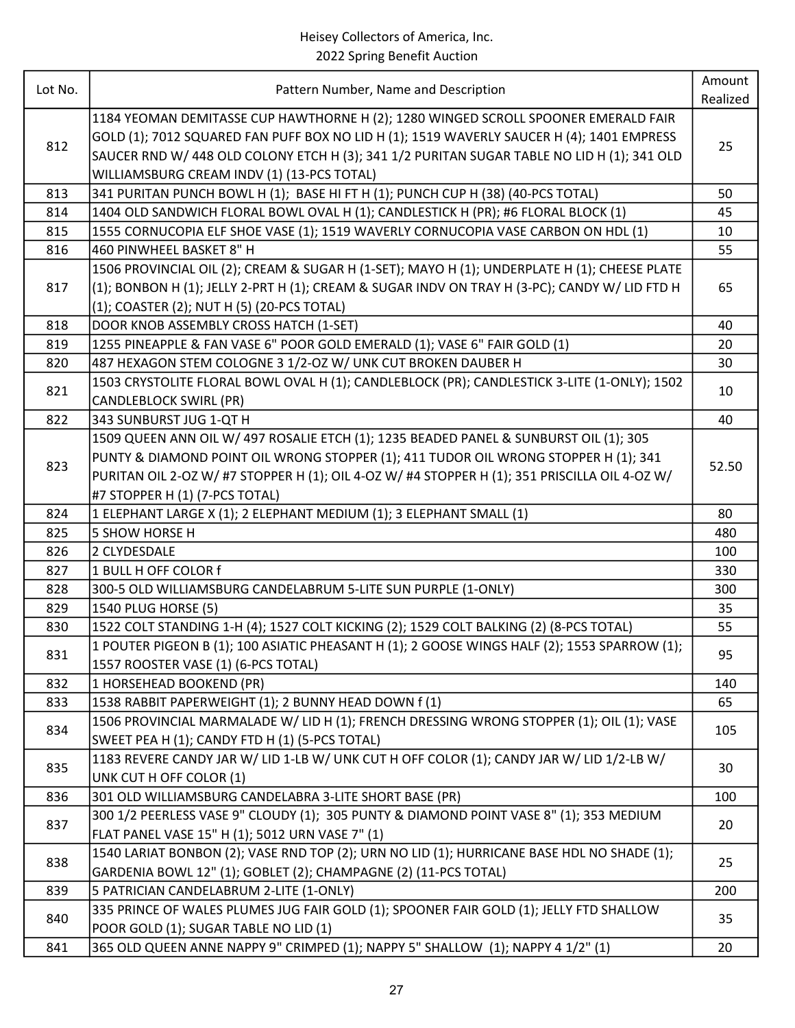| Lot No. | Pattern Number, Name and Description                                                          | Amount   |
|---------|-----------------------------------------------------------------------------------------------|----------|
|         |                                                                                               | Realized |
|         | 1184 YEOMAN DEMITASSE CUP HAWTHORNE H (2); 1280 WINGED SCROLL SPOONER EMERALD FAIR            |          |
| 812     | GOLD (1); 7012 SQUARED FAN PUFF BOX NO LID H (1); 1519 WAVERLY SAUCER H (4); 1401 EMPRESS     | 25       |
|         | SAUCER RND W/ 448 OLD COLONY ETCH H (3); 341 1/2 PURITAN SUGAR TABLE NO LID H (1); 341 OLD    |          |
|         | WILLIAMSBURG CREAM INDV (1) (13-PCS TOTAL)                                                    |          |
| 813     | 341 PURITAN PUNCH BOWL H (1); BASE HI FT H (1); PUNCH CUP H (38) (40-PCS TOTAL)               | 50       |
| 814     | 1404 OLD SANDWICH FLORAL BOWL OVAL H (1); CANDLESTICK H (PR); #6 FLORAL BLOCK (1)             | 45       |
| 815     | 1555 CORNUCOPIA ELF SHOE VASE (1); 1519 WAVERLY CORNUCOPIA VASE CARBON ON HDL (1)             | 10       |
| 816     | 460 PINWHEEL BASKET 8" H                                                                      | 55       |
|         | 1506 PROVINCIAL OIL (2); CREAM & SUGAR H (1-SET); MAYO H (1); UNDERPLATE H (1); CHEESE PLATE  |          |
| 817     | (1); BONBON H (1); JELLY 2-PRT H (1); CREAM & SUGAR INDV ON TRAY H (3-PC); CANDY W/ LID FTD H | 65       |
|         | (1); COASTER (2); NUT H (5) (20-PCS TOTAL)                                                    |          |
| 818     | DOOR KNOB ASSEMBLY CROSS HATCH (1-SET)                                                        | 40       |
| 819     | 1255 PINEAPPLE & FAN VASE 6" POOR GOLD EMERALD (1); VASE 6" FAIR GOLD (1)                     | 20       |
| 820     | 487 HEXAGON STEM COLOGNE 3 1/2-OZ W/ UNK CUT BROKEN DAUBER H                                  | 30       |
| 821     | 1503 CRYSTOLITE FLORAL BOWL OVAL H (1); CANDLEBLOCK (PR); CANDLESTICK 3-LITE (1-ONLY); 1502   | 10       |
|         | <b>CANDLEBLOCK SWIRL (PR)</b>                                                                 |          |
| 822     | 343 SUNBURST JUG 1-QT H                                                                       | 40       |
|         | 1509 QUEEN ANN OIL W/ 497 ROSALIE ETCH (1); 1235 BEADED PANEL & SUNBURST OIL (1); 305         |          |
| 823     | PUNTY & DIAMOND POINT OIL WRONG STOPPER (1); 411 TUDOR OIL WRONG STOPPER H (1); 341           | 52.50    |
|         | PURITAN OIL 2-OZ W/ #7 STOPPER H (1); OIL 4-OZ W/ #4 STOPPER H (1); 351 PRISCILLA OIL 4-OZ W/ |          |
|         | #7 STOPPER H (1) (7-PCS TOTAL)                                                                |          |
| 824     | 1 ELEPHANT LARGE X (1); 2 ELEPHANT MEDIUM (1); 3 ELEPHANT SMALL (1)                           | 80       |
| 825     | 5 SHOW HORSE H                                                                                | 480      |
| 826     | 2 CLYDESDALE                                                                                  | 100      |
| 827     | 1 BULL H OFF COLOR f                                                                          | 330      |
| 828     | 300-5 OLD WILLIAMSBURG CANDELABRUM 5-LITE SUN PURPLE (1-ONLY)                                 | 300      |
| 829     | 1540 PLUG HORSE (5)                                                                           | 35       |
| 830     | 1522 COLT STANDING 1-H (4); 1527 COLT KICKING (2); 1529 COLT BALKING (2) (8-PCS TOTAL)        | 55       |
|         | 1 POUTER PIGEON B (1); 100 ASIATIC PHEASANT H (1); 2 GOOSE WINGS HALF (2); 1553 SPARROW (1);  |          |
| 831     | 1557 ROOSTER VASE (1) (6-PCS TOTAL)                                                           | 95       |
| 832     | 1 HORSEHEAD BOOKEND (PR)                                                                      | 140      |
| 833     | 1538 RABBIT PAPERWEIGHT (1); 2 BUNNY HEAD DOWN f (1)                                          | 65       |
| 834     | 1506 PROVINCIAL MARMALADE W/LID H (1); FRENCH DRESSING WRONG STOPPER (1); OIL (1); VASE       |          |
|         | SWEET PEA H (1); CANDY FTD H (1) (5-PCS TOTAL)                                                | 105      |
| 835     | 1183 REVERE CANDY JAR W/ LID 1-LB W/ UNK CUT H OFF COLOR (1); CANDY JAR W/ LID 1/2-LB W/      |          |
|         | UNK CUT H OFF COLOR (1)                                                                       | 30       |
| 836     | 301 OLD WILLIAMSBURG CANDELABRA 3-LITE SHORT BASE (PR)                                        | 100      |
|         | 300 1/2 PEERLESS VASE 9" CLOUDY (1); 305 PUNTY & DIAMOND POINT VASE 8" (1); 353 MEDIUM        |          |
| 837     | FLAT PANEL VASE 15" H (1); 5012 URN VASE 7" (1)                                               | 20       |
| 838     | 1540 LARIAT BONBON (2); VASE RND TOP (2); URN NO LID (1); HURRICANE BASE HDL NO SHADE (1);    |          |
|         | GARDENIA BOWL 12" (1); GOBLET (2); CHAMPAGNE (2) (11-PCS TOTAL)                               | 25       |
| 839     | 5 PATRICIAN CANDELABRUM 2-LITE (1-ONLY)                                                       | 200      |
| 840     | 335 PRINCE OF WALES PLUMES JUG FAIR GOLD (1); SPOONER FAIR GOLD (1); JELLY FTD SHALLOW        |          |
|         | POOR GOLD (1); SUGAR TABLE NO LID (1)                                                         | 35       |
| 841     | 365 OLD QUEEN ANNE NAPPY 9" CRIMPED (1); NAPPY 5" SHALLOW (1); NAPPY 4 1/2" (1)               | 20       |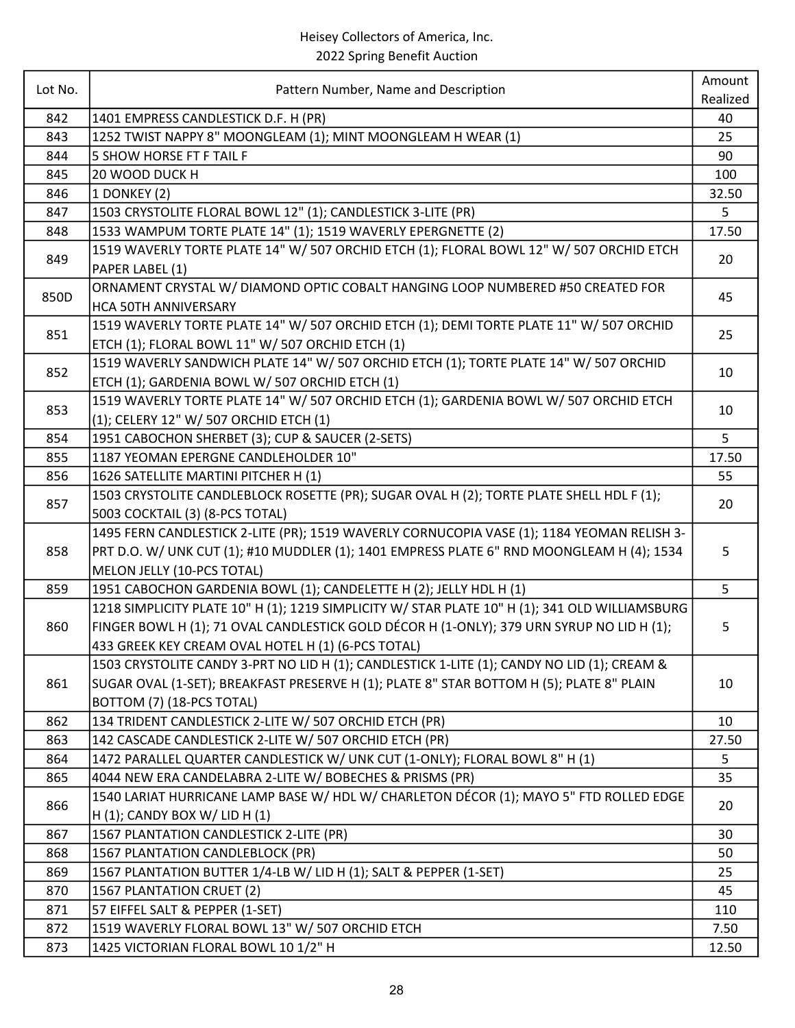| Lot No.<br>Pattern Number, Name and Description<br>Realized<br>842<br>1401 EMPRESS CANDLESTICK D.F. H (PR)<br>40<br>1252 TWIST NAPPY 8" MOONGLEAM (1); MINT MOONGLEAM H WEAR (1)<br>843<br>25<br>844<br><b>5 SHOW HORSE FT F TAIL F</b><br>90<br>20 WOOD DUCK H<br>845<br>100<br>1 DONKEY (2)<br>32.50<br>846<br>1503 CRYSTOLITE FLORAL BOWL 12" (1); CANDLESTICK 3-LITE (PR)<br>847<br>5<br>1533 WAMPUM TORTE PLATE 14" (1); 1519 WAVERLY EPERGNETTE (2)<br>848<br>17.50<br>1519 WAVERLY TORTE PLATE 14" W/ 507 ORCHID ETCH (1); FLORAL BOWL 12" W/ 507 ORCHID ETCH<br>849<br>20<br>PAPER LABEL (1)<br>ORNAMENT CRYSTAL W/ DIAMOND OPTIC COBALT HANGING LOOP NUMBERED #50 CREATED FOR<br>850D<br>45<br><b>HCA 50TH ANNIVERSARY</b><br>1519 WAVERLY TORTE PLATE 14" W/ 507 ORCHID ETCH (1); DEMI TORTE PLATE 11" W/ 507 ORCHID<br>851<br>25<br>ETCH (1); FLORAL BOWL 11" W/ 507 ORCHID ETCH (1)<br>1519 WAVERLY SANDWICH PLATE 14" W/ 507 ORCHID ETCH (1); TORTE PLATE 14" W/ 507 ORCHID<br>852<br>10<br>ETCH (1); GARDENIA BOWL W/ 507 ORCHID ETCH (1)<br>1519 WAVERLY TORTE PLATE 14" W/ 507 ORCHID ETCH (1); GARDENIA BOWL W/ 507 ORCHID ETCH<br>853<br>10<br>(1); CELERY 12" W/ 507 ORCHID ETCH (1)<br>5<br>1951 CABOCHON SHERBET (3); CUP & SAUCER (2-SETS)<br>854<br>855<br>1187 YEOMAN EPERGNE CANDLEHOLDER 10"<br>17.50<br>856<br>1626 SATELLITE MARTINI PITCHER H (1)<br>55<br>1503 CRYSTOLITE CANDLEBLOCK ROSETTE (PR); SUGAR OVAL H (2); TORTE PLATE SHELL HDL F (1);<br>857<br>20<br>5003 COCKTAIL (3) (8-PCS TOTAL)<br>1495 FERN CANDLESTICK 2-LITE (PR); 1519 WAVERLY CORNUCOPIA VASE (1); 1184 YEOMAN RELISH 3-<br>PRT D.O. W/ UNK CUT (1); #10 MUDDLER (1); 1401 EMPRESS PLATE 6" RND MOONGLEAM H (4); 1534<br>858<br>5<br>MELON JELLY (10-PCS TOTAL)<br>5<br>1951 CABOCHON GARDENIA BOWL (1); CANDELETTE H (2); JELLY HDL H (1)<br>859<br>1218 SIMPLICITY PLATE 10" H (1); 1219 SIMPLICITY W/ STAR PLATE 10" H (1); 341 OLD WILLIAMSBURG<br>FINGER BOWL H (1); 71 OVAL CANDLESTICK GOLD DÉCOR H (1-ONLY); 379 URN SYRUP NO LID H (1);<br>860<br>5<br>433 GREEK KEY CREAM OVAL HOTEL H (1) (6-PCS TOTAL)<br>1503 CRYSTOLITE CANDY 3-PRT NO LID H (1); CANDLESTICK 1-LITE (1); CANDY NO LID (1); CREAM &<br>SUGAR OVAL (1-SET); BREAKFAST PRESERVE H (1); PLATE 8" STAR BOTTOM H (5); PLATE 8" PLAIN<br>861<br>10<br>BOTTOM (7) (18-PCS TOTAL)<br>134 TRIDENT CANDLESTICK 2-LITE W/ 507 ORCHID ETCH (PR) |
|-------------------------------------------------------------------------------------------------------------------------------------------------------------------------------------------------------------------------------------------------------------------------------------------------------------------------------------------------------------------------------------------------------------------------------------------------------------------------------------------------------------------------------------------------------------------------------------------------------------------------------------------------------------------------------------------------------------------------------------------------------------------------------------------------------------------------------------------------------------------------------------------------------------------------------------------------------------------------------------------------------------------------------------------------------------------------------------------------------------------------------------------------------------------------------------------------------------------------------------------------------------------------------------------------------------------------------------------------------------------------------------------------------------------------------------------------------------------------------------------------------------------------------------------------------------------------------------------------------------------------------------------------------------------------------------------------------------------------------------------------------------------------------------------------------------------------------------------------------------------------------------------------------------------------------------------------------------------------------------------------------------------------------------------------------------------------------------------------------------------------------------------------------------------------------------------------------------------------------------------------------------------------------------------------------------------------------------------------------------------------------------------------------------------------|
|                                                                                                                                                                                                                                                                                                                                                                                                                                                                                                                                                                                                                                                                                                                                                                                                                                                                                                                                                                                                                                                                                                                                                                                                                                                                                                                                                                                                                                                                                                                                                                                                                                                                                                                                                                                                                                                                                                                                                                                                                                                                                                                                                                                                                                                                                                                                                                                                                         |
|                                                                                                                                                                                                                                                                                                                                                                                                                                                                                                                                                                                                                                                                                                                                                                                                                                                                                                                                                                                                                                                                                                                                                                                                                                                                                                                                                                                                                                                                                                                                                                                                                                                                                                                                                                                                                                                                                                                                                                                                                                                                                                                                                                                                                                                                                                                                                                                                                         |
|                                                                                                                                                                                                                                                                                                                                                                                                                                                                                                                                                                                                                                                                                                                                                                                                                                                                                                                                                                                                                                                                                                                                                                                                                                                                                                                                                                                                                                                                                                                                                                                                                                                                                                                                                                                                                                                                                                                                                                                                                                                                                                                                                                                                                                                                                                                                                                                                                         |
|                                                                                                                                                                                                                                                                                                                                                                                                                                                                                                                                                                                                                                                                                                                                                                                                                                                                                                                                                                                                                                                                                                                                                                                                                                                                                                                                                                                                                                                                                                                                                                                                                                                                                                                                                                                                                                                                                                                                                                                                                                                                                                                                                                                                                                                                                                                                                                                                                         |
|                                                                                                                                                                                                                                                                                                                                                                                                                                                                                                                                                                                                                                                                                                                                                                                                                                                                                                                                                                                                                                                                                                                                                                                                                                                                                                                                                                                                                                                                                                                                                                                                                                                                                                                                                                                                                                                                                                                                                                                                                                                                                                                                                                                                                                                                                                                                                                                                                         |
|                                                                                                                                                                                                                                                                                                                                                                                                                                                                                                                                                                                                                                                                                                                                                                                                                                                                                                                                                                                                                                                                                                                                                                                                                                                                                                                                                                                                                                                                                                                                                                                                                                                                                                                                                                                                                                                                                                                                                                                                                                                                                                                                                                                                                                                                                                                                                                                                                         |
|                                                                                                                                                                                                                                                                                                                                                                                                                                                                                                                                                                                                                                                                                                                                                                                                                                                                                                                                                                                                                                                                                                                                                                                                                                                                                                                                                                                                                                                                                                                                                                                                                                                                                                                                                                                                                                                                                                                                                                                                                                                                                                                                                                                                                                                                                                                                                                                                                         |
|                                                                                                                                                                                                                                                                                                                                                                                                                                                                                                                                                                                                                                                                                                                                                                                                                                                                                                                                                                                                                                                                                                                                                                                                                                                                                                                                                                                                                                                                                                                                                                                                                                                                                                                                                                                                                                                                                                                                                                                                                                                                                                                                                                                                                                                                                                                                                                                                                         |
|                                                                                                                                                                                                                                                                                                                                                                                                                                                                                                                                                                                                                                                                                                                                                                                                                                                                                                                                                                                                                                                                                                                                                                                                                                                                                                                                                                                                                                                                                                                                                                                                                                                                                                                                                                                                                                                                                                                                                                                                                                                                                                                                                                                                                                                                                                                                                                                                                         |
|                                                                                                                                                                                                                                                                                                                                                                                                                                                                                                                                                                                                                                                                                                                                                                                                                                                                                                                                                                                                                                                                                                                                                                                                                                                                                                                                                                                                                                                                                                                                                                                                                                                                                                                                                                                                                                                                                                                                                                                                                                                                                                                                                                                                                                                                                                                                                                                                                         |
|                                                                                                                                                                                                                                                                                                                                                                                                                                                                                                                                                                                                                                                                                                                                                                                                                                                                                                                                                                                                                                                                                                                                                                                                                                                                                                                                                                                                                                                                                                                                                                                                                                                                                                                                                                                                                                                                                                                                                                                                                                                                                                                                                                                                                                                                                                                                                                                                                         |
|                                                                                                                                                                                                                                                                                                                                                                                                                                                                                                                                                                                                                                                                                                                                                                                                                                                                                                                                                                                                                                                                                                                                                                                                                                                                                                                                                                                                                                                                                                                                                                                                                                                                                                                                                                                                                                                                                                                                                                                                                                                                                                                                                                                                                                                                                                                                                                                                                         |
|                                                                                                                                                                                                                                                                                                                                                                                                                                                                                                                                                                                                                                                                                                                                                                                                                                                                                                                                                                                                                                                                                                                                                                                                                                                                                                                                                                                                                                                                                                                                                                                                                                                                                                                                                                                                                                                                                                                                                                                                                                                                                                                                                                                                                                                                                                                                                                                                                         |
|                                                                                                                                                                                                                                                                                                                                                                                                                                                                                                                                                                                                                                                                                                                                                                                                                                                                                                                                                                                                                                                                                                                                                                                                                                                                                                                                                                                                                                                                                                                                                                                                                                                                                                                                                                                                                                                                                                                                                                                                                                                                                                                                                                                                                                                                                                                                                                                                                         |
|                                                                                                                                                                                                                                                                                                                                                                                                                                                                                                                                                                                                                                                                                                                                                                                                                                                                                                                                                                                                                                                                                                                                                                                                                                                                                                                                                                                                                                                                                                                                                                                                                                                                                                                                                                                                                                                                                                                                                                                                                                                                                                                                                                                                                                                                                                                                                                                                                         |
|                                                                                                                                                                                                                                                                                                                                                                                                                                                                                                                                                                                                                                                                                                                                                                                                                                                                                                                                                                                                                                                                                                                                                                                                                                                                                                                                                                                                                                                                                                                                                                                                                                                                                                                                                                                                                                                                                                                                                                                                                                                                                                                                                                                                                                                                                                                                                                                                                         |
|                                                                                                                                                                                                                                                                                                                                                                                                                                                                                                                                                                                                                                                                                                                                                                                                                                                                                                                                                                                                                                                                                                                                                                                                                                                                                                                                                                                                                                                                                                                                                                                                                                                                                                                                                                                                                                                                                                                                                                                                                                                                                                                                                                                                                                                                                                                                                                                                                         |
|                                                                                                                                                                                                                                                                                                                                                                                                                                                                                                                                                                                                                                                                                                                                                                                                                                                                                                                                                                                                                                                                                                                                                                                                                                                                                                                                                                                                                                                                                                                                                                                                                                                                                                                                                                                                                                                                                                                                                                                                                                                                                                                                                                                                                                                                                                                                                                                                                         |
|                                                                                                                                                                                                                                                                                                                                                                                                                                                                                                                                                                                                                                                                                                                                                                                                                                                                                                                                                                                                                                                                                                                                                                                                                                                                                                                                                                                                                                                                                                                                                                                                                                                                                                                                                                                                                                                                                                                                                                                                                                                                                                                                                                                                                                                                                                                                                                                                                         |
|                                                                                                                                                                                                                                                                                                                                                                                                                                                                                                                                                                                                                                                                                                                                                                                                                                                                                                                                                                                                                                                                                                                                                                                                                                                                                                                                                                                                                                                                                                                                                                                                                                                                                                                                                                                                                                                                                                                                                                                                                                                                                                                                                                                                                                                                                                                                                                                                                         |
|                                                                                                                                                                                                                                                                                                                                                                                                                                                                                                                                                                                                                                                                                                                                                                                                                                                                                                                                                                                                                                                                                                                                                                                                                                                                                                                                                                                                                                                                                                                                                                                                                                                                                                                                                                                                                                                                                                                                                                                                                                                                                                                                                                                                                                                                                                                                                                                                                         |
|                                                                                                                                                                                                                                                                                                                                                                                                                                                                                                                                                                                                                                                                                                                                                                                                                                                                                                                                                                                                                                                                                                                                                                                                                                                                                                                                                                                                                                                                                                                                                                                                                                                                                                                                                                                                                                                                                                                                                                                                                                                                                                                                                                                                                                                                                                                                                                                                                         |
|                                                                                                                                                                                                                                                                                                                                                                                                                                                                                                                                                                                                                                                                                                                                                                                                                                                                                                                                                                                                                                                                                                                                                                                                                                                                                                                                                                                                                                                                                                                                                                                                                                                                                                                                                                                                                                                                                                                                                                                                                                                                                                                                                                                                                                                                                                                                                                                                                         |
|                                                                                                                                                                                                                                                                                                                                                                                                                                                                                                                                                                                                                                                                                                                                                                                                                                                                                                                                                                                                                                                                                                                                                                                                                                                                                                                                                                                                                                                                                                                                                                                                                                                                                                                                                                                                                                                                                                                                                                                                                                                                                                                                                                                                                                                                                                                                                                                                                         |
|                                                                                                                                                                                                                                                                                                                                                                                                                                                                                                                                                                                                                                                                                                                                                                                                                                                                                                                                                                                                                                                                                                                                                                                                                                                                                                                                                                                                                                                                                                                                                                                                                                                                                                                                                                                                                                                                                                                                                                                                                                                                                                                                                                                                                                                                                                                                                                                                                         |
|                                                                                                                                                                                                                                                                                                                                                                                                                                                                                                                                                                                                                                                                                                                                                                                                                                                                                                                                                                                                                                                                                                                                                                                                                                                                                                                                                                                                                                                                                                                                                                                                                                                                                                                                                                                                                                                                                                                                                                                                                                                                                                                                                                                                                                                                                                                                                                                                                         |
|                                                                                                                                                                                                                                                                                                                                                                                                                                                                                                                                                                                                                                                                                                                                                                                                                                                                                                                                                                                                                                                                                                                                                                                                                                                                                                                                                                                                                                                                                                                                                                                                                                                                                                                                                                                                                                                                                                                                                                                                                                                                                                                                                                                                                                                                                                                                                                                                                         |
|                                                                                                                                                                                                                                                                                                                                                                                                                                                                                                                                                                                                                                                                                                                                                                                                                                                                                                                                                                                                                                                                                                                                                                                                                                                                                                                                                                                                                                                                                                                                                                                                                                                                                                                                                                                                                                                                                                                                                                                                                                                                                                                                                                                                                                                                                                                                                                                                                         |
|                                                                                                                                                                                                                                                                                                                                                                                                                                                                                                                                                                                                                                                                                                                                                                                                                                                                                                                                                                                                                                                                                                                                                                                                                                                                                                                                                                                                                                                                                                                                                                                                                                                                                                                                                                                                                                                                                                                                                                                                                                                                                                                                                                                                                                                                                                                                                                                                                         |
|                                                                                                                                                                                                                                                                                                                                                                                                                                                                                                                                                                                                                                                                                                                                                                                                                                                                                                                                                                                                                                                                                                                                                                                                                                                                                                                                                                                                                                                                                                                                                                                                                                                                                                                                                                                                                                                                                                                                                                                                                                                                                                                                                                                                                                                                                                                                                                                                                         |
|                                                                                                                                                                                                                                                                                                                                                                                                                                                                                                                                                                                                                                                                                                                                                                                                                                                                                                                                                                                                                                                                                                                                                                                                                                                                                                                                                                                                                                                                                                                                                                                                                                                                                                                                                                                                                                                                                                                                                                                                                                                                                                                                                                                                                                                                                                                                                                                                                         |
|                                                                                                                                                                                                                                                                                                                                                                                                                                                                                                                                                                                                                                                                                                                                                                                                                                                                                                                                                                                                                                                                                                                                                                                                                                                                                                                                                                                                                                                                                                                                                                                                                                                                                                                                                                                                                                                                                                                                                                                                                                                                                                                                                                                                                                                                                                                                                                                                                         |
|                                                                                                                                                                                                                                                                                                                                                                                                                                                                                                                                                                                                                                                                                                                                                                                                                                                                                                                                                                                                                                                                                                                                                                                                                                                                                                                                                                                                                                                                                                                                                                                                                                                                                                                                                                                                                                                                                                                                                                                                                                                                                                                                                                                                                                                                                                                                                                                                                         |
| 862<br>10                                                                                                                                                                                                                                                                                                                                                                                                                                                                                                                                                                                                                                                                                                                                                                                                                                                                                                                                                                                                                                                                                                                                                                                                                                                                                                                                                                                                                                                                                                                                                                                                                                                                                                                                                                                                                                                                                                                                                                                                                                                                                                                                                                                                                                                                                                                                                                                                               |
| 863<br>142 CASCADE CANDLESTICK 2-LITE W/ 507 ORCHID ETCH (PR)<br>27.50                                                                                                                                                                                                                                                                                                                                                                                                                                                                                                                                                                                                                                                                                                                                                                                                                                                                                                                                                                                                                                                                                                                                                                                                                                                                                                                                                                                                                                                                                                                                                                                                                                                                                                                                                                                                                                                                                                                                                                                                                                                                                                                                                                                                                                                                                                                                                  |
| 1472 PARALLEL QUARTER CANDLESTICK W/ UNK CUT (1-ONLY); FLORAL BOWL 8" H (1)<br>864<br>5                                                                                                                                                                                                                                                                                                                                                                                                                                                                                                                                                                                                                                                                                                                                                                                                                                                                                                                                                                                                                                                                                                                                                                                                                                                                                                                                                                                                                                                                                                                                                                                                                                                                                                                                                                                                                                                                                                                                                                                                                                                                                                                                                                                                                                                                                                                                 |
| 4044 NEW ERA CANDELABRA 2-LITE W/ BOBECHES & PRISMS (PR)<br>865<br>35                                                                                                                                                                                                                                                                                                                                                                                                                                                                                                                                                                                                                                                                                                                                                                                                                                                                                                                                                                                                                                                                                                                                                                                                                                                                                                                                                                                                                                                                                                                                                                                                                                                                                                                                                                                                                                                                                                                                                                                                                                                                                                                                                                                                                                                                                                                                                   |
| 1540 LARIAT HURRICANE LAMP BASE W/HDL W/ CHARLETON DÉCOR (1); MAYO 5" FTD ROLLED EDGE                                                                                                                                                                                                                                                                                                                                                                                                                                                                                                                                                                                                                                                                                                                                                                                                                                                                                                                                                                                                                                                                                                                                                                                                                                                                                                                                                                                                                                                                                                                                                                                                                                                                                                                                                                                                                                                                                                                                                                                                                                                                                                                                                                                                                                                                                                                                   |
| 866<br>20<br>H $(1)$ ; CANDY BOX W/LID H $(1)$                                                                                                                                                                                                                                                                                                                                                                                                                                                                                                                                                                                                                                                                                                                                                                                                                                                                                                                                                                                                                                                                                                                                                                                                                                                                                                                                                                                                                                                                                                                                                                                                                                                                                                                                                                                                                                                                                                                                                                                                                                                                                                                                                                                                                                                                                                                                                                          |
| 867<br>1567 PLANTATION CANDLESTICK 2-LITE (PR)<br>30                                                                                                                                                                                                                                                                                                                                                                                                                                                                                                                                                                                                                                                                                                                                                                                                                                                                                                                                                                                                                                                                                                                                                                                                                                                                                                                                                                                                                                                                                                                                                                                                                                                                                                                                                                                                                                                                                                                                                                                                                                                                                                                                                                                                                                                                                                                                                                    |
| 868<br>1567 PLANTATION CANDLEBLOCK (PR)<br>50                                                                                                                                                                                                                                                                                                                                                                                                                                                                                                                                                                                                                                                                                                                                                                                                                                                                                                                                                                                                                                                                                                                                                                                                                                                                                                                                                                                                                                                                                                                                                                                                                                                                                                                                                                                                                                                                                                                                                                                                                                                                                                                                                                                                                                                                                                                                                                           |
| 869<br>1567 PLANTATION BUTTER 1/4-LB W/ LID H (1); SALT & PEPPER (1-SET)<br>25                                                                                                                                                                                                                                                                                                                                                                                                                                                                                                                                                                                                                                                                                                                                                                                                                                                                                                                                                                                                                                                                                                                                                                                                                                                                                                                                                                                                                                                                                                                                                                                                                                                                                                                                                                                                                                                                                                                                                                                                                                                                                                                                                                                                                                                                                                                                          |
| 1567 PLANTATION CRUET (2)<br>870<br>45                                                                                                                                                                                                                                                                                                                                                                                                                                                                                                                                                                                                                                                                                                                                                                                                                                                                                                                                                                                                                                                                                                                                                                                                                                                                                                                                                                                                                                                                                                                                                                                                                                                                                                                                                                                                                                                                                                                                                                                                                                                                                                                                                                                                                                                                                                                                                                                  |
| 871<br>57 EIFFEL SALT & PEPPER (1-SET)<br>110                                                                                                                                                                                                                                                                                                                                                                                                                                                                                                                                                                                                                                                                                                                                                                                                                                                                                                                                                                                                                                                                                                                                                                                                                                                                                                                                                                                                                                                                                                                                                                                                                                                                                                                                                                                                                                                                                                                                                                                                                                                                                                                                                                                                                                                                                                                                                                           |
| 1519 WAVERLY FLORAL BOWL 13" W/ 507 ORCHID ETCH<br>872<br>7.50                                                                                                                                                                                                                                                                                                                                                                                                                                                                                                                                                                                                                                                                                                                                                                                                                                                                                                                                                                                                                                                                                                                                                                                                                                                                                                                                                                                                                                                                                                                                                                                                                                                                                                                                                                                                                                                                                                                                                                                                                                                                                                                                                                                                                                                                                                                                                          |
| 873<br>1425 VICTORIAN FLORAL BOWL 10 1/2" H<br>12.50                                                                                                                                                                                                                                                                                                                                                                                                                                                                                                                                                                                                                                                                                                                                                                                                                                                                                                                                                                                                                                                                                                                                                                                                                                                                                                                                                                                                                                                                                                                                                                                                                                                                                                                                                                                                                                                                                                                                                                                                                                                                                                                                                                                                                                                                                                                                                                    |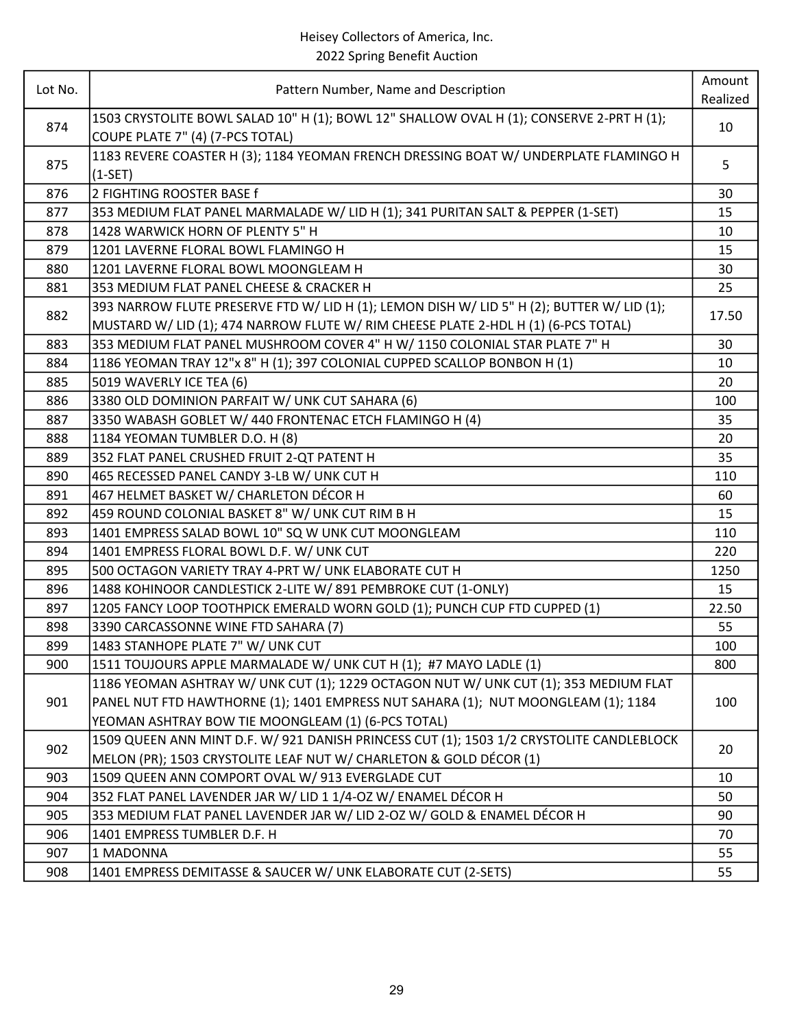| Lot No. | Pattern Number, Name and Description                                                                                         | Amount<br>Realized |
|---------|------------------------------------------------------------------------------------------------------------------------------|--------------------|
| 874     | 1503 CRYSTOLITE BOWL SALAD 10" H (1); BOWL 12" SHALLOW OVAL H (1); CONSERVE 2-PRT H (1);<br>COUPE PLATE 7" (4) (7-PCS TOTAL) | 10                 |
| 875     | 1183 REVERE COASTER H (3); 1184 YEOMAN FRENCH DRESSING BOAT W/ UNDERPLATE FLAMINGO H<br>$(1-SET)$                            | 5                  |
| 876     | 2 FIGHTING ROOSTER BASE f                                                                                                    | 30                 |
| 877     | 353 MEDIUM FLAT PANEL MARMALADE W/ LID H (1); 341 PURITAN SALT & PEPPER (1-SET)                                              | 15                 |
| 878     | 1428 WARWICK HORN OF PLENTY 5" H                                                                                             | 10                 |
| 879     | 1201 LAVERNE FLORAL BOWL FLAMINGO H                                                                                          | 15                 |
| 880     | 1201 LAVERNE FLORAL BOWL MOONGLEAM H                                                                                         | 30                 |
| 881     | 353 MEDIUM FLAT PANEL CHEESE & CRACKER H                                                                                     | 25                 |
|         | 393 NARROW FLUTE PRESERVE FTD W/ LID H (1); LEMON DISH W/ LID 5" H (2); BUTTER W/ LID (1);                                   |                    |
| 882     | MUSTARD W/ LID (1); 474 NARROW FLUTE W/ RIM CHEESE PLATE 2-HDL H (1) (6-PCS TOTAL)                                           | 17.50              |
| 883     | 353 MEDIUM FLAT PANEL MUSHROOM COVER 4" H W/ 1150 COLONIAL STAR PLATE 7" H                                                   | 30                 |
| 884     | 1186 YEOMAN TRAY 12"x 8" H (1); 397 COLONIAL CUPPED SCALLOP BONBON H (1)                                                     | 10                 |
| 885     | 5019 WAVERLY ICE TEA (6)                                                                                                     | 20                 |
| 886     | 3380 OLD DOMINION PARFAIT W/ UNK CUT SAHARA (6)                                                                              | 100                |
| 887     | 3350 WABASH GOBLET W/ 440 FRONTENAC ETCH FLAMINGO H (4)                                                                      | 35                 |
| 888     | 1184 YEOMAN TUMBLER D.O. H (8)                                                                                               | 20                 |
| 889     | 352 FLAT PANEL CRUSHED FRUIT 2-QT PATENT H                                                                                   | 35                 |
| 890     | 465 RECESSED PANEL CANDY 3-LB W/ UNK CUT H                                                                                   | 110                |
| 891     | 467 HELMET BASKET W/ CHARLETON DÉCOR H                                                                                       | 60                 |
| 892     | 459 ROUND COLONIAL BASKET 8" W/ UNK CUT RIM B H                                                                              | 15                 |
| 893     | 1401 EMPRESS SALAD BOWL 10" SQ W UNK CUT MOONGLEAM                                                                           | 110                |
| 894     | 1401 EMPRESS FLORAL BOWL D.F. W/ UNK CUT                                                                                     | 220                |
| 895     | 500 OCTAGON VARIETY TRAY 4-PRT W/ UNK ELABORATE CUT H                                                                        | 1250               |
| 896     | 1488 KOHINOOR CANDLESTICK 2-LITE W/891 PEMBROKE CUT (1-ONLY)                                                                 | 15                 |
| 897     | 1205 FANCY LOOP TOOTHPICK EMERALD WORN GOLD (1); PUNCH CUP FTD CUPPED (1)                                                    | 22.50              |
| 898     | 3390 CARCASSONNE WINE FTD SAHARA (7)                                                                                         | 55                 |
| 899     | 1483 STANHOPE PLATE 7" W/ UNK CUT                                                                                            | 100                |
| 900     | 1511 TOUJOURS APPLE MARMALADE W/ UNK CUT H (1); #7 MAYO LADLE (1)                                                            | 800                |
|         | 1186 YEOMAN ASHTRAY W/ UNK CUT (1); 1229 OCTAGON NUT W/ UNK CUT (1); 353 MEDIUM FLAT                                         |                    |
| 901     | PANEL NUT FTD HAWTHORNE (1); 1401 EMPRESS NUT SAHARA (1); NUT MOONGLEAM (1); 1184                                            | 100                |
|         | YEOMAN ASHTRAY BOW TIE MOONGLEAM (1) (6-PCS TOTAL)                                                                           |                    |
| 902     | 1509 QUEEN ANN MINT D.F. W/ 921 DANISH PRINCESS CUT (1); 1503 1/2 CRYSTOLITE CANDLEBLOCK                                     | 20                 |
|         | MELON (PR); 1503 CRYSTOLITE LEAF NUT W/ CHARLETON & GOLD DÉCOR (1)                                                           |                    |
| 903     | 1509 QUEEN ANN COMPORT OVAL W/ 913 EVERGLADE CUT                                                                             | 10                 |
| 904     | 352 FLAT PANEL LAVENDER JAR W/ LID 1 1/4-OZ W/ ENAMEL DÉCOR H                                                                | 50                 |
| 905     | 353 MEDIUM FLAT PANEL LAVENDER JAR W/ LID 2-OZ W/ GOLD & ENAMEL DÉCOR H                                                      | 90                 |
| 906     | 1401 EMPRESS TUMBLER D.F. H                                                                                                  | 70                 |
| 907     | 1 MADONNA                                                                                                                    | 55                 |
| 908     | 1401 EMPRESS DEMITASSE & SAUCER W/ UNK ELABORATE CUT (2-SETS)                                                                | 55                 |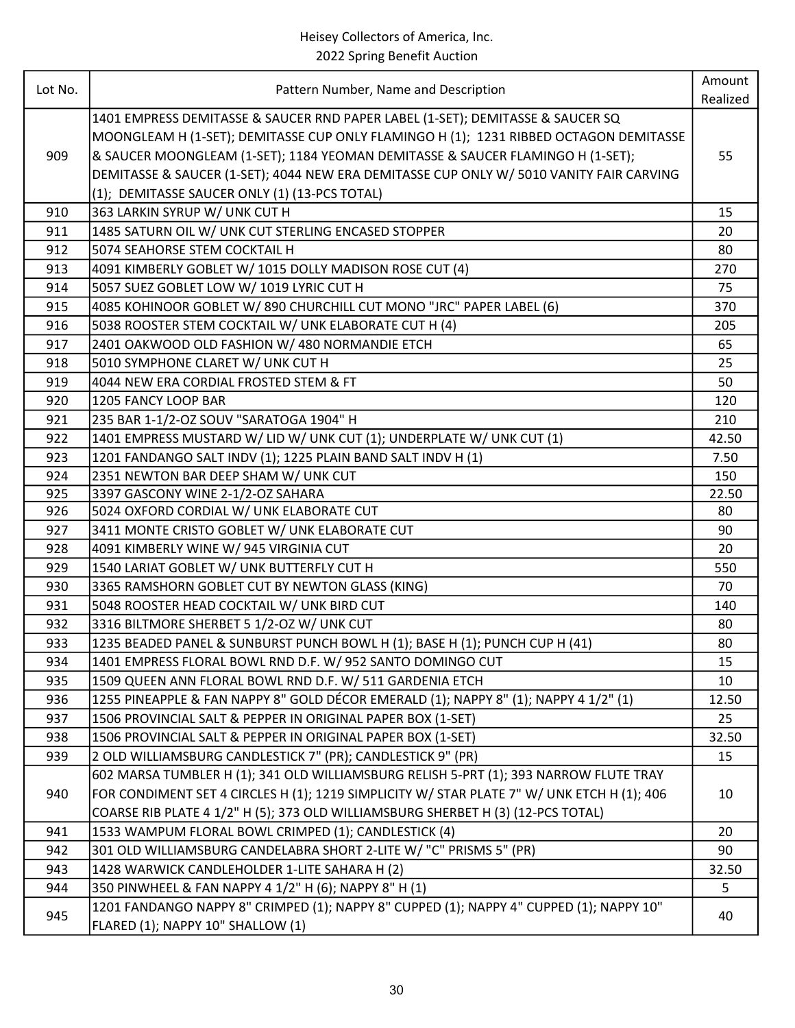| Lot No. |                                                                                            | Amount   |
|---------|--------------------------------------------------------------------------------------------|----------|
|         | Pattern Number, Name and Description                                                       | Realized |
|         | 1401 EMPRESS DEMITASSE & SAUCER RND PAPER LABEL (1-SET); DEMITASSE & SAUCER SQ             |          |
|         | MOONGLEAM H (1-SET); DEMITASSE CUP ONLY FLAMINGO H (1); 1231 RIBBED OCTAGON DEMITASSE      |          |
| 909     | & SAUCER MOONGLEAM (1-SET); 1184 YEOMAN DEMITASSE & SAUCER FLAMINGO H (1-SET);             | 55       |
|         | DEMITASSE & SAUCER (1-SET); 4044 NEW ERA DEMITASSE CUP ONLY W/ 5010 VANITY FAIR CARVING    |          |
|         | (1); DEMITASSE SAUCER ONLY (1) (13-PCS TOTAL)                                              |          |
| 910     | 363 LARKIN SYRUP W/ UNK CUT H                                                              | 15       |
| 911     | 1485 SATURN OIL W/ UNK CUT STERLING ENCASED STOPPER                                        | 20       |
| 912     | 5074 SEAHORSE STEM COCKTAIL H                                                              | 80       |
| 913     | 4091 KIMBERLY GOBLET W/ 1015 DOLLY MADISON ROSE CUT (4)                                    | 270      |
| 914     | 5057 SUEZ GOBLET LOW W/ 1019 LYRIC CUT H                                                   | 75       |
| 915     | 4085 KOHINOOR GOBLET W/890 CHURCHILL CUT MONO "JRC" PAPER LABEL (6)                        | 370      |
| 916     | 5038 ROOSTER STEM COCKTAIL W/ UNK ELABORATE CUT H (4)                                      | 205      |
| 917     | 2401 OAKWOOD OLD FASHION W/480 NORMANDIE ETCH                                              | 65       |
| 918     | 5010 SYMPHONE CLARET W/ UNK CUT H                                                          | 25       |
| 919     | 4044 NEW ERA CORDIAL FROSTED STEM & FT                                                     | 50       |
| 920     | 1205 FANCY LOOP BAR                                                                        | 120      |
| 921     | 235 BAR 1-1/2-OZ SOUV "SARATOGA 1904" H                                                    | 210      |
| 922     | 1401 EMPRESS MUSTARD W/ LID W/ UNK CUT (1); UNDERPLATE W/ UNK CUT (1)                      | 42.50    |
| 923     | 1201 FANDANGO SALT INDV (1); 1225 PLAIN BAND SALT INDV H (1)                               | 7.50     |
| 924     | 2351 NEWTON BAR DEEP SHAM W/ UNK CUT                                                       | 150      |
| 925     | 3397 GASCONY WINE 2-1/2-OZ SAHARA                                                          | 22.50    |
| 926     | 5024 OXFORD CORDIAL W/ UNK ELABORATE CUT                                                   | 80       |
| 927     | 3411 MONTE CRISTO GOBLET W/ UNK ELABORATE CUT                                              | 90       |
| 928     | 4091 KIMBERLY WINE W/ 945 VIRGINIA CUT                                                     | 20       |
| 929     | 1540 LARIAT GOBLET W/ UNK BUTTERFLY CUT H                                                  | 550      |
| 930     | 3365 RAMSHORN GOBLET CUT BY NEWTON GLASS (KING)                                            | 70       |
| 931     | 5048 ROOSTER HEAD COCKTAIL W/ UNK BIRD CUT                                                 | 140      |
| 932     | 3316 BILTMORE SHERBET 5 1/2-OZ W/ UNK CUT                                                  | 80       |
| 933     | 1235 BEADED PANEL & SUNBURST PUNCH BOWL H (1); BASE H (1); PUNCH CUP H (41)                | 80       |
| 934     | 1401 EMPRESS FLORAL BOWL RND D.F. W/ 952 SANTO DOMINGO CUT                                 | 15       |
| 935     | 1509 QUEEN ANN FLORAL BOWL RND D.F. W/ 511 GARDENIA ETCH                                   | 10       |
| 936     | 1255 PINEAPPLE & FAN NAPPY 8" GOLD DÉCOR EMERALD (1); NAPPY 8" (1); NAPPY 4 1/2" (1)       | 12.50    |
| 937     | 1506 PROVINCIAL SALT & PEPPER IN ORIGINAL PAPER BOX (1-SET)                                | 25       |
| 938     | 1506 PROVINCIAL SALT & PEPPER IN ORIGINAL PAPER BOX (1-SET)                                | 32.50    |
| 939     | 2 OLD WILLIAMSBURG CANDLESTICK 7" (PR); CANDLESTICK 9" (PR)                                | 15       |
|         | 602 MARSA TUMBLER H (1); 341 OLD WILLIAMSBURG RELISH 5-PRT (1); 393 NARROW FLUTE TRAY      |          |
| 940     | FOR CONDIMENT SET 4 CIRCLES H (1); 1219 SIMPLICITY W/ STAR PLATE 7" W/ UNK ETCH H (1); 406 | 10       |
|         | COARSE RIB PLATE 4 1/2" H (5); 373 OLD WILLIAMSBURG SHERBET H (3) (12-PCS TOTAL)           |          |
| 941     | 1533 WAMPUM FLORAL BOWL CRIMPED (1); CANDLESTICK (4)                                       | 20       |
| 942     | 301 OLD WILLIAMSBURG CANDELABRA SHORT 2-LITE W/ "C" PRISMS 5" (PR)                         | 90       |
| 943     | 1428 WARWICK CANDLEHOLDER 1-LITE SAHARA H (2)                                              | 32.50    |
| 944     | 350 PINWHEEL & FAN NAPPY 4 1/2" H (6); NAPPY 8" H (1)                                      | 5        |
|         | 1201 FANDANGO NAPPY 8" CRIMPED (1); NAPPY 8" CUPPED (1); NAPPY 4" CUPPED (1); NAPPY 10"    |          |
| 945     | FLARED (1); NAPPY 10" SHALLOW (1)                                                          | 40       |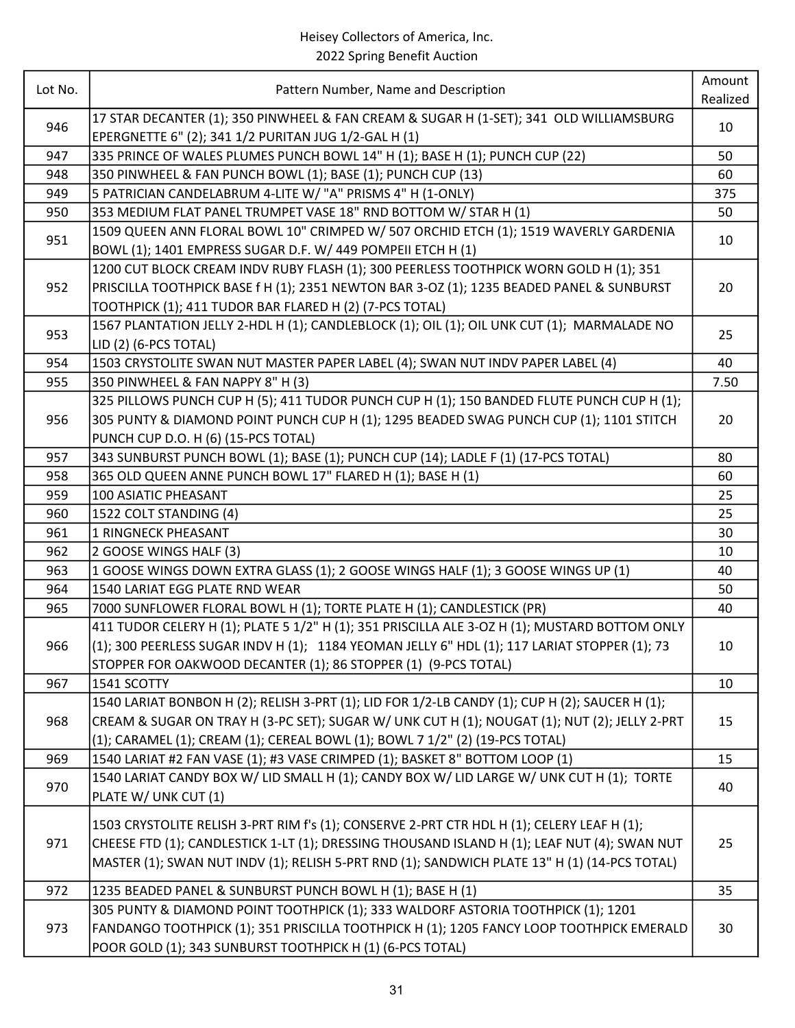| Lot No. | Pattern Number, Name and Description                                                                                                                | Amount   |
|---------|-----------------------------------------------------------------------------------------------------------------------------------------------------|----------|
|         |                                                                                                                                                     | Realized |
| 946     | 17 STAR DECANTER (1); 350 PINWHEEL & FAN CREAM & SUGAR H (1-SET); 341 OLD WILLIAMSBURG<br>EPERGNETTE 6" (2); 341 1/2 PURITAN JUG 1/2-GAL H (1)      | 10       |
| 947     | 335 PRINCE OF WALES PLUMES PUNCH BOWL 14" H (1); BASE H (1); PUNCH CUP (22)                                                                         | 50       |
| 948     | 350 PINWHEEL & FAN PUNCH BOWL (1); BASE (1); PUNCH CUP (13)                                                                                         | 60       |
| 949     | 5 PATRICIAN CANDELABRUM 4-LITE W/ "A" PRISMS 4" H (1-ONLY)                                                                                          | 375      |
| 950     | 353 MEDIUM FLAT PANEL TRUMPET VASE 18" RND BOTTOM W/ STAR H (1)                                                                                     | 50       |
| 951     | 1509 QUEEN ANN FLORAL BOWL 10" CRIMPED W/ 507 ORCHID ETCH (1); 1519 WAVERLY GARDENIA<br>BOWL (1); 1401 EMPRESS SUGAR D.F. W/ 449 POMPEII ETCH H (1) | 10       |
|         | 1200 CUT BLOCK CREAM INDV RUBY FLASH (1); 300 PEERLESS TOOTHPICK WORN GOLD H (1); 351                                                               |          |
| 952     | PRISCILLA TOOTHPICK BASE f H (1); 2351 NEWTON BAR 3-OZ (1); 1235 BEADED PANEL & SUNBURST                                                            | 20       |
|         | TOOTHPICK (1); 411 TUDOR BAR FLARED H (2) (7-PCS TOTAL)                                                                                             |          |
| 953     | 1567 PLANTATION JELLY 2-HDL H (1); CANDLEBLOCK (1); OIL (1); OIL UNK CUT (1); MARMALADE NO                                                          | 25       |
|         | LID (2) (6-PCS TOTAL)                                                                                                                               |          |
| 954     | 1503 CRYSTOLITE SWAN NUT MASTER PAPER LABEL (4); SWAN NUT INDV PAPER LABEL (4)                                                                      | 40       |
| 955     | 350 PINWHEEL & FAN NAPPY 8" H (3)                                                                                                                   | 7.50     |
|         | 325 PILLOWS PUNCH CUP H (5); 411 TUDOR PUNCH CUP H (1); 150 BANDED FLUTE PUNCH CUP H (1);                                                           |          |
| 956     | 305 PUNTY & DIAMOND POINT PUNCH CUP H (1); 1295 BEADED SWAG PUNCH CUP (1); 1101 STITCH                                                              | 20       |
|         | PUNCH CUP D.O. H (6) (15-PCS TOTAL)                                                                                                                 |          |
| 957     | 343 SUNBURST PUNCH BOWL (1); BASE (1); PUNCH CUP (14); LADLE F (1) (17-PCS TOTAL)                                                                   | 80       |
| 958     | 365 OLD QUEEN ANNE PUNCH BOWL 17" FLARED H (1); BASE H (1)                                                                                          | 60       |
| 959     | 100 ASIATIC PHEASANT                                                                                                                                | 25       |
| 960     | 1522 COLT STANDING (4)                                                                                                                              | 25       |
| 961     | 1 RINGNECK PHEASANT                                                                                                                                 | 30       |
| 962     | 2 GOOSE WINGS HALF (3)                                                                                                                              | 10       |
| 963     | 1 GOOSE WINGS DOWN EXTRA GLASS (1); 2 GOOSE WINGS HALF (1); 3 GOOSE WINGS UP (1)                                                                    | 40       |
| 964     | 1540 LARIAT EGG PLATE RND WEAR                                                                                                                      | 50       |
| 965     | 7000 SUNFLOWER FLORAL BOWL H (1); TORTE PLATE H (1); CANDLESTICK (PR)                                                                               | 40       |
|         | 411 TUDOR CELERY H (1); PLATE 5 1/2" H (1); 351 PRISCILLA ALE 3-OZ H (1); MUSTARD BOTTOM ONLY                                                       |          |
| 966     | (1); 300 PEERLESS SUGAR INDV H (1); 1184 YEOMAN JELLY 6" HDL (1); 117 LARIAT STOPPER (1); 73                                                        | 10       |
|         | STOPPER FOR OAKWOOD DECANTER (1); 86 STOPPER (1) (9-PCS TOTAL)                                                                                      |          |
| 967     | 1541 SCOTTY                                                                                                                                         | 10       |
|         | 1540 LARIAT BONBON H (2); RELISH 3-PRT (1); LID FOR 1/2-LB CANDY (1); CUP H (2); SAUCER H (1);                                                      |          |
| 968     | CREAM & SUGAR ON TRAY H (3-PC SET); SUGAR W/ UNK CUT H (1); NOUGAT (1); NUT (2); JELLY 2-PRT                                                        | 15       |
|         | (1); CARAMEL (1); CREAM (1); CEREAL BOWL (1); BOWL 7 1/2" (2) (19-PCS TOTAL)                                                                        |          |
| 969     | 1540 LARIAT #2 FAN VASE (1); #3 VASE CRIMPED (1); BASKET 8" BOTTOM LOOP (1)                                                                         | 15       |
| 970     | 1540 LARIAT CANDY BOX W/ LID SMALL H (1); CANDY BOX W/ LID LARGE W/ UNK CUT H (1); TORTE                                                            | 40       |
|         | PLATE W/ UNK CUT (1)                                                                                                                                |          |
|         | 1503 CRYSTOLITE RELISH 3-PRT RIM f's (1); CONSERVE 2-PRT CTR HDL H (1); CELERY LEAF H (1);                                                          |          |
| 971     | CHEESE FTD (1); CANDLESTICK 1-LT (1); DRESSING THOUSAND ISLAND H (1); LEAF NUT (4); SWAN NUT                                                        | 25       |
|         | MASTER (1); SWAN NUT INDV (1); RELISH 5-PRT RND (1); SANDWICH PLATE 13" H (1) (14-PCS TOTAL)                                                        |          |
| 972     | 1235 BEADED PANEL & SUNBURST PUNCH BOWL H (1); BASE H (1)                                                                                           | 35       |
|         | 305 PUNTY & DIAMOND POINT TOOTHPICK (1); 333 WALDORF ASTORIA TOOTHPICK (1); 1201                                                                    |          |
| 973     | FANDANGO TOOTHPICK (1); 351 PRISCILLA TOOTHPICK H (1); 1205 FANCY LOOP TOOTHPICK EMERALD                                                            | 30       |
|         | POOR GOLD (1); 343 SUNBURST TOOTHPICK H (1) (6-PCS TOTAL)                                                                                           |          |
|         |                                                                                                                                                     |          |